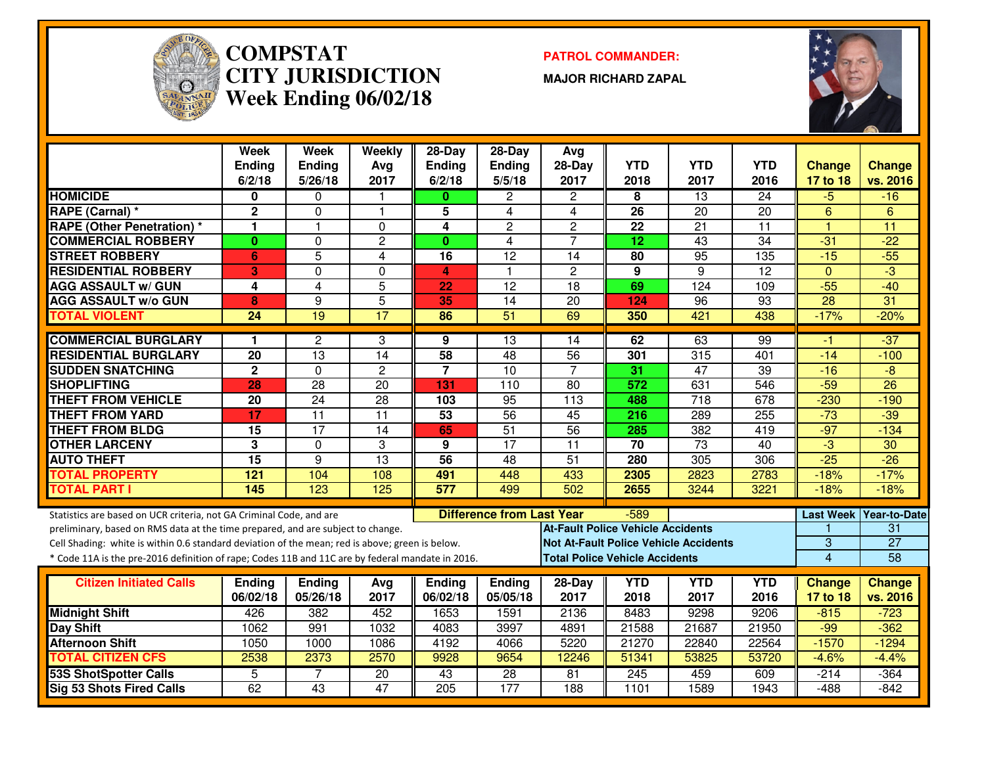

#### **COMPSTAT PATROL COMMANDER: CITY JURISDICTIONWeek Ending 06/02/18**

**MAJOR RICHARD ZAPAL**



|                                                                                                  | Week<br><b>Ending</b><br>6/2/18 | Week<br><b>Ending</b><br>5/26/18 | Weekly<br>Avg<br>2017             | 28-Day<br><b>Ending</b><br>6/2/18 | 28-Day<br>Ending<br>5/5/18       | Avg<br>28-Day<br>2017                    | <b>YTD</b><br>2018                    | <b>YTD</b><br>2017                           | <b>YTD</b><br>2016 | <b>Change</b><br>17 to 18 | Change<br>vs. 2016     |
|--------------------------------------------------------------------------------------------------|---------------------------------|----------------------------------|-----------------------------------|-----------------------------------|----------------------------------|------------------------------------------|---------------------------------------|----------------------------------------------|--------------------|---------------------------|------------------------|
| <b>HOMICIDE</b>                                                                                  | 0                               | $\Omega$                         | 1                                 | $\mathbf{0}$                      | $\overline{c}$                   | $\overline{2}$                           | 8                                     | $\overline{13}$                              | $\overline{24}$    | -5                        | $-16$                  |
| RAPE (Carnal) *                                                                                  | $\overline{2}$                  | $\overline{0}$                   | $\mathbf{1}$                      | $\overline{5}$                    | 4                                | 4                                        | 26                                    | $\overline{20}$                              | $\overline{20}$    | 6                         | 6                      |
| <b>RAPE (Other Penetration) *</b>                                                                | $\mathbf{1}$                    | $\mathbf{1}$                     | 0                                 | 4                                 | $\overline{2}$                   | $\overline{2}$                           | $\overline{22}$                       | $\overline{21}$                              | $\overline{11}$    | 4                         | $\overline{11}$        |
| <b>COMMERCIAL ROBBERY</b>                                                                        | $\bf{0}$                        | $\Omega$                         | $\overline{2}$                    | $\mathbf{0}$                      | $\overline{4}$                   | $\overline{7}$                           | $\overline{12}$                       | 43                                           | $\overline{34}$    | $-31$                     | $-22$                  |
| <b>STREET ROBBERY</b>                                                                            | 6                               | $\overline{5}$                   | 4                                 | 16                                | $\overline{12}$                  | 14                                       | 80                                    | 95                                           | 135                | $-15$                     | $-55$                  |
| <b>RESIDENTIAL ROBBERY</b>                                                                       | 3                               | $\mathbf 0$                      | $\Omega$                          | 4                                 | $\mathbf{1}$                     | $\overline{2}$                           | 9                                     | 9                                            | $\overline{12}$    | $\Omega$                  | $-3$                   |
| <b>AGG ASSAULT w/ GUN</b>                                                                        | 4                               | 4                                | 5                                 | 22                                | 12                               | 18                                       | 69                                    | 124                                          | 109                | $-55$                     | $-40$                  |
| <b>AGG ASSAULT w/o GUN</b>                                                                       | 8                               | 9                                | $\overline{5}$                    | 35                                | 14                               | 20                                       | 124                                   | 96                                           | 93                 | 28                        | 31                     |
| <b>TOTAL VIOLENT</b>                                                                             | 24                              | $\overline{19}$                  | $\overline{17}$                   | 86                                | 51                               | 69                                       | 350                                   | 421                                          | 438                | $-17%$                    | $-20%$                 |
|                                                                                                  |                                 |                                  |                                   |                                   |                                  |                                          |                                       |                                              |                    |                           |                        |
| <b>COMMERCIAL BURGLARY</b><br><b>RESIDENTIAL BURGLARY</b>                                        | $\mathbf 1$<br>20               | $\overline{2}$<br>13             | 3<br>14                           | 9<br>58                           | 13<br>48                         | 14<br>56                                 | 62                                    | 63<br>315                                    | 99                 | $-1$                      | $-37$                  |
| <b>SUDDEN SNATCHING</b>                                                                          | $\mathbf{2}$                    | $\Omega$                         |                                   | $\overline{7}$                    | 10                               | $\overline{7}$                           | 301<br>31                             | 47                                           | 401<br>39          | $-14$                     | $-100$<br>$-8$         |
| <b>SHOPLIFTING</b>                                                                               | 28                              | $\overline{28}$                  | $\overline{c}$<br>$\overline{20}$ | 131                               | 110                              | $\overline{80}$                          | $\overline{572}$                      | 631                                          | $\overline{546}$   | $-16$<br>$-59$            | $\overline{26}$        |
| <b>THEFT FROM VEHICLE</b>                                                                        | $\overline{20}$                 | $\overline{24}$                  | $\overline{28}$                   | 103                               | 95                               | $\overline{113}$                         | 488                                   | 718                                          | $\overline{678}$   | $-230$                    | $-190$                 |
| <b>THEFT FROM YARD</b>                                                                           | 17                              | $\overline{11}$                  | $\overline{11}$                   | $\overline{53}$                   | 56                               | 45                                       | $\overline{216}$                      | 289                                          | 255                | $-73$                     | $-39$                  |
| <b>THEFT FROM BLDG</b>                                                                           | 15                              | $\overline{17}$                  | 14                                | 65                                | $\overline{51}$                  | $\overline{56}$                          | 285                                   | 382                                          | 419                | $-97$                     | $-134$                 |
| <b>OTHER LARCENY</b>                                                                             | 3                               | $\Omega$                         | 3                                 | 9                                 | $\overline{17}$                  | $\overline{11}$                          | 70                                    | $\overline{73}$                              | 40                 | $\overline{3}$            | 30                     |
| <b>AUTO THEFT</b>                                                                                | $\overline{15}$                 | $\overline{9}$                   | $\overline{13}$                   | $\overline{56}$                   | 48                               | $\overline{51}$                          | 280                                   | 305                                          | 306                | $-25$                     | $-26$                  |
| <b>TOTAL PROPERTY</b>                                                                            | $\overline{121}$                | 104                              | 108                               | 491                               | 448                              | 433                                      | 2305                                  | 2823                                         | 2783               | $-18%$                    | $-17%$                 |
| <b>TOTAL PART I</b>                                                                              | 145                             | 123                              | 125                               | 577                               | 499                              | 502                                      | 2655                                  | 3244                                         | 3221               | $-18%$                    | $-18%$                 |
|                                                                                                  |                                 |                                  |                                   |                                   |                                  |                                          |                                       |                                              |                    |                           |                        |
| Statistics are based on UCR criteria, not GA Criminal Code, and are                              |                                 |                                  |                                   |                                   | <b>Difference from Last Year</b> |                                          | $-589$                                |                                              |                    |                           | Last Week Year-to-Date |
| preliminary, based on RMS data at the time prepared, and are subject to change.                  |                                 |                                  |                                   |                                   |                                  | <b>At-Fault Police Vehicle Accidents</b> |                                       |                                              |                    |                           | 31                     |
| Cell Shading: white is within 0.6 standard deviation of the mean; red is above; green is below.  |                                 |                                  |                                   |                                   |                                  |                                          |                                       | <b>Not At-Fault Police Vehicle Accidents</b> |                    | $\overline{3}$            | $\overline{27}$        |
| * Code 11A is the pre-2016 definition of rape; Codes 11B and 11C are by federal mandate in 2016. |                                 |                                  |                                   |                                   |                                  |                                          | <b>Total Police Vehicle Accidents</b> |                                              |                    | $\overline{4}$            | $\overline{58}$        |
| <b>Citizen Initiated Calls</b>                                                                   | <b>Ending</b>                   | <b>Ending</b>                    | Avg                               | <b>Ending</b>                     | <b>Ending</b>                    | 28-Day                                   | <b>YTD</b>                            | <b>YTD</b>                                   | <b>YTD</b>         | <b>Change</b>             | <b>Change</b>          |
|                                                                                                  | 06/02/18                        | 05/26/18                         | 2017                              | 06/02/18                          | 05/05/18                         | 2017                                     | 2018                                  | 2017                                         | 2016               | 17 to 18                  | vs. 2016               |
| <b>Midnight Shift</b>                                                                            | 426                             | 382                              | 452                               | 1653                              | 1591                             | 2136                                     | 8483                                  | 9298                                         | 9206               | $-815$                    | $-723$                 |
| <b>Day Shift</b>                                                                                 | 1062                            | 991                              | 1032                              | 4083                              | 3997                             | 4891                                     | 21588                                 | 21687                                        | 21950              | $-99$                     | $-362$                 |
| <b>Afternoon Shift</b>                                                                           | 1050                            | 1000                             | 1086                              | 4192                              | 4066                             | 5220                                     | 21270                                 | 22840                                        | 22564              | $-1570$                   | $-1294$                |
| <b>TOTAL CITIZEN CFS</b>                                                                         | 2538                            | 2373                             | 2570                              | 9928                              | 9654                             | 12246                                    | 51341                                 | 53825                                        | 53720              | $-4.6%$                   | $-4.4%$                |
| <b>53S ShotSpotter Calls</b>                                                                     | 5                               | 7                                | 20                                | 43                                | 28                               | 81                                       | 245                                   | 459                                          | 609                | $-214$                    | $-364$                 |
| <b>Sig 53 Shots Fired Calls</b>                                                                  | 62                              | $\overline{43}$                  | 47                                | $\frac{205}{ }$                   | $\overline{177}$                 | 188                                      | 1101                                  | 1589                                         | 1943               | $-488$                    | $-842$                 |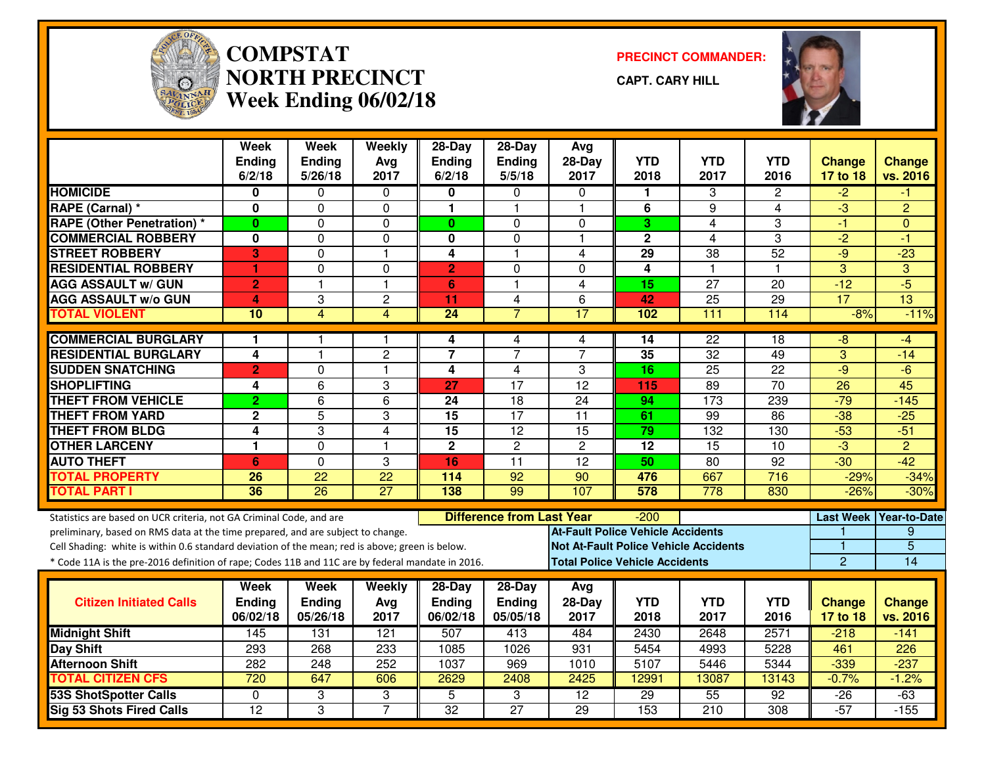

# **COMPSTAT PRECINCT COMMANDER: NORTH PRECINCTWeek Ending 06/02/18**

**CAPT. CARY HILL**



|                                                                                                                                                                                                                                                                                                                                                               | <b>Week</b><br><b>Ending</b><br>6/2/18 | <b>Week</b><br><b>Ending</b><br>5/26/18 | Weekly<br>Avg<br>2017 | 28-Day<br><b>Ending</b><br>6/2/18     | $28-Dav$<br><b>Ending</b><br>5/5/18 | Avg<br>$28-Day$<br>2017                                                                                                           | <b>YTD</b><br>2018      | <b>YTD</b><br>2017 | <b>YTD</b><br>2016 | <b>Change</b><br>17 to 18                | <b>Change</b><br>vs. 2016                        |
|---------------------------------------------------------------------------------------------------------------------------------------------------------------------------------------------------------------------------------------------------------------------------------------------------------------------------------------------------------------|----------------------------------------|-----------------------------------------|-----------------------|---------------------------------------|-------------------------------------|-----------------------------------------------------------------------------------------------------------------------------------|-------------------------|--------------------|--------------------|------------------------------------------|--------------------------------------------------|
| <b>HOMICIDE</b>                                                                                                                                                                                                                                                                                                                                               | 0                                      | 0                                       | 0                     | 0                                     | 0                                   | $\Omega$                                                                                                                          | 1                       | 3                  | 2                  | $-2$                                     | -1                                               |
| <b>RAPE (Carnal) *</b>                                                                                                                                                                                                                                                                                                                                        | 0                                      | $\mathbf{0}$                            | 0                     | 1                                     | 1                                   | $\overline{\mathbf{1}}$                                                                                                           | 6                       | 9                  | 4                  | $\overline{3}$                           | $\overline{2}$                                   |
| <b>RAPE (Other Penetration) *</b>                                                                                                                                                                                                                                                                                                                             | $\bf{0}$                               | $\Omega$                                | 0                     | $\mathbf{0}$                          | $\Omega$                            | $\mathbf{0}$                                                                                                                      | 3                       | 4                  | 3                  | $-1$                                     | $\Omega$                                         |
| <b>COMMERCIAL ROBBERY</b>                                                                                                                                                                                                                                                                                                                                     | $\bf{0}$                               | $\Omega$                                | $\Omega$              | $\bf{0}$                              | $\Omega$                            | $\overline{\mathbf{1}}$                                                                                                           | $\overline{\mathbf{c}}$ | 4                  | 3                  | $-2$                                     | $-1$                                             |
| <b>STREET ROBBERY</b>                                                                                                                                                                                                                                                                                                                                         | 3                                      | $\mathbf 0$                             | $\mathbf{1}$          | 4                                     | 1                                   | 4                                                                                                                                 | 29                      | 38                 | $\overline{52}$    | $-9$                                     | $-23$                                            |
| <b>RESIDENTIAL ROBBERY</b>                                                                                                                                                                                                                                                                                                                                    | 1                                      | $\mathbf{0}$                            | 0                     | $\overline{2}$                        | $\Omega$                            | $\Omega$                                                                                                                          | 4                       | $\mathbf{1}$       | 1                  | 3                                        | 3                                                |
| <b>AGG ASSAULT w/ GUN</b>                                                                                                                                                                                                                                                                                                                                     | $\overline{2}$                         |                                         | $\mathbf{1}$          | $6\phantom{1}$                        | $\mathbf{1}$                        | $\overline{\mathbf{4}}$                                                                                                           | 15                      | $\overline{27}$    | $\overline{20}$    | $-12$                                    | $-5$                                             |
| <b>AGG ASSAULT w/o GUN</b>                                                                                                                                                                                                                                                                                                                                    | 4                                      | 3                                       | $\overline{c}$        | 11                                    | 4                                   | 6                                                                                                                                 | 42                      | 25                 | 29                 | 17                                       | 13                                               |
| <b>TOTAL VIOLENT</b>                                                                                                                                                                                                                                                                                                                                          | 10                                     | $\overline{4}$                          | $\overline{4}$        | $\overline{24}$                       | $\overline{7}$                      | 17                                                                                                                                | 102                     | $\overline{111}$   | 114                | $-8%$                                    | $-11%$                                           |
| <b>COMMERCIAL BURGLARY</b>                                                                                                                                                                                                                                                                                                                                    | 1                                      |                                         | 1                     | 4                                     | 4                                   | 4                                                                                                                                 | 14                      | 22                 | 18                 | -8                                       | -4                                               |
| <b>RESIDENTIAL BURGLARY</b>                                                                                                                                                                                                                                                                                                                                   | 4                                      | $\overline{1}$                          | $\overline{2}$        | $\overline{7}$                        | $\overline{7}$                      | $\overline{7}$                                                                                                                    | 35                      | $\overline{32}$    | 49                 | 3                                        | $-14$                                            |
| <b>SUDDEN SNATCHING</b>                                                                                                                                                                                                                                                                                                                                       | $\overline{2}$                         | $\mathbf{0}$                            | $\mathbf{1}$          | $\overline{\mathbf{4}}$               | $\overline{4}$                      | 3                                                                                                                                 | 16                      | 25                 | 22                 | $-9$                                     | $-6$                                             |
| <b>SHOPLIFTING</b>                                                                                                                                                                                                                                                                                                                                            | 4                                      | $\overline{6}$                          | 3                     | 27                                    | 17                                  | $\overline{12}$                                                                                                                   | 115                     | $\overline{89}$    | $\overline{70}$    | $\overline{26}$                          | 45                                               |
| <b>THEFT FROM VEHICLE</b>                                                                                                                                                                                                                                                                                                                                     | $\overline{2}$                         | 6                                       | 6                     | 24                                    | 18                                  | 24                                                                                                                                | 94                      | 173                | 239                | $-79$                                    | $-145$                                           |
| <b>THEFT FROM YARD</b>                                                                                                                                                                                                                                                                                                                                        | $\mathbf 2$                            | $\overline{5}$                          | 3                     | $\overline{15}$                       | $\overline{17}$                     | $\overline{11}$                                                                                                                   | 61                      | $\overline{99}$    | $\overline{86}$    | $-38$                                    | $-25$                                            |
| <b>THEFT FROM BLDG</b>                                                                                                                                                                                                                                                                                                                                        | 4                                      | 3                                       | 4                     | 15                                    | $\overline{12}$                     | $\overline{15}$                                                                                                                   | 79                      | 132                | 130                | $-53$                                    | $-51$                                            |
| <b>OTHER LARCENY</b>                                                                                                                                                                                                                                                                                                                                          | $\mathbf{1}$                           | $\Omega$                                | $\mathbf{1}$          | $\overline{2}$                        | $\overline{c}$                      | $\overline{2}$                                                                                                                    | 12                      | $\overline{15}$    | 10                 | $\overline{3}$                           | $\overline{2}$                                   |
| <b>AUTO THEFT</b>                                                                                                                                                                                                                                                                                                                                             | 6                                      | $\mathbf{0}$                            | 3                     | 16                                    | $\overline{11}$                     | $\overline{12}$                                                                                                                   | 50                      | $\overline{80}$    | $\overline{92}$    | $-30$                                    | $-42$                                            |
| <b>TOTAL PROPERTY</b>                                                                                                                                                                                                                                                                                                                                         | 26                                     | $\overline{22}$                         | $\overline{22}$       | 114                                   | 92                                  | 90                                                                                                                                | 476                     | 667                | $\overline{716}$   | $-29%$                                   | $-34%$                                           |
| <b>TOTAL PART I</b>                                                                                                                                                                                                                                                                                                                                           | 36                                     | $\overline{26}$                         | $\overline{27}$       | $\frac{1}{38}$                        | 99                                  | 107                                                                                                                               | 578                     | $\overline{778}$   | 830                | $-26%$                                   | $-30%$                                           |
| Statistics are based on UCR criteria, not GA Criminal Code, and are<br>preliminary, based on RMS data at the time prepared, and are subject to change.<br>Cell Shading: white is within 0.6 standard deviation of the mean; red is above; green is below.<br>* Code 11A is the pre-2016 definition of rape; Codes 11B and 11C are by federal mandate in 2016. |                                        |                                         |                       |                                       | <b>Difference from Last Year</b>    | <b>At-Fault Police Vehicle Accidents</b><br><b>Not At-Fault Police Vehicle Accidents</b><br><b>Total Police Vehicle Accidents</b> | $-200$                  |                    |                    | <b>Last Week</b><br>-1<br>$\overline{2}$ | <b>Year-to-Date</b><br>9<br>$\overline{5}$<br>14 |
| <b>Citizen Initiated Calls</b>                                                                                                                                                                                                                                                                                                                                | Week<br><b>Ending</b><br>06/02/18      | Week<br><b>Ending</b><br>05/26/18       | Weekly<br>Avg<br>2017 | $28-Day$<br><b>Ending</b><br>06/02/18 | $28-Day$<br>Ending<br>05/05/18      | Avg<br>$28-Day$<br>2017                                                                                                           | <b>YTD</b><br>2018      | <b>YTD</b><br>2017 | <b>YTD</b><br>2016 | <b>Change</b><br>17 to 18                | <b>Change</b><br>vs. 2016                        |
| <b>Midnight Shift</b>                                                                                                                                                                                                                                                                                                                                         | 145                                    | 131                                     | 121                   | 507                                   | 413                                 | 484                                                                                                                               | 2430                    | 2648               | 2571               | $-218$                                   | $-141$                                           |
| <b>Day Shift</b>                                                                                                                                                                                                                                                                                                                                              | 293                                    | 268                                     | 233                   | 1085                                  | 1026                                | 931                                                                                                                               | 5454                    | 4993               | 5228               | 461                                      | 226                                              |
| <b>Afternoon Shift</b>                                                                                                                                                                                                                                                                                                                                        | 282                                    | 248                                     | 252                   | 1037                                  | 969                                 | 1010                                                                                                                              | 5107                    | 5446               | 5344               | $-339$                                   | $-237$                                           |
| <b>TOTAL CITIZEN CFS</b>                                                                                                                                                                                                                                                                                                                                      | $\overline{720}$                       | 647                                     | 606                   | 2629                                  | 2408                                | 2425                                                                                                                              | 12991                   | 13087              | 13143              | $-0.7%$                                  | $-1.2%$                                          |
| <b>53S ShotSpotter Calls</b>                                                                                                                                                                                                                                                                                                                                  | $\mathbf 0$                            | 3                                       | 3                     | 5                                     | 3                                   | $\overline{12}$                                                                                                                   | $\overline{29}$         | 55                 | $\overline{92}$    | $-26$                                    | $-63$                                            |
| <b>Sig 53 Shots Fired Calls</b>                                                                                                                                                                                                                                                                                                                               | 12                                     | دی                                      | $\overline{7}$        | $\overline{32}$                       | $\overline{27}$                     | $\overline{29}$                                                                                                                   | 153                     | $\overline{210}$   | $\overline{308}$   | $-57$                                    | $-155$                                           |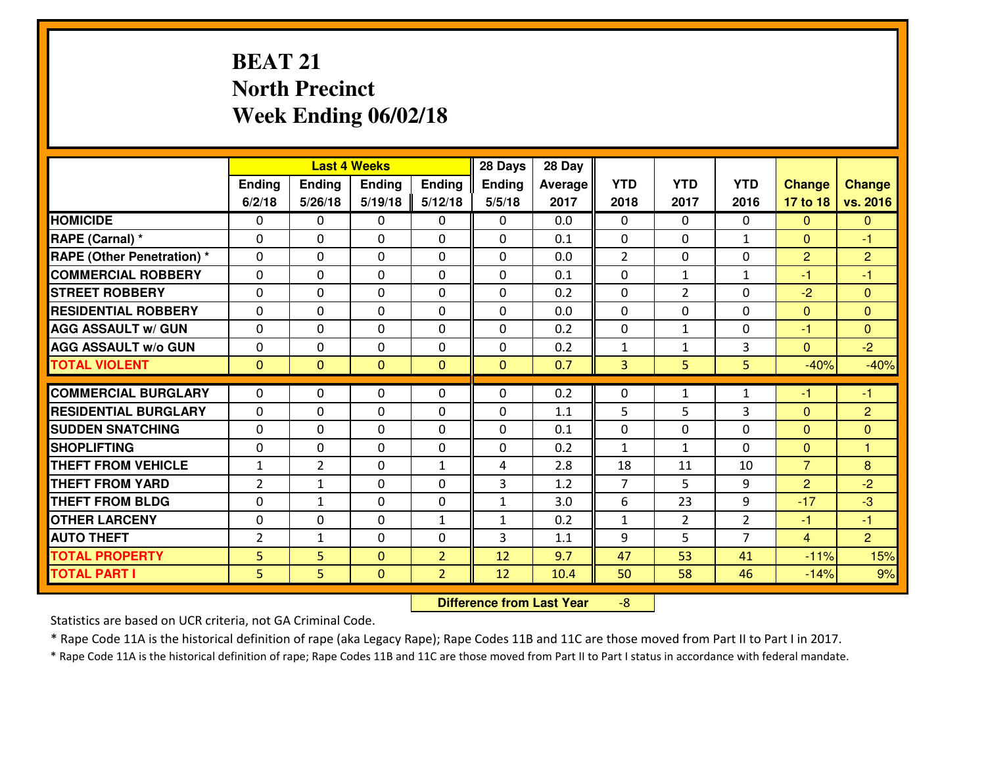# **BEAT 21 North PrecinctWeek Ending 06/02/18**

|                                   | <b>Last 4 Weeks</b><br>Ending<br>Ending<br><b>Ending</b><br>Ending |                |              | 28 Days        | 28 Day        |         |                |                |                |                |                |
|-----------------------------------|--------------------------------------------------------------------|----------------|--------------|----------------|---------------|---------|----------------|----------------|----------------|----------------|----------------|
|                                   |                                                                    |                |              |                | <b>Ending</b> | Average | <b>YTD</b>     | <b>YTD</b>     | <b>YTD</b>     | <b>Change</b>  | <b>Change</b>  |
|                                   | 6/2/18                                                             | 5/26/18        | 5/19/18      | 5/12/18        | 5/5/18        | 2017    | 2018           | 2017           | 2016           | 17 to 18       | vs. 2016       |
| <b>HOMICIDE</b>                   | $\Omega$                                                           | 0              | $\Omega$     | 0              | $\Omega$      | 0.0     | 0              | $\Omega$       | 0              | $\Omega$       | $\Omega$       |
| RAPE (Carnal) *                   | $\Omega$                                                           | 0              | $\mathbf{0}$ | $\Omega$       | $\Omega$      | 0.1     | $\Omega$       | $\Omega$       | $\mathbf{1}$   | $\Omega$       | -1             |
| <b>RAPE (Other Penetration) *</b> | 0                                                                  | 0              | $\mathbf 0$  | 0              | 0             | 0.0     | 2              | 0              | 0              | 2              | 2              |
| <b>COMMERCIAL ROBBERY</b>         | 0                                                                  | 0              | $\mathbf 0$  | 0              | 0             | 0.1     | 0              | $\mathbf{1}$   | $\mathbf{1}$   | $-1$           | $-1$           |
| <b>STREET ROBBERY</b>             | 0                                                                  | 0              | $\mathbf 0$  | 0              | 0             | 0.2     | 0              | $\overline{2}$ | 0              | $-2$           | $\overline{0}$ |
| <b>RESIDENTIAL ROBBERY</b>        | 0                                                                  | 0              | $\mathbf 0$  | $\mathbf{0}$   | 0             | 0.0     | $\mathbf 0$    | 0              | 0              | $\mathbf{0}$   | $\overline{0}$ |
| <b>AGG ASSAULT W/ GUN</b>         | 0                                                                  | 0              | $\mathbf 0$  | 0              | 0             | 0.2     | 0              | $\mathbf{1}$   | 0              | $-1$           | $\overline{0}$ |
| <b>AGG ASSAULT W/o GUN</b>        | 0                                                                  | 0              | 0            | $\mathbf{0}$   | $\mathbf 0$   | 0.2     | $\mathbf{1}$   | $\mathbf{1}$   | 3              | $\mathbf{0}$   | $-2$           |
| <b>TOTAL VIOLENT</b>              | $\mathbf{0}$                                                       | $\overline{0}$ | $\mathbf{O}$ | $\mathbf{0}$   | $\mathbf{0}$  | 0.7     | $\overline{3}$ | 5              | 5              | $-40%$         | $-40%$         |
| <b>COMMERCIAL BURGLARY</b>        | $\Omega$                                                           | 0              | $\mathbf{0}$ | 0              | $\Omega$      | 0.2     | $\mathbf{0}$   | $\mathbf{1}$   | $\mathbf{1}$   | $-1$           | $-1$           |
| <b>RESIDENTIAL BURGLARY</b>       | 0                                                                  | 0              | 0            | 0              | 0             | 1.1     | 5              | 5              | 3              | $\mathbf{0}$   | $\overline{2}$ |
| <b>SUDDEN SNATCHING</b>           | $\mathbf{0}$                                                       | 0              | $\mathbf 0$  | 0              | 0             | 0.1     | 0              | $\mathbf{0}$   | 0              | $\Omega$       | $\mathbf{0}$   |
| <b>SHOPLIFTING</b>                | 0                                                                  | 0              | $\mathbf 0$  | 0              | 0             | 0.2     | $\mathbf{1}$   | $\mathbf{1}$   | $\Omega$       | $\mathbf{0}$   | $\mathbf{1}$   |
| <b>THEFT FROM VEHICLE</b>         | $\mathbf{1}$                                                       | $\overline{2}$ | $\mathbf 0$  | $\mathbf{1}$   | 4             | 2.8     | 18             | 11             | 10             | $\overline{7}$ | 8              |
| <b>THEFT FROM YARD</b>            | $\overline{2}$                                                     | 1              | $\mathbf 0$  | 0              | 3             | 1.2     | $\overline{7}$ | 5              | 9              | $\overline{2}$ | $-2$           |
| <b>THEFT FROM BLDG</b>            | 0                                                                  | $\mathbf{1}$   | $\mathbf 0$  | $\mathbf{0}$   | $\mathbf{1}$  | 3.0     | 6              | 23             | 9              | $-17$          | $-3$           |
| <b>OTHER LARCENY</b>              | 0                                                                  | 0              | $\mathbf 0$  | $\mathbf 1$    | $\mathbf{1}$  | 0.2     | $\mathbf 1$    | $\overline{2}$ | $\overline{2}$ | $-1$           | $-1$           |
| <b>AUTO THEFT</b>                 | $\overline{2}$                                                     | $\mathbf{1}$   | $\mathbf 0$  | 0              | 3             | 1.1     | 9              | 5              | $\overline{7}$ | $\overline{4}$ | $\overline{2}$ |
| <b>TOTAL PROPERTY</b>             | 5                                                                  | 5              | $\mathbf{0}$ | $\overline{2}$ | 12            | 9.7     | 47             | 53             | 41             | $-11%$         | 15%            |
| <b>TOTAL PART I</b>               | 5                                                                  | 5              | $\mathbf{0}$ | $\overline{2}$ | 12            | 10.4    | 50             | 58             | 46             | $-14%$         | 9%             |

 **Difference from Last Year**-8

Statistics are based on UCR criteria, not GA Criminal Code.

\* Rape Code 11A is the historical definition of rape (aka Legacy Rape); Rape Codes 11B and 11C are those moved from Part II to Part I in 2017.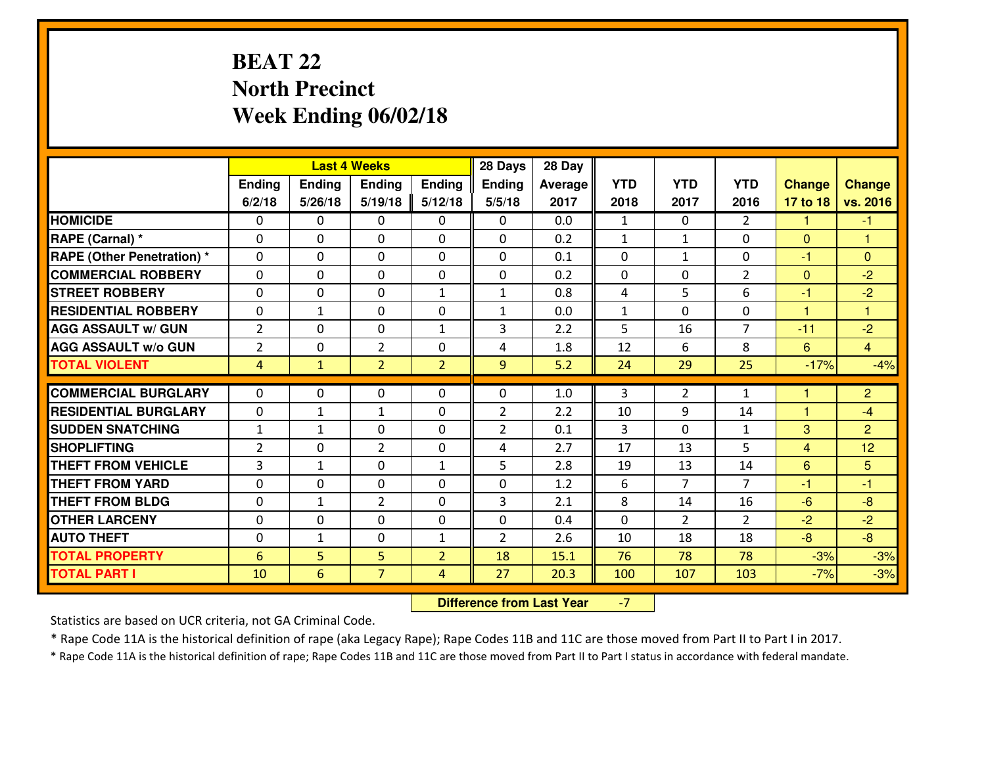# **BEAT 22 North PrecinctWeek Ending 06/02/18**

|                                  |                 |              | <b>Last 4 Weeks</b> |                | 28 Days        | 28 Day  |                |                |                |                |                         |
|----------------------------------|-----------------|--------------|---------------------|----------------|----------------|---------|----------------|----------------|----------------|----------------|-------------------------|
|                                  | Ending          | Ending       | Ending              | <b>Ending</b>  | <b>Ending</b>  | Average | <b>YTD</b>     | <b>YTD</b>     | <b>YTD</b>     | <b>Change</b>  | <b>Change</b>           |
|                                  | 6/2/18          | 5/26/18      | 5/19/18             | 5/12/18        | 5/5/18         | 2017    | 2018           | 2017           | 2016           | 17 to 18       | vs. 2016                |
| <b>HOMICIDE</b>                  | 0               | 0            | 0                   | 0              | 0              | 0.0     | $\mathbf{1}$   | $\Omega$       | $\overline{2}$ | 1              | $-1$                    |
| RAPE (Carnal) *                  | $\mathbf{0}$    | 0            | 0                   | $\Omega$       | 0              | 0.2     | $\mathbf{1}$   | $\mathbf{1}$   | 0              | $\Omega$       | 1                       |
| <b>RAPE (Other Penetration)*</b> | $\Omega$        | $\Omega$     | $\mathbf 0$         | $\Omega$       | $\Omega$       | 0.1     | $\Omega$       | $\mathbf{1}$   | $\Omega$       | $-1$           | $\Omega$                |
| <b>COMMERCIAL ROBBERY</b>        | $\Omega$        | $\Omega$     | $\mathbf 0$         | $\Omega$       | 0              | 0.2     | $\Omega$       | $\Omega$       | $\overline{2}$ | $\mathbf{0}$   | $-2$                    |
| <b>ISTREET ROBBERY</b>           | $\mathbf{0}$    | 0            | $\mathbf{0}$        | $\mathbf{1}$   | $\mathbf{1}$   | 0.8     | 4              | 5              | 6              | $-1$           | $-2$                    |
| <b>RESIDENTIAL ROBBERY</b>       | 0               | $\mathbf{1}$ | $\mathbf 0$         | 0              | $\mathbf{1}$   | 0.0     | $\mathbf{1}$   | $\mathbf{0}$   | 0              | $\mathbf{1}$   | $\overline{\mathbf{1}}$ |
| <b>AGG ASSAULT W/ GUN</b>        | $\overline{2}$  | 0            | $\mathbf 0$         | $\mathbf{1}$   | 3              | 2.2     | 5              | 16             | $\overline{7}$ | $-11$          | $-2$                    |
| <b>AGG ASSAULT W/o GUN</b>       | $\overline{2}$  | 0            | $\overline{2}$      | 0              | 4              | 1.8     | 12             | 6              | 8              | 6              | $\overline{4}$          |
| <b>TOTAL VIOLENT</b>             | $\overline{4}$  | $\mathbf{1}$ | $\overline{2}$      | $\overline{2}$ | 9 <sup>°</sup> | 5.2     | 24             | 29             | 25             | $-17%$         | $-4%$                   |
| <b>COMMERCIAL BURGLARY</b>       | $\Omega$        | 0            | $\mathbf{0}$        | $\Omega$       | $\Omega$       | 1.0     | 3              | $\overline{2}$ | $\mathbf{1}$   | 1              | $\overline{2}$          |
| <b>RESIDENTIAL BURGLARY</b>      | 0               | $\mathbf{1}$ | 1                   | 0              | $\overline{2}$ | 2.2     | 10             | 9              | 14             | $\mathbf{1}$   | $-4$                    |
| <b>SUDDEN SNATCHING</b>          | $\mathbf{1}$    | $\mathbf{1}$ | $\mathbf 0$         | $\Omega$       | $\overline{2}$ | 0.1     | $\overline{3}$ | $\Omega$       | $\mathbf{1}$   | 3              | $\overline{2}$          |
| <b>SHOPLIFTING</b>               | $\overline{2}$  | 0            | $\overline{2}$      | 0              | 4              | 2.7     | 17             | 13             | 5              | $\overline{4}$ | 12                      |
| <b>THEFT FROM VEHICLE</b>        | $\overline{3}$  | $\mathbf{1}$ | $\mathbf 0$         | $\mathbf{1}$   | 5              | 2.8     | 19             | 13             | 14             | 6              | 5                       |
| <b>THEFT FROM YARD</b>           | 0               | 0            | $\mathbf 0$         | 0              | 0              | 1.2     | 6              | $\overline{7}$ | $\overline{7}$ | $-1$           | $-1$                    |
| <b>THEFT FROM BLDG</b>           | 0               | $\mathbf{1}$ | $\overline{2}$      | $\mathbf{0}$   | 3              | 2.1     | 8              | 14             | 16             | $-6$           | $-8$                    |
| <b>OTHER LARCENY</b>             | 0               | 0            | $\mathbf 0$         | 0              | 0              | 0.4     | 0              | $\overline{2}$ | $\overline{2}$ | $-2$           | $-2$                    |
| <b>AUTO THEFT</b>                | 0               | $\mathbf{1}$ | 0                   | $\mathbf{1}$   | $\overline{2}$ | 2.6     | 10             | 18             | 18             | $-8$           | $-8$                    |
| <b>TOTAL PROPERTY</b>            | $6\phantom{1}6$ | 5            | 5                   | $\overline{2}$ | 18             | 15.1    | 76             | 78             | 78             | $-3%$          | $-3%$                   |
| <b>TOTAL PART I</b>              | 10              | 6            | $\overline{7}$      | 4              | 27             | 20.3    | 100            | 107            | 103            | $-7%$          | $-3%$                   |

 **Difference from Last Year**-7

Statistics are based on UCR criteria, not GA Criminal Code.

\* Rape Code 11A is the historical definition of rape (aka Legacy Rape); Rape Codes 11B and 11C are those moved from Part II to Part I in 2017.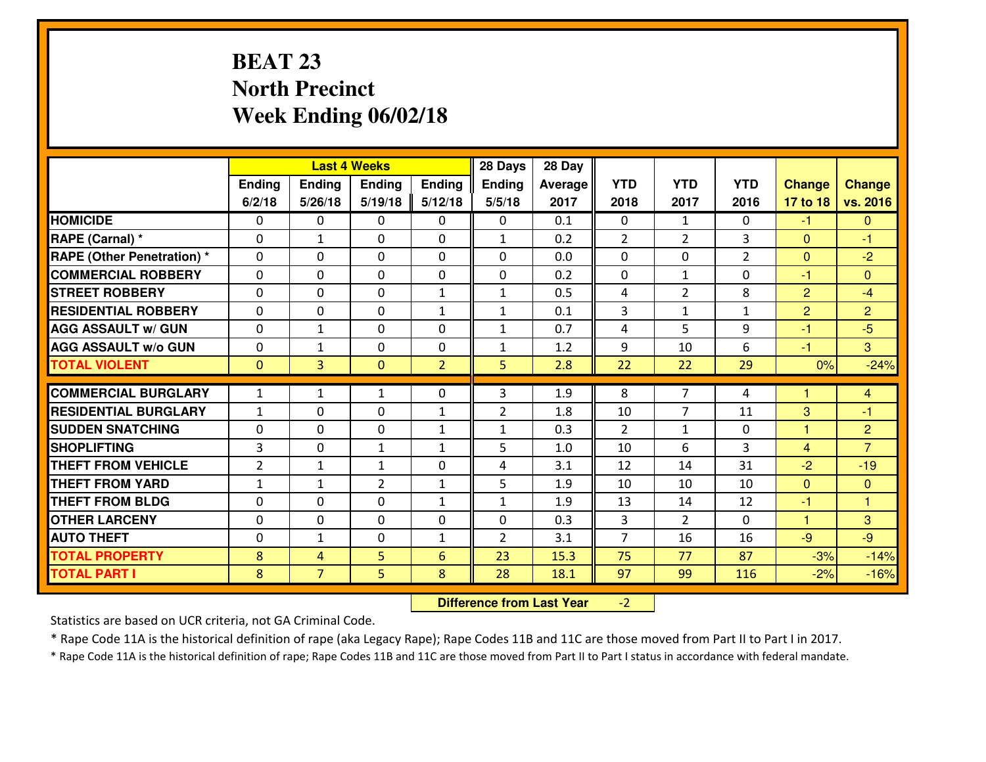# **BEAT 23 North PrecinctWeek Ending 06/02/18**

|                                   |                |                | <b>Last 4 Weeks</b> |                | 28 Days        | 28 Day  |                |                |                |                |                      |
|-----------------------------------|----------------|----------------|---------------------|----------------|----------------|---------|----------------|----------------|----------------|----------------|----------------------|
|                                   | Ending         | Ending         | Ending              | <b>Ending</b>  | <b>Ending</b>  | Average | <b>YTD</b>     | <b>YTD</b>     | <b>YTD</b>     | <b>Change</b>  | <b>Change</b>        |
|                                   | 6/2/18         | 5/26/18        | 5/19/18             | 5/12/18        | 5/5/18         | 2017    | 2018           | 2017           | 2016           | 17 to 18       | vs. 2016             |
| <b>HOMICIDE</b>                   | 0              | 0              | 0                   | 0              | 0              | 0.1     | 0              | $\mathbf{1}$   | 0              | $-1$           | $\overline{0}$       |
| RAPE (Carnal) *                   | 0              | $\mathbf{1}$   | $\mathbf 0$         | $\Omega$       | $\mathbf{1}$   | 0.2     | 2              | $\overline{2}$ | 3              | $\Omega$       | $-1$                 |
| <b>RAPE (Other Penetration) *</b> | $\Omega$       | 0              | $\mathbf 0$         | $\Omega$       | 0              | 0.0     | $\Omega$       | $\Omega$       | $\overline{2}$ | $\Omega$       | $-2$                 |
| <b>COMMERCIAL ROBBERY</b>         | 0              | $\Omega$       | $\mathbf 0$         | $\Omega$       | 0              | 0.2     | $\Omega$       | $\mathbf{1}$   | $\Omega$       | $-1$           | $\Omega$             |
| <b>ISTREET ROBBERY</b>            | 0              | 0              | $\mathbf 0$         | $\mathbf{1}$   | $\mathbf{1}$   | 0.5     | 4              | $\overline{2}$ | 8              | $\overline{2}$ | $-4$                 |
| <b>RESIDENTIAL ROBBERY</b>        | 0              | 0              | $\mathbf 0$         | $\mathbf{1}$   | $\mathbf{1}$   | 0.1     | 3              | $\mathbf{1}$   | $\mathbf{1}$   | $\overline{2}$ | $\overline{2}$       |
| <b>AGG ASSAULT W/ GUN</b>         | 0              | $\mathbf{1}$   | $\mathbf 0$         | 0              | $\mathbf{1}$   | 0.7     | 4              | 5              | 9              | $-1$           | $-5$                 |
| <b>AGG ASSAULT W/o GUN</b>        | 0              | $\mathbf{1}$   | $\mathbf 0$         | 0              | $\mathbf{1}$   | 1.2     | 9              | 10             | 6              | $-1$           | $\mathbf{3}$         |
| <b>TOTAL VIOLENT</b>              | $\mathbf{0}$   | $\overline{3}$ | $\mathbf{0}$        | $\overline{2}$ | 5              | 2.8     | 22             | 22             | 29             | 0%             | $-24%$               |
| <b>COMMERCIAL BURGLARY</b>        | $\mathbf{1}$   | 1              | 1                   | 0              | 3              | 1.9     | 8              | $\overline{7}$ | 4              | 1              | 4                    |
| <b>RESIDENTIAL BURGLARY</b>       | $\mathbf{1}$   | 0              | 0                   | $\mathbf{1}$   | $\overline{2}$ | 1.8     | 10             | $\overline{7}$ | 11             | 3              | $-1$                 |
| <b>SUDDEN SNATCHING</b>           | $\mathbf{0}$   | 0              | $\mathbf{0}$        | $\mathbf{1}$   | $\mathbf{1}$   | 0.3     | 2              | $\mathbf{1}$   | 0              | $\mathbf{1}$   | $\overline{2}$       |
| <b>SHOPLIFTING</b>                | 3              | 0              | 1                   | $\mathbf{1}$   | 5              | 1.0     | 10             | 6              | 3              | $\overline{4}$ | $\overline{7}$       |
| <b>THEFT FROM VEHICLE</b>         | $\overline{2}$ | $\mathbf{1}$   | $\mathbf{1}$        | 0              | 4              | 3.1     | 12             | 14             | 31             | $-2$           | $-19$                |
| <b>THEFT FROM YARD</b>            | $1\,$          | $\mathbf{1}$   | $\overline{2}$      | $\mathbf{1}$   | 5              | 1.9     | 10             | 10             | 10             | $\mathbf{0}$   | $\overline{0}$       |
| <b>THEFT FROM BLDG</b>            | 0              | 0              | $\mathbf 0$         | $\mathbf{1}$   | $\mathbf{1}$   | 1.9     | 13             | 14             | 12             | $-1$           | $\blacktriangleleft$ |
| <b>OTHER LARCENY</b>              | $\mathbf 0$    | 0              | $\mathbf 0$         | 0              | 0              | 0.3     | 3              | $\overline{2}$ | 0              | $\mathbf{1}$   | 3                    |
| <b>AUTO THEFT</b>                 | 0              | $\mathbf{1}$   | $\mathbf 0$         | 1              | $\overline{2}$ | 3.1     | $\overline{7}$ | 16             | 16             | $-9$           | $-9$                 |
| <b>TOTAL PROPERTY</b>             | 8              | $\overline{4}$ | 5                   | 6              | 23             | 15.3    | 75             | 77             | 87             | $-3%$          | $-14%$               |
| <b>TOTAL PART I</b>               | 8              | $\overline{7}$ | 5                   | 8              | 28             | 18.1    | 97             | 99             | 116            | $-2%$          | $-16%$               |

 **Difference from Last Year**-2

Statistics are based on UCR criteria, not GA Criminal Code.

\* Rape Code 11A is the historical definition of rape (aka Legacy Rape); Rape Codes 11B and 11C are those moved from Part II to Part I in 2017.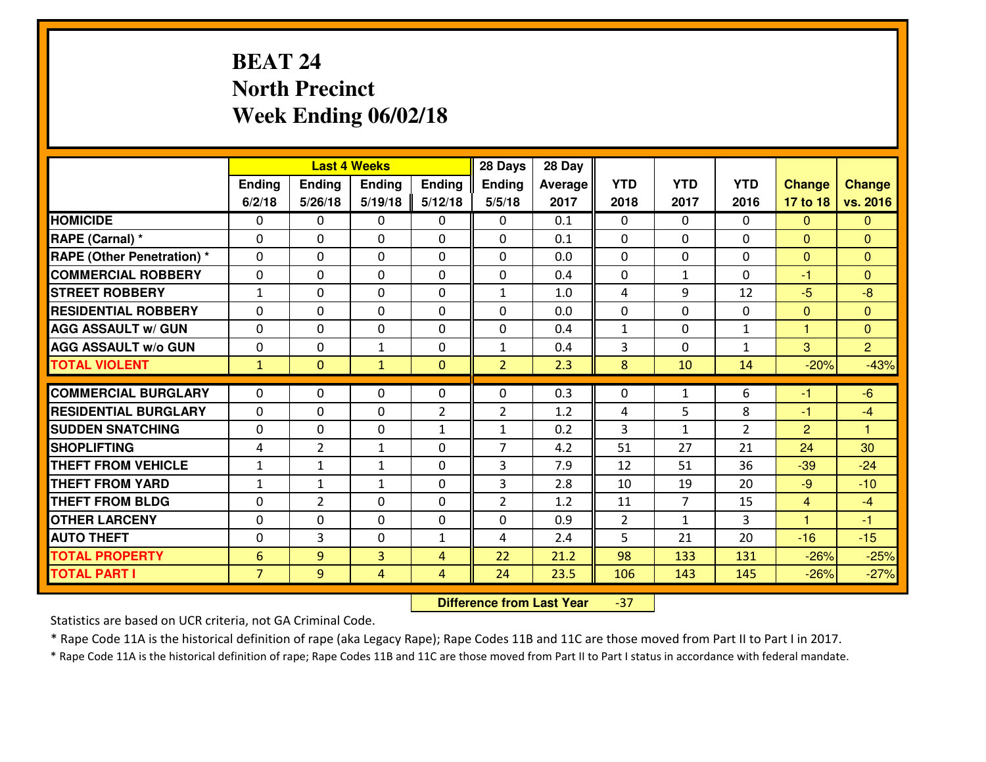# **BEAT 24 North PrecinctWeek Ending 06/02/18**

|                                              |                                   |                | <b>Last 4 Weeks</b> |                | 28 Days        | 28 Day       |                |                |                |                  |                  |
|----------------------------------------------|-----------------------------------|----------------|---------------------|----------------|----------------|--------------|----------------|----------------|----------------|------------------|------------------|
|                                              | Ending                            | Ending         | Ending              | <b>Ending</b>  | Ending         | Average      | <b>YTD</b>     | <b>YTD</b>     | <b>YTD</b>     | <b>Change</b>    | <b>Change</b>    |
|                                              | 6/2/18                            | 5/26/18        | 5/19/18             | 5/12/18        | 5/5/18         | 2017         | 2018           | 2017           | 2016           | 17 to 18         | vs. 2016         |
| <b>HOMICIDE</b>                              | 0                                 | 0              | 0                   | 0              | 0              | 0.1          | 0              | $\Omega$       | 0              | $\mathbf{0}$     | $\overline{0}$   |
| RAPE (Carnal) *                              | 0                                 | 0              | $\mathbf 0$         | $\Omega$       | 0              | 0.1          | $\mathbf{0}$   | $\Omega$       | 0              | $\Omega$         | $\mathbf{0}$     |
| <b>RAPE (Other Penetration) *</b>            | $\Omega$                          | 0              | $\mathbf 0$         | $\Omega$       | 0              | 0.0          | $\Omega$       | $\Omega$       | $\Omega$       | $\Omega$         | $\mathbf{0}$     |
| <b>COMMERCIAL ROBBERY</b>                    | 0                                 | $\Omega$       | $\mathbf 0$         | $\Omega$       | 0              | 0.4          | $\Omega$       | $\mathbf{1}$   | $\Omega$       | $-1$             | $\Omega$         |
| <b>ISTREET ROBBERY</b>                       | $\mathbf{1}$                      | 0              | $\mathbf 0$         | 0              | 1              | 1.0          | 4              | 9              | 12             | $-5$             | $-8$             |
| <b>RESIDENTIAL ROBBERY</b>                   | 0                                 | 0              | $\mathbf 0$         | 0              | 0              | 0.0          | 0              | 0              | 0              | $\mathbf{0}$     | $\overline{0}$   |
| <b>AGG ASSAULT W/ GUN</b>                    | 0                                 | 0              | $\mathbf 0$         | $\Omega$       | 0              | 0.4          | $\mathbf{1}$   | $\Omega$       | $\mathbf{1}$   | $\mathbf{1}$     | $\overline{0}$   |
| <b>AGG ASSAULT W/o GUN</b>                   | 0                                 | 0              | $\mathbf{1}$        | 0              | $\mathbf{1}$   | 0.4          | 3              | $\Omega$       | $\mathbf{1}$   | 3                | $\overline{2}$   |
| <b>TOTAL VIOLENT</b>                         | $\mathbf{1}$                      | $\overline{0}$ | $\mathbf{1}$        | $\mathbf{0}$   | $\overline{2}$ | 2.3          | 8              | 10             | 14             | $-20%$           | $-43%$           |
| <b>COMMERCIAL BURGLARY</b>                   | $\mathbf{0}$                      | 0              | 0                   | 0              | $\Omega$       | 0.3          | $\Omega$       | $\mathbf{1}$   | 6              | -1               | $-6$             |
| <b>RESIDENTIAL BURGLARY</b>                  | $\mathbf{0}$                      | 0              | 0                   | $\overline{2}$ | $\overline{2}$ | 1.2          | 4              | 5              | 8              | $-1$             | $-4$             |
| <b>SUDDEN SNATCHING</b>                      | $\mathbf{0}$                      | 0              | $\mathbf{0}$        | $\mathbf{1}$   | $\mathbf{1}$   | 0.2          | 3              | $\mathbf{1}$   | $\overline{2}$ | 2                | 1                |
| <b>SHOPLIFTING</b>                           | 4                                 | $\overline{2}$ | 1                   | 0              | $\overline{7}$ | 4.2          | 51             | 27             | 21             | 24               | 30               |
| <b>THEFT FROM VEHICLE</b>                    | $\mathbf{1}$                      | $\mathbf{1}$   | 1                   | 0              | 3              | 7.9          | 12             | 51             | 36             | $-39$            | $-24$            |
| <b>THEFT FROM YARD</b>                       | $1\,$                             | $\mathbf{1}$   | 1                   | 0              | 3              | 2.8          | 10             | 19             | 20             | $-9$             | $-10$            |
| <b>THEFT FROM BLDG</b>                       | $\mathbf{0}$                      | $\overline{2}$ | $\mathbf 0$         | $\Omega$       | $\overline{2}$ | 1.2          | 11             | $\overline{7}$ | 15             | $\overline{4}$   | $-4$             |
| <b>OTHER LARCENY</b>                         | $\mathbf 0$                       | 0              | $\mathbf 0$         | 0              | 0              | 0.9          | $\overline{2}$ | $\mathbf{1}$   | 3              | $\overline{1}$   | $-1$             |
| <b>AUTO THEFT</b>                            | 0                                 | 3              | $\mathbf 0$         | 1              | 4              | 2.4          | 5              | 21             | 20             | $-16$            | $-15$            |
|                                              |                                   |                |                     |                |                |              |                |                |                |                  |                  |
|                                              |                                   |                |                     |                |                |              |                |                |                |                  |                  |
| <b>TOTAL PROPERTY</b><br><b>TOTAL PART I</b> | $6\phantom{1}6$<br>$\overline{7}$ | 9<br>9         | $\overline{3}$<br>4 | 4<br>4         | 22<br>24       | 21.2<br>23.5 | 98<br>106      | 133<br>143     | 131<br>145     | $-26%$<br>$-26%$ | $-25%$<br>$-27%$ |

 **Difference from Last Year**-37

Statistics are based on UCR criteria, not GA Criminal Code.

\* Rape Code 11A is the historical definition of rape (aka Legacy Rape); Rape Codes 11B and 11C are those moved from Part II to Part I in 2017.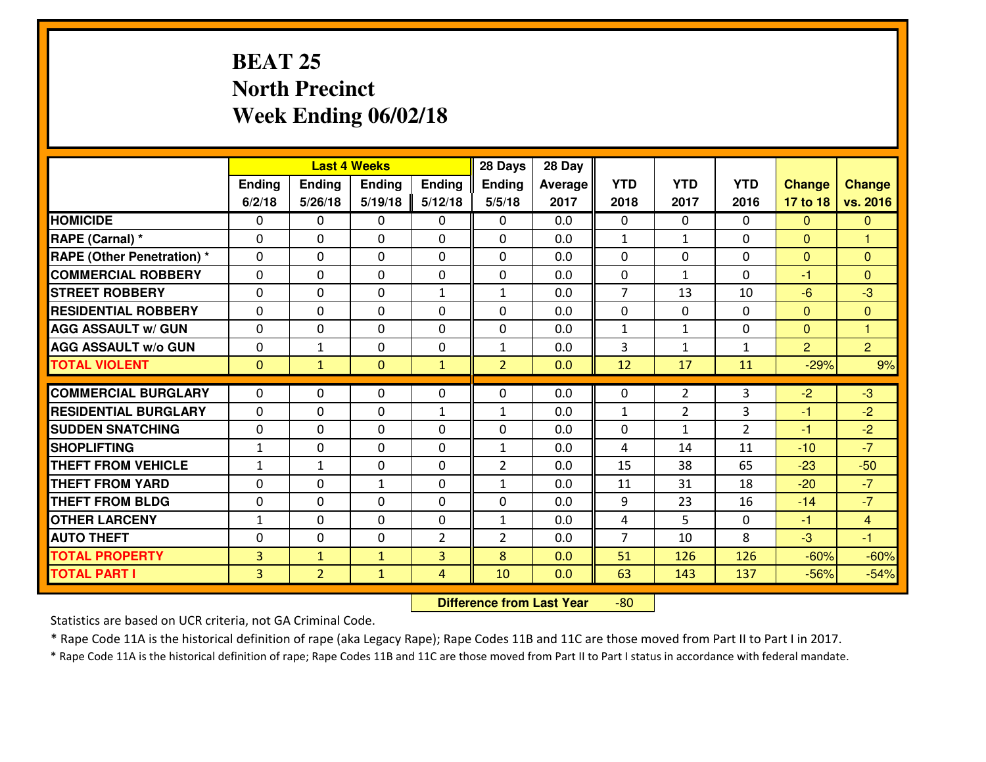# **BEAT 25 North PrecinctWeek Ending 06/02/18**

|                                              |                                  |                                | <b>Last 4 Weeks</b>          |                | 28 Days        | 28 Day  |                |                |                |                  |                |
|----------------------------------------------|----------------------------------|--------------------------------|------------------------------|----------------|----------------|---------|----------------|----------------|----------------|------------------|----------------|
|                                              | Ending                           | Ending                         | Ending                       | <b>Ending</b>  | <b>Ending</b>  | Average | <b>YTD</b>     | <b>YTD</b>     | <b>YTD</b>     | <b>Change</b>    | <b>Change</b>  |
|                                              | 6/2/18                           | 5/26/18                        | 5/19/18                      | 5/12/18        | 5/5/18         | 2017    | 2018           | 2017           | 2016           | 17 to 18         | vs. 2016       |
| <b>HOMICIDE</b>                              | 0                                | 0                              | 0                            | 0              | 0              | 0.0     | 0              | $\Omega$       | 0              | $\Omega$         | $\mathbf{0}$   |
| RAPE (Carnal) *                              | $\Omega$                         | 0                              | 0                            | $\Omega$       | 0              | 0.0     | $\mathbf{1}$   | $\mathbf{1}$   | 0              | $\Omega$         | 1              |
| <b>RAPE (Other Penetration)*</b>             | $\Omega$                         | $\Omega$                       | $\mathbf 0$                  | $\Omega$       | $\Omega$       | 0.0     | $\Omega$       | 0              | $\Omega$       | $\Omega$         | $\Omega$       |
| <b>COMMERCIAL ROBBERY</b>                    | $\Omega$                         | $\Omega$                       | $\mathbf 0$                  | $\Omega$       | 0              | 0.0     | 0              | $\mathbf{1}$   | $\Omega$       | $-1$             | $\Omega$       |
| <b>ISTREET ROBBERY</b>                       | $\mathbf{0}$                     | 0                              | $\mathbf{0}$                 | $\mathbf{1}$   | $\mathbf{1}$   | 0.0     | $\overline{7}$ | 13             | 10             | $-6$             | $-3$           |
| <b>RESIDENTIAL ROBBERY</b>                   | 0                                | 0                              | $\mathbf 0$                  | 0              | 0              | 0.0     | 0              | $\mathbf{0}$   | $\Omega$       | $\mathbf{0}$     | $\mathbf{0}$   |
| <b>AGG ASSAULT W/ GUN</b>                    | 0                                | 0                              | $\mathbf 0$                  | 0              | 0              | 0.0     | $\mathbf{1}$   | $\mathbf{1}$   | 0              | $\mathbf{0}$     | $\mathbf{1}$   |
| <b>AGG ASSAULT W/o GUN</b>                   | 0                                | 1                              | $\mathbf{0}$                 | 0              | $\mathbf{1}$   | 0.0     | 3              | $\mathbf{1}$   | $\mathbf{1}$   | $\overline{2}$   | $\overline{2}$ |
| <b>TOTAL VIOLENT</b>                         | $\mathbf{0}$                     | $\mathbf{1}$                   | $\overline{0}$               | $\mathbf{1}$   | $\overline{2}$ | 0.0     | 12             | 17             | 11             | $-29%$           | 9%             |
| <b>COMMERCIAL BURGLARY</b>                   | $\Omega$                         | 0                              | $\mathbf{0}$                 | $\Omega$       | $\Omega$       | 0.0     | $\Omega$       | $\overline{2}$ | 3              | $-2$             | $-3$           |
| <b>RESIDENTIAL BURGLARY</b>                  | $\Omega$                         | 0                              | $\mathbf 0$                  | $\mathbf{1}$   | $\mathbf{1}$   | 0.0     | $\mathbf{1}$   | $\overline{2}$ | 3              | $-1$             | $-2$           |
| <b>SUDDEN SNATCHING</b>                      | 0                                | $\Omega$                       | $\mathbf 0$                  | $\Omega$       | 0              | 0.0     | 0              | $\mathbf{1}$   | $\overline{2}$ | $-1$             | $-2$           |
| <b>SHOPLIFTING</b>                           | $\mathbf{1}$                     | 0                              | $\mathbf 0$                  | 0              | $\mathbf{1}$   | 0.0     | 4              | 14             | 11             | $-10$            | $-7$           |
| <b>THEFT FROM VEHICLE</b>                    | $\mathbf{1}$                     | $\mathbf{1}$                   | $\mathbf 0$                  | 0              | $\overline{2}$ | 0.0     | 15             | 38             | 65             | $-23$            | $-50$          |
| <b>THEFT FROM YARD</b>                       | 0                                | 0                              | $\mathbf{1}$                 | 0              | $\mathbf{1}$   | 0.0     | 11             | 31             | 18             | $-20$            | $-7$           |
| <b>THEFT FROM BLDG</b>                       | 0                                | 0                              | 0                            | $\Omega$       | 0              | 0.0     | 9              | 23             | 16             | $-14$            | $-7$           |
| <b>OTHER LARCENY</b>                         | $\mathbf{1}$                     | 0                              | $\mathbf 0$                  | 0              | $\mathbf{1}$   | 0.0     | 4              | 5              | 0              | $-1$             | $\overline{4}$ |
| <b>AUTO THEFT</b>                            | 0                                | 0                              | 0                            | $\overline{2}$ | $\overline{2}$ | 0.0     | $\overline{7}$ | 10             | 8              | $-3$             | $-1$           |
|                                              |                                  |                                |                              |                |                | 0.0     | 51             | 126            | 126            |                  | $-60%$         |
|                                              |                                  |                                |                              |                |                |         |                |                |                |                  |                |
| <b>TOTAL PROPERTY</b><br><b>TOTAL PART I</b> | $\overline{3}$<br>$\overline{3}$ | $\mathbf{1}$<br>$\overline{2}$ | $\mathbf{1}$<br>$\mathbf{1}$ | 3<br>4         | 8<br>10        | 0.0     | 63             | 143            | 137            | $-60%$<br>$-56%$ | $-54%$         |

 **Difference from Last Year**-80

Statistics are based on UCR criteria, not GA Criminal Code.

\* Rape Code 11A is the historical definition of rape (aka Legacy Rape); Rape Codes 11B and 11C are those moved from Part II to Part I in 2017.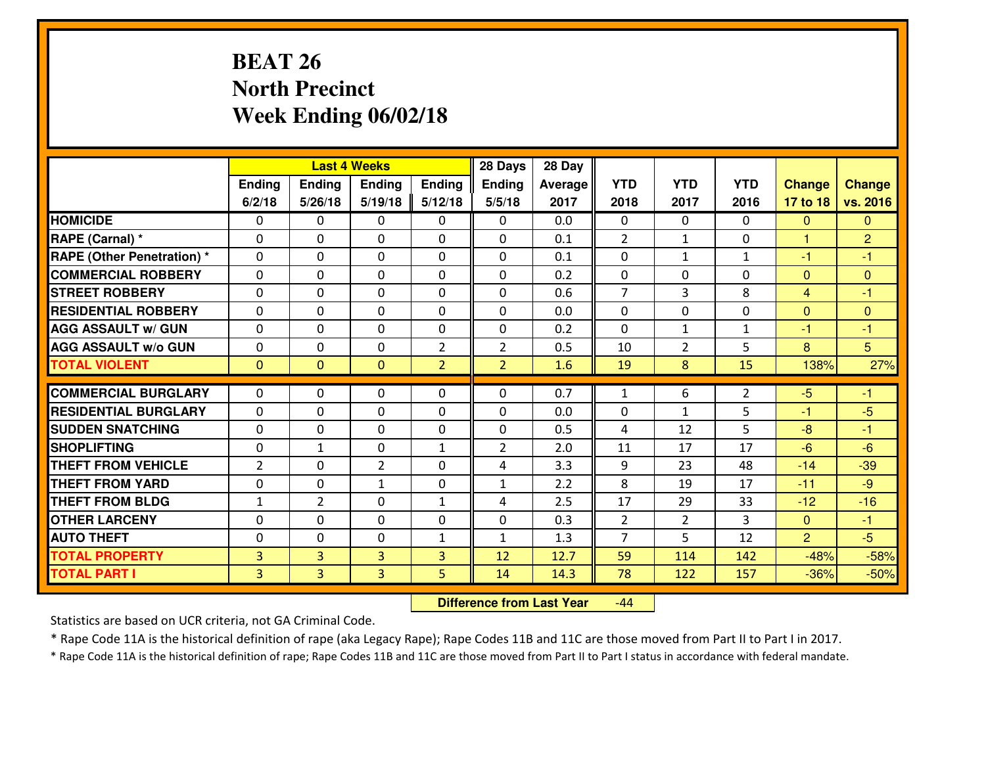# **BEAT 26 North PrecinctWeek Ending 06/02/18**

|                                   |                |                | <b>Last 4 Weeks</b> |                | 28 Days        | 28 Day  |                |                |                |                |                |
|-----------------------------------|----------------|----------------|---------------------|----------------|----------------|---------|----------------|----------------|----------------|----------------|----------------|
|                                   | <b>Ending</b>  | Ending         | <b>Ending</b>       | <b>Ending</b>  | <b>Ending</b>  | Average | <b>YTD</b>     | <b>YTD</b>     | <b>YTD</b>     | <b>Change</b>  | <b>Change</b>  |
|                                   | 6/2/18         | 5/26/18        | 5/19/18             | 5/12/18        | 5/5/18         | 2017    | 2018           | 2017           | 2016           | 17 to 18       | vs. 2016       |
| <b>HOMICIDE</b>                   | $\Omega$       | 0              | $\mathbf{0}$        | 0              | $\Omega$       | 0.0     | $\Omega$       | $\Omega$       | 0              | $\mathbf{0}$   | $\mathbf{0}$   |
| RAPE (Carnal) *                   | $\Omega$       | 0              | $\mathbf{0}$        | 0              | $\Omega$       | 0.1     | 2              | $\mathbf{1}$   | 0              | 1              | $\overline{2}$ |
| <b>RAPE (Other Penetration) *</b> | 0              | 0              | $\mathbf 0$         | $\Omega$       | 0              | 0.1     | $\mathbf{0}$   | $\mathbf{1}$   | $\mathbf{1}$   | $-1$           | $-1$           |
| <b>COMMERCIAL ROBBERY</b>         | 0              | 0              | $\mathbf 0$         | 0              | 0              | 0.2     | 0              | $\mathbf{0}$   | 0              | $\mathbf{0}$   | $\mathbf{0}$   |
| <b>STREET ROBBERY</b>             | 0              | 0              | $\mathbf 0$         | 0              | 0              | 0.6     | $\overline{7}$ | $\overline{3}$ | 8              | $\overline{4}$ | $-1$           |
| <b>RESIDENTIAL ROBBERY</b>        | 0              | 0              | $\mathbf 0$         | $\Omega$       | 0              | 0.0     | $\mathbf 0$    | $\Omega$       | 0              | $\mathbf{0}$   | $\mathbf{0}$   |
| <b>AGG ASSAULT W/ GUN</b>         | 0              | 0              | $\mathbf 0$         | 0              | 0              | 0.2     | 0              | $\mathbf{1}$   | $\mathbf{1}$   | $-1$           | $-1$           |
| <b>AGG ASSAULT W/o GUN</b>        | 0              | 0              | $\mathbf 0$         | $\overline{2}$ | $\overline{2}$ | 0.5     | 10             | $\overline{2}$ | 5              | 8              | 5              |
| <b>TOTAL VIOLENT</b>              | $\mathbf{0}$   | $\overline{0}$ | $\overline{0}$      | $\overline{2}$ | $\overline{2}$ | 1.6     | 19             | 8              | 15             | 138%           | 27%            |
| <b>COMMERCIAL BURGLARY</b>        | $\Omega$       | $\Omega$       | 0                   | $\Omega$       | $\Omega$       | 0.7     | $\mathbf{1}$   | 6              | $\overline{2}$ | $-5$           | $-1$           |
| <b>RESIDENTIAL BURGLARY</b>       | $\mathbf 0$    | 0              | $\mathbf 0$         | 0              | 0              | 0.0     | 0              | $\mathbf{1}$   | 5              | $-1$           | $-5$           |
| <b>SUDDEN SNATCHING</b>           | 0              | 0              | $\mathbf 0$         | 0              | 0              | 0.5     | 4              | 12             | 5              | $-8$           | $-1$           |
| <b>SHOPLIFTING</b>                | 0              | $\mathbf{1}$   | $\mathbf 0$         | $\mathbf{1}$   | $\overline{2}$ | 2.0     | 11             | 17             | 17             | $-6$           | $-6$           |
| <b>THEFT FROM VEHICLE</b>         | $\overline{2}$ | 0              | $\overline{2}$      | $\Omega$       | 4              | 3.3     | 9              | 23             | 48             | $-14$          | $-39$          |
| <b>THEFT FROM YARD</b>            | $\mathbf 0$    | 0              | $\mathbf{1}$        | 0              | $\mathbf{1}$   | 2.2     | 8              | 19             | 17             | $-11$          | $-9$           |
| <b>THEFT FROM BLDG</b>            | $\mathbf{1}$   | $\overline{2}$ | $\mathbf 0$         | $\mathbf{1}$   | 4              | 2.5     | 17             | 29             | 33             | $-12$          | $-16$          |
| <b>OTHER LARCENY</b>              | 0              | 0              | $\mathbf 0$         | 0              | 0              | 0.3     | $\overline{2}$ | $\overline{2}$ | 3              | $\mathbf{0}$   | $-1$           |
| <b>AUTO THEFT</b>                 | $\mathbf{0}$   | 0              | $\mathbf{0}$        | $\mathbf{1}$   | $\mathbf{1}$   | 1.3     | $\overline{7}$ | 5              | 12             | 2              | $-5$           |
| <b>TOTAL PROPERTY</b>             | 3              | 3              | 3                   | 3              | 12             | 12.7    | 59             | 114            | 142            | $-48%$         | $-58%$         |
| <b>TOTAL PART I</b>               | $\overline{3}$ | $\overline{3}$ | 3                   | 5              | 14             | 14.3    | 78             | 122            | 157            | $-36%$         | $-50%$         |
|                                   |                |                |                     |                |                |         |                |                |                |                |                |

 **Difference from Last Year**-44

Statistics are based on UCR criteria, not GA Criminal Code.

\* Rape Code 11A is the historical definition of rape (aka Legacy Rape); Rape Codes 11B and 11C are those moved from Part II to Part I in 2017.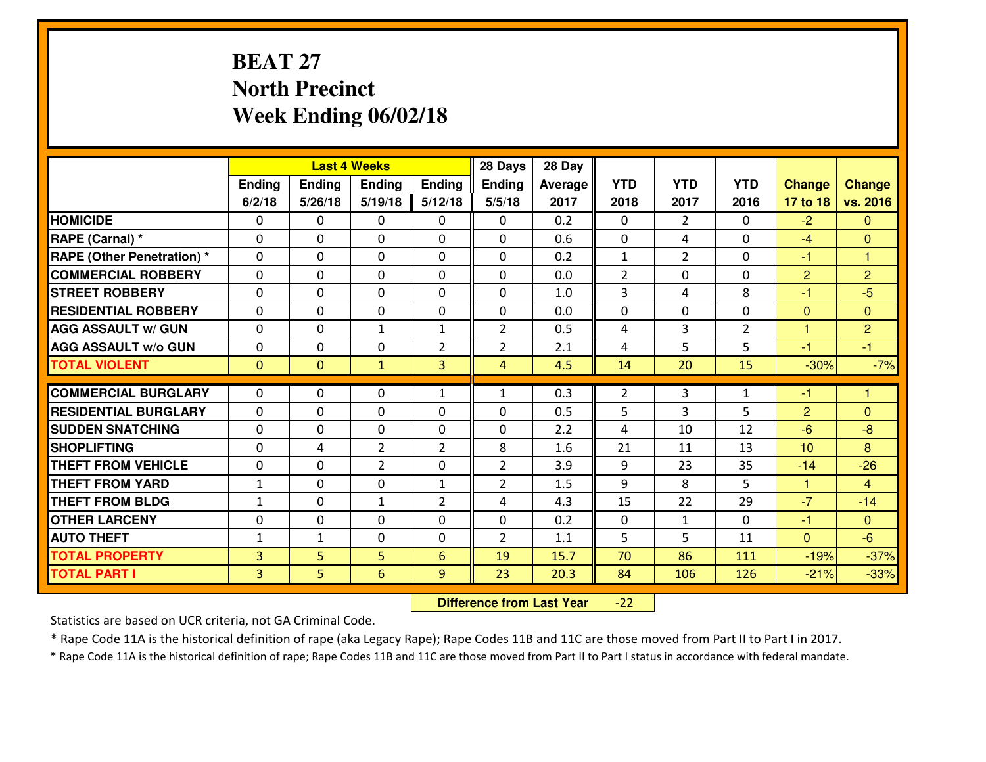# **BEAT 27 North PrecinctWeek Ending 06/02/18**

|                                   |                |                | 28 Days<br><b>Last 4 Weeks</b><br>Ending<br>Ending<br><b>Ending</b><br>Ending |                |                | 28 Day  |                |                |                |                |                |
|-----------------------------------|----------------|----------------|-------------------------------------------------------------------------------|----------------|----------------|---------|----------------|----------------|----------------|----------------|----------------|
|                                   |                |                |                                                                               |                | <b>Ending</b>  | Average | <b>YTD</b>     | <b>YTD</b>     | <b>YTD</b>     | <b>Change</b>  | <b>Change</b>  |
|                                   | 6/2/18         | 5/26/18        | 5/19/18                                                                       | 5/12/18        | 5/5/18         | 2017    | 2018           | 2017           | 2016           | 17 to 18       | vs. 2016       |
| <b>HOMICIDE</b>                   | $\Omega$       | 0              | $\Omega$                                                                      | 0              | $\Omega$       | 0.2     | $\Omega$       | $\overline{2}$ | 0              | $-2$           | $\mathbf{0}$   |
| RAPE (Carnal) *                   | $\Omega$       | 0              | $\mathbf{0}$                                                                  | $\Omega$       | $\Omega$       | 0.6     | $\Omega$       | 4              | $\Omega$       | $-4$           | $\Omega$       |
| <b>RAPE (Other Penetration) *</b> | 0              | 0              | $\mathbf 0$                                                                   | 0              | 0              | 0.2     | $\mathbf{1}$   | $\overline{2}$ | 0              | $-1$           | $\mathbf{1}$   |
| <b>COMMERCIAL ROBBERY</b>         | 0              | 0              | $\mathbf 0$                                                                   | 0              | 0              | 0.0     | 2              | $\mathbf 0$    | 0              | $\overline{2}$ | $\overline{2}$ |
| <b>STREET ROBBERY</b>             | 0              | 0              | $\mathbf 0$                                                                   | 0              | $\mathbf 0$    | 1.0     | $\overline{3}$ | 4              | 8              | $-1$           | $-5$           |
| <b>RESIDENTIAL ROBBERY</b>        | $\Omega$       | 0              | $\mathbf 0$                                                                   | 0              | 0              | 0.0     | $\mathbf 0$    | $\mathbf 0$    | 0              | $\mathbf{0}$   | $\overline{0}$ |
| <b>AGG ASSAULT W/ GUN</b>         | 0              | 0              | $\mathbf{1}$                                                                  | $\mathbf{1}$   | $\overline{2}$ | 0.5     | 4              | $\overline{3}$ | $\overline{2}$ | $\mathbf{1}$   | $\overline{2}$ |
| <b>AGG ASSAULT W/o GUN</b>        | 0              | 0              | $\mathbf 0$                                                                   | $\overline{2}$ | $\overline{2}$ | 2.1     | 4              | 5              | 5              | $-1$           | $-1$           |
| <b>TOTAL VIOLENT</b>              | $\mathbf{O}$   | $\overline{0}$ | $\mathbf{1}$                                                                  | 3              | $\overline{4}$ | 4.5     | 14             | 20             | 15             | $-30%$         | $-7%$          |
|                                   |                |                |                                                                               |                |                |         |                |                |                |                |                |
| <b>COMMERCIAL BURGLARY</b>        | $\Omega$       | 0              | $\mathbf{0}$                                                                  | $\mathbf{1}$   | $\mathbf{1}$   | 0.3     | 2              | 3              | $\mathbf{1}$   | $-1$           | $\mathbf{1}$   |
| <b>RESIDENTIAL BURGLARY</b>       | 0              | 0              | $\mathbf 0$                                                                   | 0              | $\Omega$       | 0.5     | 5              | 3              | 5              | $\overline{2}$ | $\mathbf{0}$   |
| <b>SUDDEN SNATCHING</b>           | 0              | 0              | $\mathbf 0$                                                                   | 0              | $\mathbf 0$    | 2.2     | 4              | 10             | 12             | $-6$           | $-8$           |
| <b>SHOPLIFTING</b>                | 0              | 4              | $\overline{2}$                                                                | $\overline{2}$ | 8              | 1.6     | 21             | 11             | 13             | 10             | 8              |
| <b>THEFT FROM VEHICLE</b>         | 0              | 0              | $\overline{2}$                                                                | 0              | $\overline{2}$ | 3.9     | 9              | 23             | 35             | $-14$          | $-26$          |
| <b>THEFT FROM YARD</b>            | $\mathbf 1$    | 0              | $\mathbf 0$                                                                   | $\mathbf{1}$   | $\overline{2}$ | 1.5     | 9              | 8              | 5              | $\mathbf{1}$   | $\overline{4}$ |
| <b>THEFT FROM BLDG</b>            | $\mathbf{1}$   | 0              | $\mathbf{1}$                                                                  | $\overline{2}$ | 4              | 4.3     | 15             | 22             | 29             | $-7$           | $-14$          |
| <b>OTHER LARCENY</b>              | $\mathbf 0$    | 0              | $\mathbf 0$                                                                   | 0              | 0              | 0.2     | $\mathbf 0$    | $\mathbf{1}$   | 0              | $-1$           | $\overline{0}$ |
| <b>AUTO THEFT</b>                 | $\mathbf{1}$   | 1              | $\mathbf 0$                                                                   | 0              | $\overline{2}$ | 1.1     | 5              | 5              | 11             | $\overline{0}$ | $-6$           |
| <b>TOTAL PROPERTY</b>             | $\overline{3}$ | 5              | 5                                                                             | 6              | 19             | 15.7    | 70             | 86             | 111            | $-19%$         | $-37%$         |
| <b>TOTAL PART I</b>               | $\overline{3}$ | 5              | $6\overline{6}$                                                               | 9              | 23             | 20.3    | 84             | 106            | 126            | $-21%$         | $-33%$         |

 **Difference from Last Year** $-22$ 

Statistics are based on UCR criteria, not GA Criminal Code.

\* Rape Code 11A is the historical definition of rape (aka Legacy Rape); Rape Codes 11B and 11C are those moved from Part II to Part I in 2017.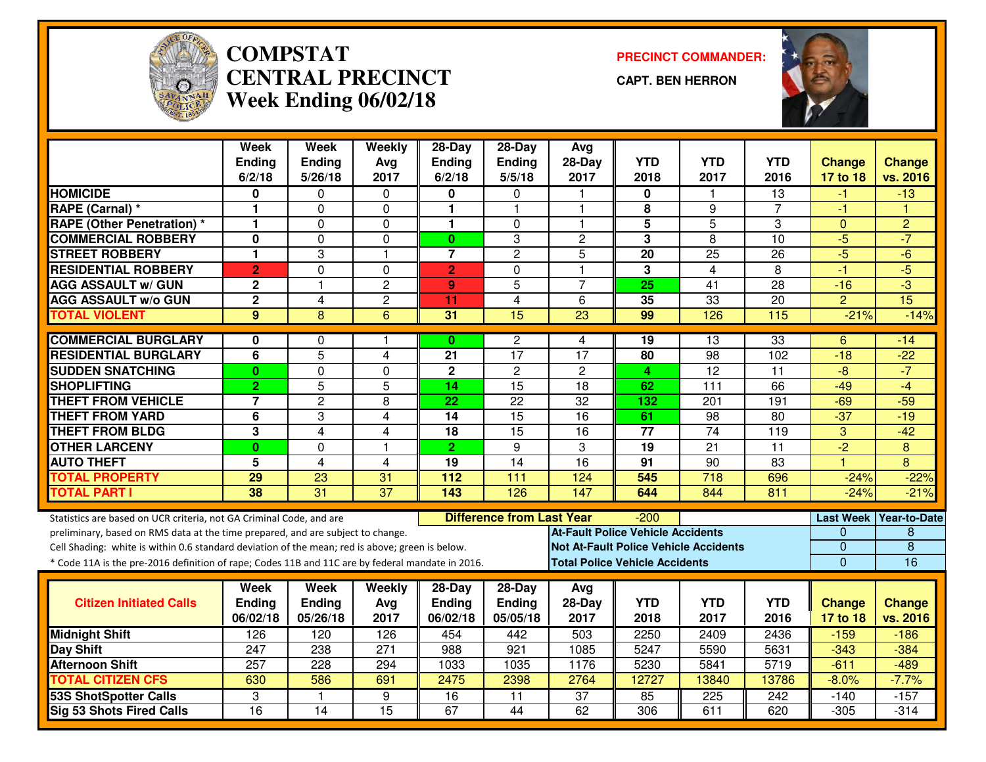

#### **COMPSTAT PRECINCT COMMANDER: CENTRAL PRECINCTWeek Ending 06/02/18**

**CAPT. BEN HERRON**



|                                                                                                  | <b>Week</b><br><b>Ending</b> | <b>Week</b><br><b>Ending</b> | Weekly<br>Avg           | 28-Day<br><b>Ending</b> | 28-Day<br>Ending                 | Avg<br>$28-Day$                       | <b>YTD</b>              | <b>YTD</b>                                   | <b>YTD</b>       | <b>Change</b>    | <b>Change</b>       |
|--------------------------------------------------------------------------------------------------|------------------------------|------------------------------|-------------------------|-------------------------|----------------------------------|---------------------------------------|-------------------------|----------------------------------------------|------------------|------------------|---------------------|
|                                                                                                  | 6/2/18                       | 5/26/18                      | 2017                    | 6/2/18                  | 5/5/18                           | 2017                                  | 2018                    | 2017                                         | 2016             | 17 to 18         | vs. 2016            |
| <b>HOMICIDE</b>                                                                                  | 0                            | 0                            | 0                       | 0                       | 0                                |                                       | 0                       | 1                                            | $\overline{13}$  | -1               | $-13$               |
| RAPE (Carnal) *                                                                                  | 1                            | 0                            | 0                       | $\mathbf{1}$            | 1                                | $\overline{\mathbf{1}}$               | 8                       | 9                                            | 7                | $-1$             | н                   |
| <b>RAPE (Other Penetration) *</b>                                                                | $\mathbf{1}$                 | 0                            | 0                       | $\mathbf{1}$            | $\mathbf{0}$                     | $\mathbf 1$                           | $\overline{\mathbf{5}}$ | $\overline{5}$                               | 3                | $\mathbf{0}$     | $\overline{2}$      |
| <b>COMMERCIAL ROBBERY</b>                                                                        | 0                            | 0                            | $\Omega$                | $\mathbf{0}$            | 3                                | $\overline{c}$                        | 3                       | 8                                            | 10               | $-5$             | $-7$                |
| <b>STREET ROBBERY</b>                                                                            | $\mathbf{1}$                 | 3                            | $\overline{\mathbf{1}}$ | $\overline{7}$          | $\overline{2}$                   | 5                                     | 20                      | 25                                           | 26               | $-5$             | $-6$                |
| <b>RESIDENTIAL ROBBERY</b>                                                                       | $\overline{2}$               | 0                            | $\Omega$                | $\overline{2}$          | $\mathbf{0}$                     | $\mathbf{1}$                          | 3                       | $\overline{4}$                               | 8                | $-1$             | $-5$                |
| <b>AGG ASSAULT w/ GUN</b>                                                                        | $\mathbf 2$                  | 1                            | $\overline{c}$          | 9                       | 5                                | $\overline{7}$                        | 25                      | $\overline{41}$                              | $\overline{28}$  | $-16$            | $-3$                |
| <b>AGG ASSAULT W/o GUN</b>                                                                       | $\overline{2}$               | $\overline{4}$               | $\overline{2}$          | 11                      | $\overline{4}$                   | 6                                     | 35                      | 33                                           | $\overline{20}$  | $\overline{2}$   | $\overline{15}$     |
| <b>TOTAL VIOLENT</b>                                                                             | 9                            | 8                            | 6                       | 31                      | $\overline{15}$                  | 23                                    | 99                      | 126                                          | 115              | $-21%$           | $-14%$              |
| <b>COMMERCIAL BURGLARY</b>                                                                       | 0                            | 0                            | -1                      | $\mathbf{0}$            | 2                                | 4                                     | 19                      | 13                                           | 33               | 6                | -14                 |
| <b>RESIDENTIAL BURGLARY</b>                                                                      | 6                            | 5                            | 4                       | 21                      | $\overline{17}$                  | $\overline{17}$                       | 80                      | 98                                           | 102              | $-18$            | $-22$               |
| <b>SUDDEN SNATCHING</b>                                                                          | $\mathbf{0}$                 | 0                            | $\Omega$                | $\mathbf{2}$            | $\overline{c}$                   | $\mathbf{2}$                          | 4                       | $\overline{12}$                              | 11               | $-8$             | $-7$                |
| <b>SHOPLIFTING</b>                                                                               | $\overline{2}$               | $\overline{5}$               | 5                       | 14                      | $\overline{15}$                  | $\overline{18}$                       | 62                      | 111                                          | 66               | $-49$            | $-4$                |
| <b>THEFT FROM VEHICLE</b>                                                                        | $\overline{7}$               | $\overline{2}$               | 8                       | $\overline{22}$         | $\overline{22}$                  | $\overline{32}$                       | $\overline{132}$        | $\overline{201}$                             | 191              | $-69$            | $-59$               |
| <b>THEFT FROM YARD</b>                                                                           | 6                            | 3                            | 4                       | 14                      | $\overline{15}$                  | $\overline{16}$                       | 61                      | $\overline{98}$                              | $\overline{80}$  | $-37$            | $-19$               |
| <b>THEFT FROM BLDG</b>                                                                           | 3                            | $\overline{4}$               | 4                       | 18                      | 15                               | 16                                    | 77                      | 74                                           | 119              | 3                | $-42$               |
| <b>OTHER LARCENY</b>                                                                             | $\bf{0}$                     | 0                            | $\overline{\mathbf{1}}$ | $\overline{2}$          | $\overline{9}$                   | 3                                     | 19                      | $\overline{21}$                              | $\overline{11}$  | $-2$             | $\overline{8}$      |
| <b>AUTO THEFT</b>                                                                                | 5                            | $\overline{4}$               | $\overline{4}$          | 19                      | $\overline{14}$                  | $\overline{16}$                       | $\overline{91}$         | $\overline{90}$                              | $\overline{83}$  | $\overline{1}$   | 8                   |
| <b>TOTAL PROPERTY</b>                                                                            | 29                           | 23                           | 31                      | 112                     | 111                              | 124                                   | 545                     | 718                                          | 696              | $-24%$           | $-22%$              |
| <b>TOTAL PART I</b>                                                                              | 38                           | $\overline{31}$              | $\overline{37}$         | 143                     | 126                              | 147                                   | 644                     | 844                                          | 811              | $-24%$           | $-21%$              |
| Statistics are based on UCR criteria, not GA Criminal Code, and are                              |                              |                              |                         |                         | <b>Difference from Last Year</b> |                                       | $-200$                  |                                              |                  | <b>Last Week</b> | <b>Year-to-Date</b> |
| preliminary, based on RMS data at the time prepared, and are subject to change.                  |                              |                              |                         |                         |                                  | At-Fault Police Vehicle Accidents     |                         |                                              |                  | 0                | 8                   |
| Cell Shading: white is within 0.6 standard deviation of the mean; red is above; green is below.  |                              |                              |                         |                         |                                  |                                       |                         | <b>Not At-Fault Police Vehicle Accidents</b> |                  | $\mathbf{0}$     | $\overline{8}$      |
| * Code 11A is the pre-2016 definition of rape; Codes 11B and 11C are by federal mandate in 2016. |                              |                              |                         |                         |                                  | <b>Total Police Vehicle Accidents</b> |                         |                                              |                  | $\mathbf 0$      | 16                  |
|                                                                                                  | Week                         | Week                         | Weekly                  | $28-Day$                | $28-Day$                         | Avg                                   |                         |                                              |                  |                  |                     |
| <b>Citizen Initiated Calls</b>                                                                   | <b>Ending</b>                | <b>Ending</b>                | Avg                     | <b>Ending</b>           | Ending                           | 28-Day                                | <b>YTD</b>              | YTD                                          | <b>YTD</b>       | <b>Change</b>    | <b>Change</b>       |
|                                                                                                  | 06/02/18                     | 05/26/18                     | 2017                    | 06/02/18                | 05/05/18                         | 2017                                  | 2018                    | 2017                                         | 2016             | 17 to 18         | vs. 2016            |
| <b>Midnight Shift</b>                                                                            | 126                          | 120                          | 126                     | 454                     | 442                              | 503                                   | 2250                    | 2409                                         | 2436             | $-159$           | $-186$              |
| Day Shift                                                                                        | 247                          | 238                          | $\overline{271}$        | 988                     | 921                              | 1085                                  | 5247                    | 5590                                         | 5631             | $-343$           | $-384$              |
| <b>Afternoon Shift</b>                                                                           | 257                          | 228                          | 294                     | 1033                    | 1035                             | 1176                                  | 5230                    | 5841                                         | 5719             | $-611$           | $-489$              |
| <b>TOTAL CITIZEN CFS</b>                                                                         | 630                          | 586                          | 691                     | 2475                    | 2398                             | 2764                                  | 12727                   | 13840                                        | 13786            | $-8.0%$          | $-7.7%$             |
| <b>53S ShotSpotter Calls</b>                                                                     | 3                            | 1.                           | 9                       | 16                      | 11                               | $\overline{37}$                       | 85                      | 225                                          | $\overline{242}$ | $-140$           | $-157$              |
| <b>Sig 53 Shots Fired Calls</b>                                                                  | 16                           | 14                           | 15                      | 67                      | 44                               | 62                                    | 306                     | 611                                          | 620              | $-305$           | $-314$              |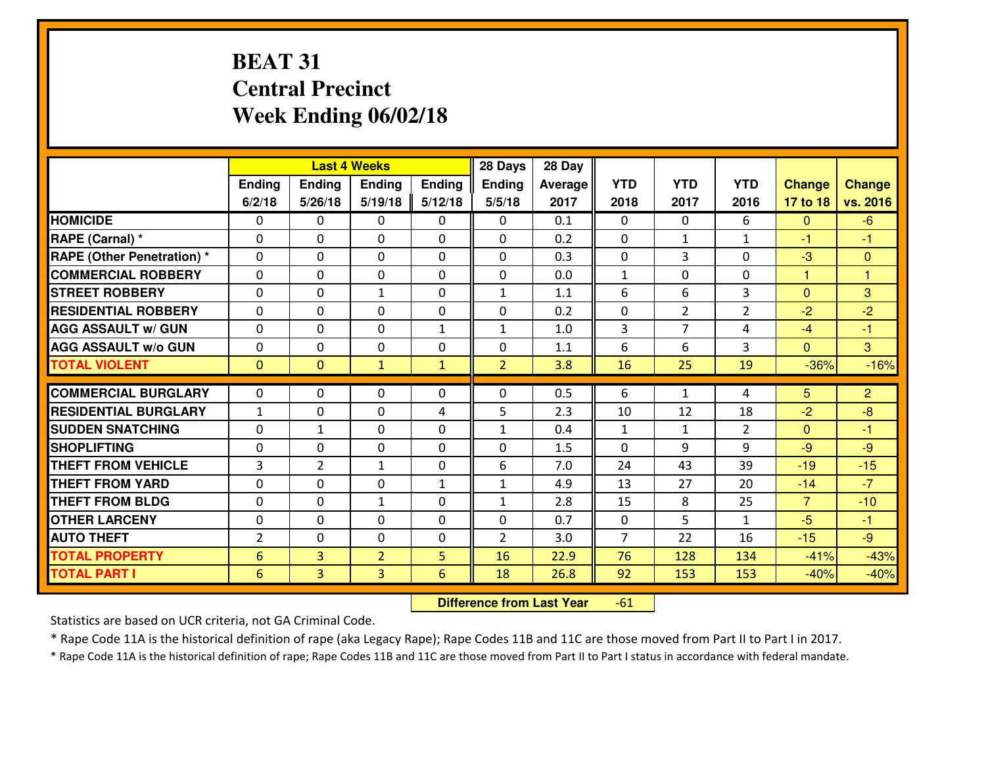# **BEAT 31 Central PrecinctWeek Ending 06/02/18**

|                                  | <b>Last 4 Weeks</b> |                |                |                | 28 Days        | 28 Day         |                |                |                |                |                |
|----------------------------------|---------------------|----------------|----------------|----------------|----------------|----------------|----------------|----------------|----------------|----------------|----------------|
|                                  | <b>Ending</b>       | <b>Ending</b>  | <b>Ending</b>  | Ending         | <b>Ending</b>  | <b>Average</b> | <b>YTD</b>     | <b>YTD</b>     | <b>YTD</b>     | <b>Change</b>  | <b>Change</b>  |
|                                  | 6/2/18              | 5/26/18        | 5/19/18        | 5/12/18        | 5/5/18         | 2017           | 2018           | 2017           | 2016           | 17 to 18       | vs. 2016       |
| <b>HOMICIDE</b>                  | $\Omega$            | 0              | $\Omega$       | $\Omega$       | 0              | 0.1            | $\Omega$       | $\Omega$       | 6              | $\mathbf{0}$   | $-6$           |
| RAPE (Carnal) *                  | $\Omega$            | 0              | $\Omega$       | $\Omega$       | $\Omega$       | 0.2            | $\Omega$       | $\mathbf{1}$   | $\mathbf{1}$   | $-1$           | $-1$           |
| <b>RAPE (Other Penetration)*</b> | 0                   | 0              | $\mathbf 0$    | 0              | 0              | 0.3            | $\mathbf 0$    | 3              | 0              | $-3$           | $\overline{0}$ |
| <b>COMMERCIAL ROBBERY</b>        | 0                   | 0              | $\mathbf 0$    | 0              | 0              | 0.0            | $\mathbf{1}$   | $\mathbf 0$    | 0              | $\mathbf{1}$   | $\mathbf{1}$   |
| <b>STREET ROBBERY</b>            | $\mathbf{0}$        | 0              | $\mathbf{1}$   | 0              | $\mathbf{1}$   | 1.1            | 6              | 6              | 3              | $\mathbf 0$    | 3              |
| <b>RESIDENTIAL ROBBERY</b>       | $\Omega$            | 0              | $\mathbf 0$    | 0              | 0              | 0.2            | $\mathbf 0$    | $\overline{2}$ | $\overline{2}$ | $-2$           | $-2$           |
| <b>AGG ASSAULT w/ GUN</b>        | 0                   | 0              | $\mathbf 0$    | $\mathbf{1}$   | $\mathbf{1}$   | 1.0            | 3              | $\overline{7}$ | 4              | $-4$           | $-1$           |
| <b>AGG ASSAULT W/o GUN</b>       | 0                   | 0              | 0              | 0              | 0              | 1.1            | 6              | 6              | 3              | $\mathbf{0}$   | 3              |
| <b>TOTAL VIOLENT</b>             | $\mathbf{0}$        | $\overline{0}$ | $\mathbf{1}$   | $\mathbf{1}$   | $\overline{2}$ | 3.8            | 16             | 25             | 19             | $-36%$         | $-16%$         |
|                                  |                     |                |                |                |                |                |                |                |                |                |                |
| <b>COMMERCIAL BURGLARY</b>       | $\Omega$            | 0              | $\mathbf{0}$   | 0              | $\Omega$       | 0.5            | 6              | $\mathbf{1}$   | 4              | 5              | $\overline{2}$ |
| <b>RESIDENTIAL BURGLARY</b>      | $\mathbf{1}$        | 0              | 0              | 4              | 5              | 2.3            | 10             | 12             | 18             | $-2$           | $-8$           |
| <b>SUDDEN SNATCHING</b>          | $\mathbf{0}$        | 1              | 0              | 0              | $\mathbf{1}$   | 0.4            | $\mathbf{1}$   | $\mathbf{1}$   | $\overline{2}$ | $\mathbf{0}$   | $-1$           |
| <b>SHOPLIFTING</b>               | 0                   | 0              | $\mathbf 0$    | 0              | 0              | 1.5            | $\mathbf 0$    | 9              | 9              | $-9$           | $-9$           |
| <b>THEFT FROM VEHICLE</b>        | $\overline{3}$      | $\overline{2}$ | $\mathbf{1}$   | 0              | 6              | 7.0            | 24             | 43             | 39             | $-19$          | $-15$          |
| <b>THEFT FROM YARD</b>           | 0                   | 0              | 0              | $\mathbf{1}$   | $\mathbf{1}$   | 4.9            | 13             | 27             | 20             | $-14$          | $-7$           |
| <b>THEFT FROM BLDG</b>           | 0                   | 0              | $\mathbf{1}$   | 0              | $\mathbf{1}$   | 2.8            | 15             | 8              | 25             | $\overline{7}$ | $-10$          |
| <b>OTHER LARCENY</b>             | 0                   | 0              | 0              | 0              | 0              | 0.7            | $\mathbf 0$    | 5              | $\mathbf{1}$   | $-5$           | $-1$           |
| <b>AUTO THEFT</b>                | $\overline{2}$      | 0              | $\mathbf 0$    | 0              | $\overline{2}$ | 3.0            | $\overline{7}$ | 22             | 16             | $-15$          | $-9$           |
| <b>TOTAL PROPERTY</b>            | 6                   | 3              | $\overline{2}$ | 5              | 16             | 22.9           | 76             | 128            | 134            | $-41%$         | $-43%$         |
| <b>TOTAL PART I</b>              | 6                   | $\overline{3}$ | 3              | $6\phantom{1}$ | 18             | 26.8           | 92             | 153            | 153            | $-40%$         | $-40%$         |

 **Difference from Last Year**-61

Statistics are based on UCR criteria, not GA Criminal Code.

\* Rape Code 11A is the historical definition of rape (aka Legacy Rape); Rape Codes 11B and 11C are those moved from Part II to Part I in 2017.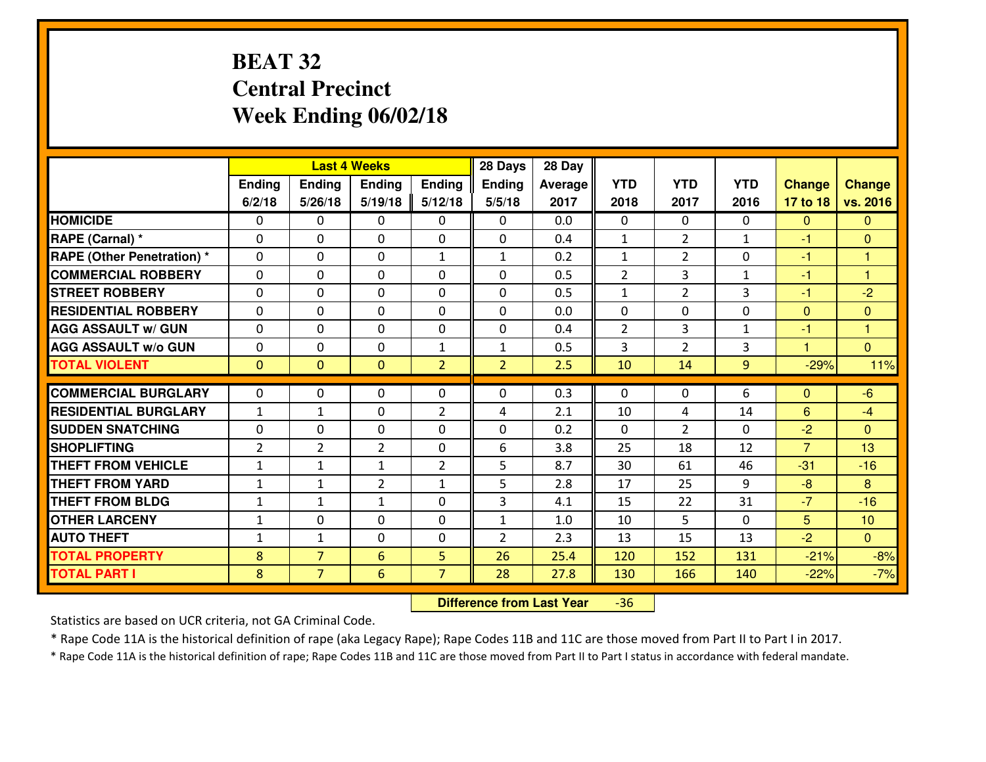# **BEAT 32 Central PrecinctWeek Ending 06/02/18**

|                                  |                |                | <b>Last 4 Weeks</b> |                | 28 Days        | 28 Day  |                |                |              |                |                         |
|----------------------------------|----------------|----------------|---------------------|----------------|----------------|---------|----------------|----------------|--------------|----------------|-------------------------|
|                                  | Ending         | Ending         | Ending              | <b>Ending</b>  | <b>Ending</b>  | Average | <b>YTD</b>     | <b>YTD</b>     | <b>YTD</b>   | <b>Change</b>  | <b>Change</b>           |
|                                  | 6/2/18         | 5/26/18        | 5/19/18             | 5/12/18        | 5/5/18         | 2017    | 2018           | 2017           | 2016         | 17 to 18       | vs. 2016                |
| <b>HOMICIDE</b>                  | 0              | 0              | 0                   | 0              | 0              | 0.0     | 0              | $\Omega$       | 0            | $\mathbf{0}$   | $\mathbf{0}$            |
| RAPE (Carnal) *                  | $\mathbf{0}$   | 0              | 0                   | 0              | 0              | 0.4     | $\mathbf{1}$   | $\overline{2}$ | $\mathbf{1}$ | -1             | $\overline{0}$          |
| <b>RAPE (Other Penetration)*</b> | $\Omega$       | $\Omega$       | $\mathbf 0$         | $\mathbf{1}$   | $\mathbf{1}$   | 0.2     | $\mathbf{1}$   | $\overline{2}$ | $\Omega$     | $-1$           | 1                       |
| <b>COMMERCIAL ROBBERY</b>        | $\Omega$       | $\Omega$       | $\mathbf 0$         | $\Omega$       | $\Omega$       | 0.5     | $\overline{2}$ | 3              | $\mathbf{1}$ | $-1$           | $\overline{\mathbf{1}}$ |
| <b>ISTREET ROBBERY</b>           | $\mathbf{0}$   | 0              | $\mathbf{0}$        | 0              | $\Omega$       | 0.5     | $\mathbf{1}$   | $\overline{2}$ | 3            | $-1$           | $-2$                    |
| <b>RESIDENTIAL ROBBERY</b>       | 0              | 0              | $\mathbf 0$         | 0              | 0              | 0.0     | 0              | $\mathbf{0}$   | 0            | $\mathbf{0}$   | $\mathbf{0}$            |
| <b>AGG ASSAULT W/ GUN</b>        | 0              | 0              | $\mathbf 0$         | 0              | 0              | 0.4     | $\overline{2}$ | 3              | $\mathbf{1}$ | $-1$           | $\mathbf{1}$            |
| <b>AGG ASSAULT W/o GUN</b>       | 0              | 0              | $\mathbf 0$         | $\mathbf{1}$   | $\mathbf{1}$   | 0.5     | 3              | $\overline{2}$ | 3            | 1              | $\overline{0}$          |
| <b>TOTAL VIOLENT</b>             | $\mathbf{0}$   | $\overline{0}$ | $\mathbf{O}$        | $\overline{2}$ | $\overline{2}$ | 2.5     | 10             | 14             | 9            | $-29%$         | 11%                     |
| <b>COMMERCIAL BURGLARY</b>       | $\Omega$       | 0              | $\mathbf{0}$        | $\Omega$       | $\Omega$       | 0.3     | $\Omega$       | $\Omega$       | 6            | $\Omega$       | $-6$                    |
|                                  |                |                |                     |                |                |         |                |                |              |                |                         |
| <b>RESIDENTIAL BURGLARY</b>      | $\mathbf{1}$   | $\mathbf{1}$   | $\mathbf 0$         | $\overline{2}$ | 4              | 2.1     | 10             | 4              | 14           | 6              | $-4$                    |
| <b>SUDDEN SNATCHING</b>          | 0              | 0              | $\mathbf 0$         | $\Omega$       | 0              | 0.2     | $\Omega$       | $\overline{2}$ | 0            | $-2$           | $\Omega$                |
| <b>SHOPLIFTING</b>               | $\overline{2}$ | $\overline{2}$ | $\overline{2}$      | 0              | 6              | 3.8     | 25             | 18             | 12           | $\overline{7}$ | 13                      |
| <b>THEFT FROM VEHICLE</b>        | $\mathbf{1}$   | $\mathbf{1}$   | $\mathbf{1}$        | $\overline{2}$ | 5              | 8.7     | 30             | 61             | 46           | $-31$          | $-16$                   |
| <b>THEFT FROM YARD</b>           | $1\,$          | $\mathbf{1}$   | $\overline{2}$      | $\mathbf{1}$   | 5              | 2.8     | 17             | 25             | 9            | $-8$           | 8                       |
| <b>THEFT FROM BLDG</b>           | $\mathbf{1}$   | $\mathbf{1}$   | 1                   | 0              | 3              | 4.1     | 15             | 22             | 31           | $-7$           | $-16$                   |
| <b>OTHER LARCENY</b>             | $\mathbf{1}$   | 0              | $\mathbf 0$         | 0              | $\mathbf{1}$   | 1.0     | 10             | 5              | 0            | 5              | 10                      |
| <b>AUTO THEFT</b>                | $\mathbf{1}$   | $\mathbf{1}$   | 0                   | 0              | $\overline{2}$ | 2.3     | 13             | 15             | 13           | $-2$           | $\overline{0}$          |
| <b>TOTAL PROPERTY</b>            | 8              | $\overline{7}$ | 6                   | 5              | 26             | 25.4    | 120            | 152            | 131          | $-21%$         | $-8%$                   |
| <b>TOTAL PART I</b>              | 8              | $\overline{7}$ | $6\phantom{1}$      | $\overline{7}$ | 28             | 27.8    | 130            | 166            | 140          | $-22%$         | $-7%$                   |

 **Difference from Last Year**-36

Statistics are based on UCR criteria, not GA Criminal Code.

\* Rape Code 11A is the historical definition of rape (aka Legacy Rape); Rape Codes 11B and 11C are those moved from Part II to Part I in 2017.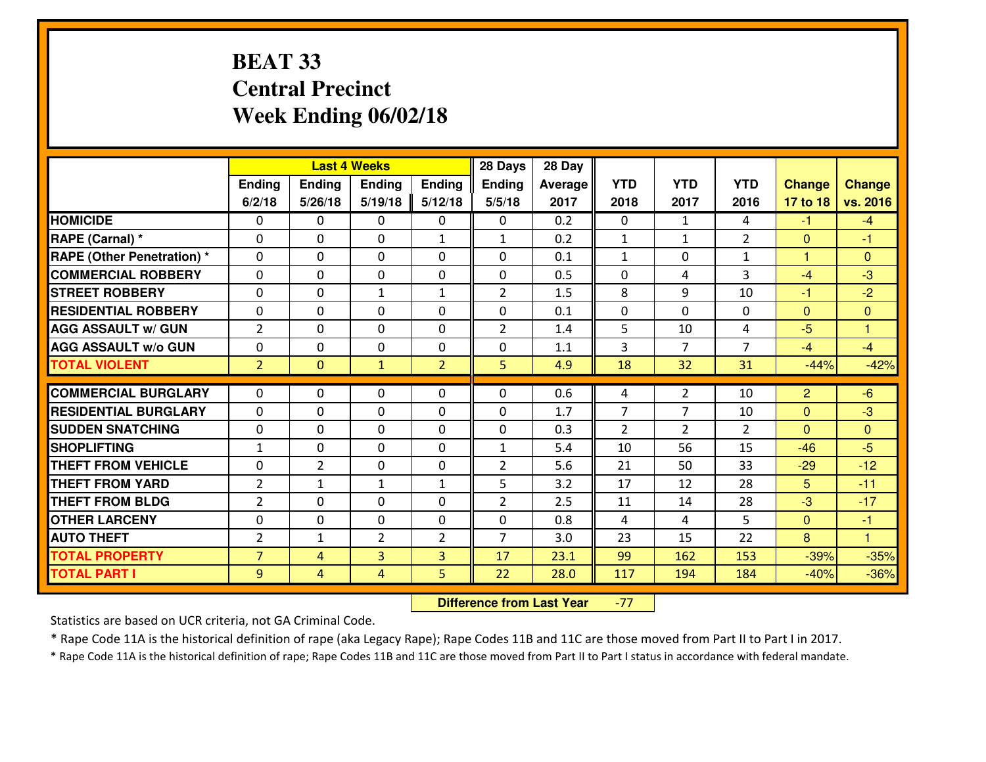# **BEAT 33 Central PrecinctWeek Ending 06/02/18**

|                                   |                |                | <b>Last 4 Weeks</b> |                | 28 Days        | 28 Day  |                |                      |                |               |                      |
|-----------------------------------|----------------|----------------|---------------------|----------------|----------------|---------|----------------|----------------------|----------------|---------------|----------------------|
|                                   | Ending         | <b>Ending</b>  | <b>Ending</b>       | Ending         | <b>Ending</b>  | Average | <b>YTD</b>     | <b>YTD</b>           | <b>YTD</b>     | <b>Change</b> | <b>Change</b>        |
|                                   | 6/2/18         | 5/26/18        | 5/19/18             | 5/12/18        | 5/5/18         | 2017    | 2018           | 2017                 | 2016           | 17 to 18      | vs. 2016             |
| <b>HOMICIDE</b>                   | 0              | 0              | $\Omega$            | $\mathbf{0}$   | 0              | 0.2     | 0              | $\mathbf{1}$         | 4              | $-1$          | $-4$                 |
| RAPE (Carnal) *                   | $\mathbf{0}$   | 0              | $\mathbf{0}$        | $\mathbf{1}$   | 1              | 0.2     | $\mathbf{1}$   | $\mathbf{1}$         | $\overline{2}$ | $\mathbf{0}$  | $-1$                 |
| <b>RAPE (Other Penetration) *</b> | $\Omega$       | 0              | $\mathbf{0}$        | $\Omega$       | $\Omega$       | 0.1     | $\mathbf{1}$   | $\Omega$             | $\mathbf{1}$   | 1             | $\mathbf{0}$         |
| <b>COMMERCIAL ROBBERY</b>         | $\mathbf{0}$   | 0              | $\mathbf{0}$        | 0              | $\Omega$       | 0.5     | $\mathbf{0}$   | 4                    | 3              | $-4$          | $-3$                 |
| <b>ISTREET ROBBERY</b>            | $\mathbf{0}$   | 0              | $\mathbf{1}$        | $\mathbf{1}$   | $\overline{2}$ | 1.5     | 8              | 9                    | 10             | $-1$          | $-2$                 |
| <b>RESIDENTIAL ROBBERY</b>        | $\mathbf{0}$   | 0              | $\mathbf{0}$        | 0              | 0              | 0.1     | $\mathbf{0}$   | $\Omega$             | $\Omega$       | $\mathbf{0}$  | $\mathbf{0}$         |
| <b>AGG ASSAULT W/ GUN</b>         | $\overline{2}$ | 0              | $\mathbf 0$         | 0              | $\overline{2}$ | 1.4     | 5              | 10                   | 4              | $-5$          | $\mathbf{1}$         |
| <b>AGG ASSAULT W/o GUN</b>        | 0              | 0              | 0                   | 0              | 0              | 1.1     | 3              | $\overline{7}$       | $\overline{7}$ | $-4$          | $-4$                 |
| <b>TOTAL VIOLENT</b>              | $\overline{2}$ | $\overline{0}$ | $\mathbf{1}$        | $\overline{2}$ | 5              | 4.9     | 18             | 32                   | 31             | $-44%$        | $-42%$               |
| <b>COMMERCIAL BURGLARY</b>        | $\Omega$       | 0              | $\mathbf{0}$        | $\Omega$       | $\Omega$       | 0.6     | 4              | $\overline{2}$       | 10             | 2             | $-6$                 |
| <b>RESIDENTIAL BURGLARY</b>       | $\Omega$       | 0              | $\mathbf 0$         | 0              | 0              | 1.7     | 7              | $\overline{7}$       | 10             | $\mathbf{0}$  | $-3$                 |
| <b>SUDDEN SNATCHING</b>           |                |                |                     | $\Omega$       |                | 0.3     | $\overline{2}$ |                      | $\overline{2}$ |               |                      |
| <b>SHOPLIFTING</b>                | 0              | 0<br>0         | $\mathbf 0$         |                | 0              | 5.4     |                | $\overline{2}$<br>56 | 15             | $\Omega$      | $\mathbf{0}$<br>$-5$ |
|                                   | $1\,$          |                | $\mathbf 0$         | 0              | $\mathbf{1}$   |         | 10             |                      |                | $-46$         |                      |
| <b>THEFT FROM VEHICLE</b>         | 0              | $\overline{2}$ | 0                   | $\Omega$       | $\overline{2}$ | 5.6     | 21             | 50                   | 33             | $-29$         | $-12$                |
| <b>THEFT FROM YARD</b>            | $\overline{2}$ | $\mathbf{1}$   | $\mathbf{1}$        | $\mathbf{1}$   | 5              | 3.2     | 17             | 12                   | 28             | 5             | $-11$                |
| <b>THEFT FROM BLDG</b>            | $\overline{2}$ | 0              | $\mathbf 0$         | 0              | $\overline{2}$ | 2.5     | 11             | 14                   | 28             | $-3$          | $-17$                |
| <b>OTHER LARCENY</b>              | 0              | 0              | $\mathbf 0$         | 0              | 0              | 0.8     | 4              | 4                    | 5              | $\mathbf{0}$  | $-1$                 |
| <b>AUTO THEFT</b>                 | $\overline{2}$ | $\mathbf{1}$   | $\overline{2}$      | $\overline{2}$ | $\overline{7}$ | 3.0     | 23             | 15                   | 22             | 8             | $\blacktriangleleft$ |
| <b>TOTAL PROPERTY</b>             | $\overline{7}$ | 4              | 3                   | 3              | 17             | 23.1    | 99             | 162                  | 153            | $-39%$        | $-35%$               |
| <b>TOTAL PART I</b>               | 9              | $\overline{4}$ | 4                   | 5              | 22             | 28.0    | 117            | 194                  | 184            | $-40%$        | $-36%$               |

 **Difference from Last Year**-77

Statistics are based on UCR criteria, not GA Criminal Code.

\* Rape Code 11A is the historical definition of rape (aka Legacy Rape); Rape Codes 11B and 11C are those moved from Part II to Part I in 2017.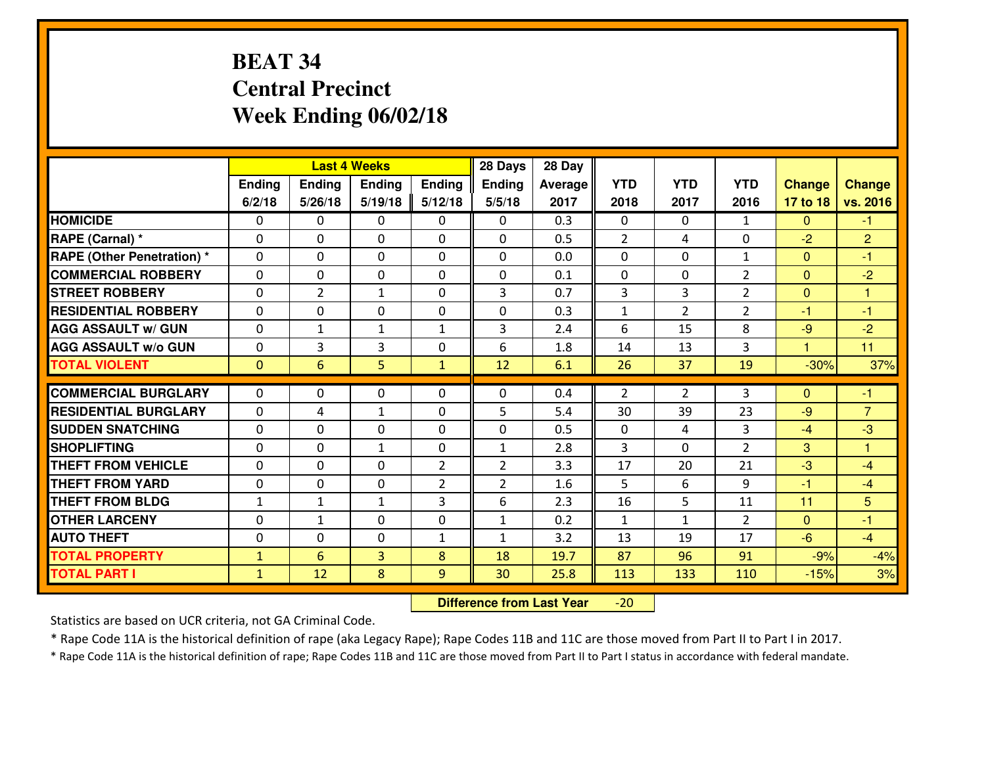# **BEAT 34 Central PrecinctWeek Ending 06/02/18**

|                             |              |                | <b>Last 4 Weeks</b> |                | 28 Days        | 28 Day  |                |                |                |                |                |
|-----------------------------|--------------|----------------|---------------------|----------------|----------------|---------|----------------|----------------|----------------|----------------|----------------|
|                             | Ending       | <b>Ending</b>  | Ending              | Ending         | <b>Ending</b>  | Average | <b>YTD</b>     | <b>YTD</b>     | <b>YTD</b>     | <b>Change</b>  | <b>Change</b>  |
|                             | 6/2/18       | 5/26/18        | 5/19/18             | 5/12/18        | 5/5/18         | 2017    | 2018           | 2017           | 2016           | 17 to 18       | vs. 2016       |
| <b>HOMICIDE</b>             | 0            | 0              | 0                   | 0              | 0              | 0.3     | $\mathbf{0}$   | $\Omega$       | $\mathbf{1}$   | $\mathbf{0}$   | $-1$           |
| RAPE (Carnal) *             | $\mathbf{0}$ | 0              | $\mathbf{0}$        | 0              | $\Omega$       | 0.5     | $\overline{2}$ | 4              | 0              | $-2$           | $\overline{2}$ |
| RAPE (Other Penetration) *  | $\Omega$     | 0              | $\mathbf{0}$        | $\Omega$       | $\Omega$       | 0.0     | $\Omega$       | 0              | $\mathbf{1}$   | $\mathbf{0}$   | -1             |
| <b>COMMERCIAL ROBBERY</b>   | $\mathbf{0}$ | 0              | $\mathbf 0$         | 0              | $\Omega$       | 0.1     | $\mathbf{0}$   | 0              | $\overline{2}$ | $\Omega$       | $-2$           |
| <b>STREET ROBBERY</b>       | 0            | $\overline{2}$ | 1                   | 0              | 3              | 0.7     | 3              | 3              | $\overline{2}$ | $\mathbf{0}$   | 1              |
| <b>RESIDENTIAL ROBBERY</b>  | 0            | 0              | $\mathbf 0$         | 0              | 0              | 0.3     | $\mathbf{1}$   | $\overline{2}$ | $\overline{2}$ | $-1$           | $-1$           |
| <b>AGG ASSAULT W/ GUN</b>   | 0            | $\mathbf{1}$   | 1                   | $\mathbf{1}$   | 3              | 2.4     | 6              | 15             | 8              | $-9$           | $-2$           |
| <b>AGG ASSAULT W/o GUN</b>  | 0            | 3              | 3                   | 0              | 6              | 1.8     | 14             | 13             | 3              | $\overline{1}$ | 11             |
| <b>TOTAL VIOLENT</b>        | $\mathbf{0}$ | 6              | 5                   | $\mathbf{1}$   | 12             | 6.1     | 26             | 37             | 19             | $-30%$         | 37%            |
| <b>COMMERCIAL BURGLARY</b>  | $\Omega$     | 0              |                     | 0              | $\Omega$       | 0.4     | 2              | $\overline{2}$ | 3              |                | $-1$           |
|                             |              |                | 0                   |                |                |         |                |                |                | $\mathbf{0}$   |                |
| <b>RESIDENTIAL BURGLARY</b> | 0            | 4              | 1                   | 0              | 5              | 5.4     | 30             | 39             | 23             | $-9$           | $\overline{7}$ |
| <b>SUDDEN SNATCHING</b>     | $\mathbf{0}$ | 0              | $\mathbf 0$         | 0              | 0              | 0.5     | $\mathbf{0}$   | 4              | 3              | $-4$           | $-3$           |
| <b>SHOPLIFTING</b>          | 0            | 0              | 1                   | 0              | $\mathbf{1}$   | 2.8     | 3              | $\Omega$       | $\overline{2}$ | 3              | 1              |
| <b>THEFT FROM VEHICLE</b>   | 0            | 0              | $\mathbf{0}$        | 2              | $\overline{2}$ | 3.3     | 17             | 20             | 21             | -3             | $-4$           |
| <b>THEFT FROM YARD</b>      | 0            | 0              | $\mathbf 0$         | $\overline{2}$ | $\overline{2}$ | 1.6     | 5              | 6              | 9              | $-1$           | $-4$           |
| <b>THEFT FROM BLDG</b>      | $\mathbf{1}$ | $\mathbf{1}$   | 1                   | 3              | 6              | 2.3     | 16             | 5              | 11             | 11             | 5              |
| <b>OTHER LARCENY</b>        | 0            | 1              | $\mathbf 0$         | 0              | $\mathbf{1}$   | 0.2     | $\mathbf{1}$   | $\mathbf{1}$   | $\overline{2}$ | $\mathbf{0}$   | $-1$           |
| <b>AUTO THEFT</b>           | 0            | 0              | $\mathbf 0$         | $\mathbf{1}$   | $\mathbf{1}$   | 3.2     | 13             | 19             | 17             | $-6$           | $-4$           |
| <b>TOTAL PROPERTY</b>       | $\mathbf{1}$ | 6              | 3                   | 8              | 18             | 19.7    | 87             | 96             | 91             | $-9%$          | $-4%$          |
| <b>TOTAL PART I</b>         | $\mathbf{1}$ | 12             | 8                   | 9              | 30             | 25.8    | 113            | 133            | 110            | $-15%$         | 3%             |

 **Difference from Last Year**-20

Statistics are based on UCR criteria, not GA Criminal Code.

\* Rape Code 11A is the historical definition of rape (aka Legacy Rape); Rape Codes 11B and 11C are those moved from Part II to Part I in 2017.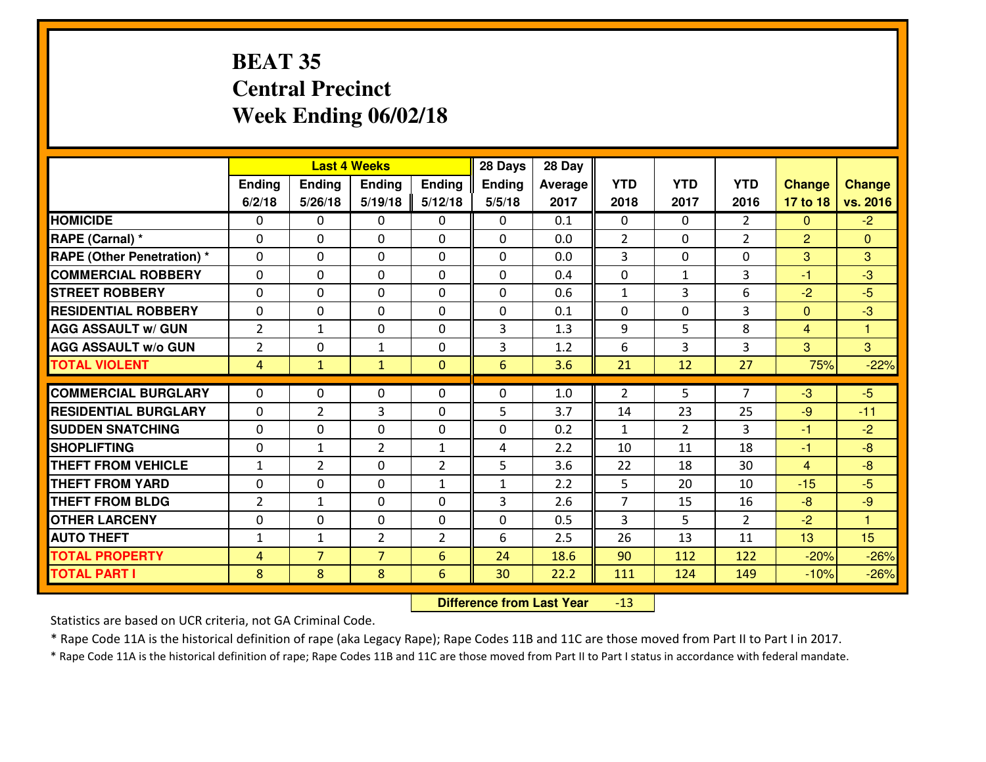# **BEAT 35 Central PrecinctWeek Ending 06/02/18**

|                                   |                |                | <b>Last 4 Weeks</b> |                | 28 Days       | 28 Day         |                |                |                |                |                |
|-----------------------------------|----------------|----------------|---------------------|----------------|---------------|----------------|----------------|----------------|----------------|----------------|----------------|
|                                   | Ending         | <b>Ending</b>  | <b>Ending</b>       | Ending         | <b>Ending</b> | <b>Average</b> | <b>YTD</b>     | <b>YTD</b>     | <b>YTD</b>     | <b>Change</b>  | <b>Change</b>  |
|                                   | 6/2/18         | 5/26/18        | 5/19/18             | 5/12/18        | 5/5/18        | 2017           | 2018           | 2017           | 2016           | 17 to 18       | vs. 2016       |
| <b>HOMICIDE</b>                   | $\Omega$       | 0              | $\Omega$            | 0              | 0             | 0.1            | $\Omega$       | $\Omega$       | $\overline{2}$ | $\mathbf{0}$   | $-2$           |
| RAPE (Carnal) *                   | $\mathbf{0}$   | 0              | $\mathbf{0}$        | $\Omega$       | 0             | 0.0            | $\overline{2}$ | $\Omega$       | $\overline{2}$ | $\overline{2}$ | $\mathbf{0}$   |
| <b>RAPE (Other Penetration) *</b> | $\Omega$       | 0              | 0                   | $\Omega$       | $\Omega$      | 0.0            | 3              | $\Omega$       | 0              | 3              | 3              |
| <b>COMMERCIAL ROBBERY</b>         | $\Omega$       | 0              | $\mathbf{0}$        | $\Omega$       | $\Omega$      | 0.4            | $\Omega$       | $\mathbf{1}$   | 3              | $-1$           | $-3$           |
| <b>ISTREET ROBBERY</b>            | 0              | 0              | $\mathbf 0$         | 0              | 0             | 0.6            | $\mathbf{1}$   | 3              | 6              | $-2$           | $-5$           |
| <b>RESIDENTIAL ROBBERY</b>        | 0              | 0              | $\mathbf 0$         | 0              | 0             | 0.1            | $\mathbf 0$    | 0              | 3              | $\mathbf{0}$   | $-3$           |
| <b>AGG ASSAULT W/ GUN</b>         | $\overline{2}$ | $\mathbf{1}$   | $\mathbf 0$         | 0              | 3             | 1.3            | 9              | 5              | 8              | $\overline{4}$ | $\mathbf{1}$   |
| <b>AGG ASSAULT W/o GUN</b>        | $\overline{2}$ | 0              | $\mathbf{1}$        | 0              | 3             | 1.2            | 6              | 3              | 3              | 3              | $\overline{3}$ |
| <b>TOTAL VIOLENT</b>              | $\overline{4}$ | $\mathbf{1}$   | $\mathbf{1}$        | $\overline{0}$ | 6             | 3.6            | 21             | 12             | 27             | 75%            | $-22%$         |
| <b>COMMERCIAL BURGLARY</b>        | $\mathbf{0}$   | 0              | 0                   | $\mathbf{0}$   | $\Omega$      | 1.0            | $\overline{2}$ | 5              | $\overline{7}$ | $-3$           | $-5$           |
| <b>RESIDENTIAL BURGLARY</b>       | $\mathbf{0}$   | $\overline{2}$ | 3                   | 0              | 5             | 3.7            | 14             | 23             | 25             | $-9$           | $-11$          |
| <b>SUDDEN SNATCHING</b>           | $\mathbf{0}$   | 0              | $\mathbf{0}$        | 0              | 0             | 0.2            | $\mathbf{1}$   | $\overline{2}$ | 3              | $-1$           | $-2$           |
| <b>SHOPLIFTING</b>                | 0              | 1              | $\overline{2}$      | $\mathbf{1}$   | 4             | 2.2            | 10             | 11             | 18             | $-1$           | $-8$           |
| <b>THEFT FROM VEHICLE</b>         | $\mathbf{1}$   | $\overline{2}$ | $\mathbf 0$         | $\overline{2}$ | 5             | 3.6            | 22             | 18             | 30             | $\overline{4}$ | $-8$           |
| <b>THEFT FROM YARD</b>            | 0              | 0              | $\mathbf 0$         | $\mathbf{1}$   | $\mathbf{1}$  | 2.2            | 5              | 20             | 10             | $-15$          | $-5$           |
| <b>THEFT FROM BLDG</b>            | $\overline{2}$ | 1              | $\mathbf{0}$        | 0              | 3             | 2.6            | $\overline{7}$ | 15             | 16             | $-8$           | $-9$           |
| <b>OTHER LARCENY</b>              | $\mathbf 0$    | 0              | 0                   | 0              | 0             | 0.5            | 3              | 5              | $\overline{2}$ | $-2$           | $\mathbf{1}$   |
| <b>AUTO THEFT</b>                 | $\mathbf{1}$   | $\mathbf{1}$   | $\overline{2}$      | $\overline{2}$ | 6             | 2.5            | 26             | 13             | 11             | 13             | 15             |
| <b>TOTAL PROPERTY</b>             | $\overline{4}$ | $\overline{7}$ | $\overline{7}$      | $6\phantom{1}$ | 24            | 18.6           | 90             | 112            | 122            | $-20%$         | $-26%$         |
| <b>TOTAL PART I</b>               | 8              | 8              | 8                   | $6\phantom{1}$ | 30            | 22.2           | <u>111</u>     | 124            | 149            | $-10%$         | $-26%$         |

 **Difference from Last Year**-13

Statistics are based on UCR criteria, not GA Criminal Code.

\* Rape Code 11A is the historical definition of rape (aka Legacy Rape); Rape Codes 11B and 11C are those moved from Part II to Part I in 2017.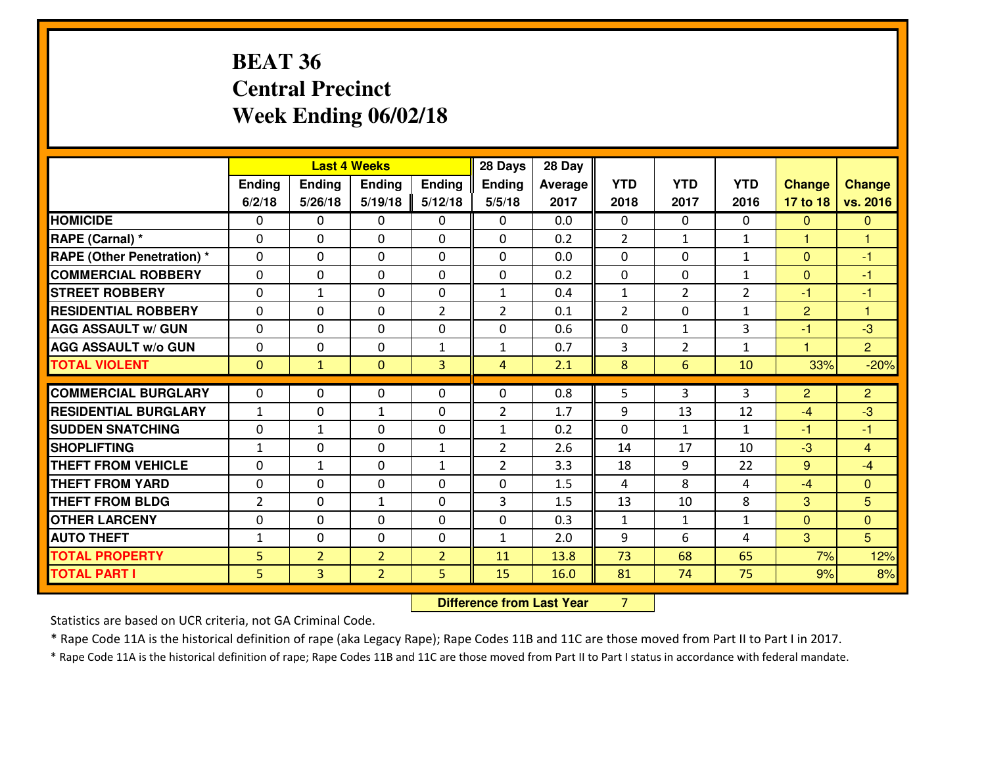# **BEAT 36 Central PrecinctWeek Ending 06/02/18**

|                                  |                |                | <b>Last 4 Weeks</b> |                | 28 Days                          | 28 Day         |                |                |                |                |                |
|----------------------------------|----------------|----------------|---------------------|----------------|----------------------------------|----------------|----------------|----------------|----------------|----------------|----------------|
|                                  | Ending         | <b>Ending</b>  | <b>Ending</b>       | Ending         | Ending                           | <b>Average</b> | <b>YTD</b>     | <b>YTD</b>     | <b>YTD</b>     | <b>Change</b>  | <b>Change</b>  |
|                                  | 6/2/18         | 5/26/18        | 5/19/18             | 5/12/18        | 5/5/18                           | 2017           | 2018           | 2017           | 2016           | 17 to 18       | vs. 2016       |
| <b>HOMICIDE</b>                  | 0              | 0              | 0                   | $\mathbf{0}$   | 0                                | 0.0            | $\mathbf{0}$   | $\mathbf{0}$   | 0              | $\mathbf{0}$   | $\overline{0}$ |
| RAPE (Carnal) *                  | 0              | 0              | 0                   | 0              | 0                                | 0.2            | $\overline{2}$ | 1              | $\mathbf{1}$   | 1              | 1.             |
| <b>RAPE (Other Penetration)*</b> | 0              | 0              | 0                   | 0              | 0                                | 0.0            | 0              | $\mathbf 0$    | $\mathbf{1}$   | $\mathbf{0}$   | $-1$           |
| <b>COMMERCIAL ROBBERY</b>        | $\mathbf 0$    | 0              | $\mathbf 0$         | 0              | 0                                | 0.2            | $\mathbf 0$    | $\mathbf 0$    | $\mathbf{1}$   | $\mathbf{0}$   | $-1$           |
| <b>ISTREET ROBBERY</b>           | $\Omega$       | 1              | $\mathbf{0}$        | $\Omega$       | $\mathbf{1}$                     | 0.4            | 1              | $\overline{2}$ | $\overline{2}$ | $-1$           | $-1$           |
| <b>RESIDENTIAL ROBBERY</b>       | 0              | 0              | $\mathbf 0$         | $\overline{2}$ | $\overline{2}$                   | 0.1            | $\overline{2}$ | $\mathbf 0$    | $\mathbf{1}$   | $\overline{2}$ | $\mathbf{1}$   |
| <b>AGG ASSAULT w/ GUN</b>        | 0              | 0              | $\mathbf 0$         | 0              | 0                                | 0.6            | $\mathbf 0$    | $\mathbf{1}$   | 3              | $-1$           | $-3$           |
| <b>AGG ASSAULT w/o GUN</b>       | 0              | 0              | $\mathbf 0$         | $\mathbf{1}$   | $\mathbf{1}$                     | 0.7            | 3              | $\overline{2}$ | $\mathbf{1}$   | $\mathbf{1}$   | $\overline{2}$ |
| <b>TOTAL VIOLENT</b>             | $\mathbf{0}$   | $\mathbf{1}$   | $\mathbf{0}$        | 3              | $\overline{4}$                   | 2.1            | 8              | 6              | 10             | 33%            | $-20%$         |
| <b>COMMERCIAL BURGLARY</b>       | 0              | 0              | $\mathbf{0}$        | 0              | $\Omega$                         | 0.8            | 5              | 3              | 3              | $\overline{2}$ | $\overline{2}$ |
| <b>RESIDENTIAL BURGLARY</b>      | $\mathbf{1}$   | 0              | $\mathbf{1}$        | $\Omega$       | $\overline{2}$                   | 1.7            | 9              | 13             | 12             | $-4$           | $-3$           |
| <b>ISUDDEN SNATCHING</b>         | $\mathbf{0}$   | 1              | $\Omega$            | $\Omega$       | $\mathbf{1}$                     | 0.2            | 0              | $\mathbf{1}$   | $\mathbf{1}$   | -1             | $-1$           |
| <b>SHOPLIFTING</b>               | $\mathbf{1}$   | 0              | $\mathbf 0$         | $\mathbf{1}$   | $\overline{2}$                   | 2.6            | 14             | 17             | 10             | $-3$           | $\overline{4}$ |
| <b>THEFT FROM VEHICLE</b>        | 0              | $\mathbf{1}$   | $\mathbf 0$         | $\mathbf{1}$   | $\overline{2}$                   | 3.3            | 18             | 9              | 22             | 9              | $-4$           |
| <b>THEFT FROM YARD</b>           | $\mathbf{0}$   | 0              | 0                   | 0              | 0                                | 1.5            | 4              | 8              | 4              | $-4$           | $\mathbf{0}$   |
| <b>THEFT FROM BLDG</b>           | $\overline{2}$ | 0              | 1                   | 0              | 3                                | 1.5            | 13             | 10             | 8              | 3              | 5              |
| <b>OTHER LARCENY</b>             | 0              | 0              | 0                   | 0              | 0                                | 0.3            | $\mathbf{1}$   | $\mathbf{1}$   | $\mathbf{1}$   | $\mathbf{0}$   | $\overline{0}$ |
| <b>AUTO THEFT</b>                | $\mathbf{1}$   | 0              | 0                   | 0              | $\mathbf{1}$                     | 2.0            | 9              | 6              | 4              | 3              | 5              |
| <b>TOTAL PROPERTY</b>            | 5              | $\overline{2}$ | $\overline{2}$      | $\overline{2}$ | 11                               | 13.8           | 73             | 68             | 65             | 7%             | 12%            |
| <b>TOTAL PART I</b>              | 5 <sup>1</sup> | $\overline{3}$ | $\overline{2}$      | 5              | 15                               | 16.0           | 81             | 74             | 75             | 9%             | 8%             |
|                                  |                |                |                     |                | <b>Difference from Last Year</b> |                | $\overline{7}$ |                |                |                |                |

 **Difference from Last Year**

Statistics are based on UCR criteria, not GA Criminal Code.

\* Rape Code 11A is the historical definition of rape (aka Legacy Rape); Rape Codes 11B and 11C are those moved from Part II to Part I in 2017.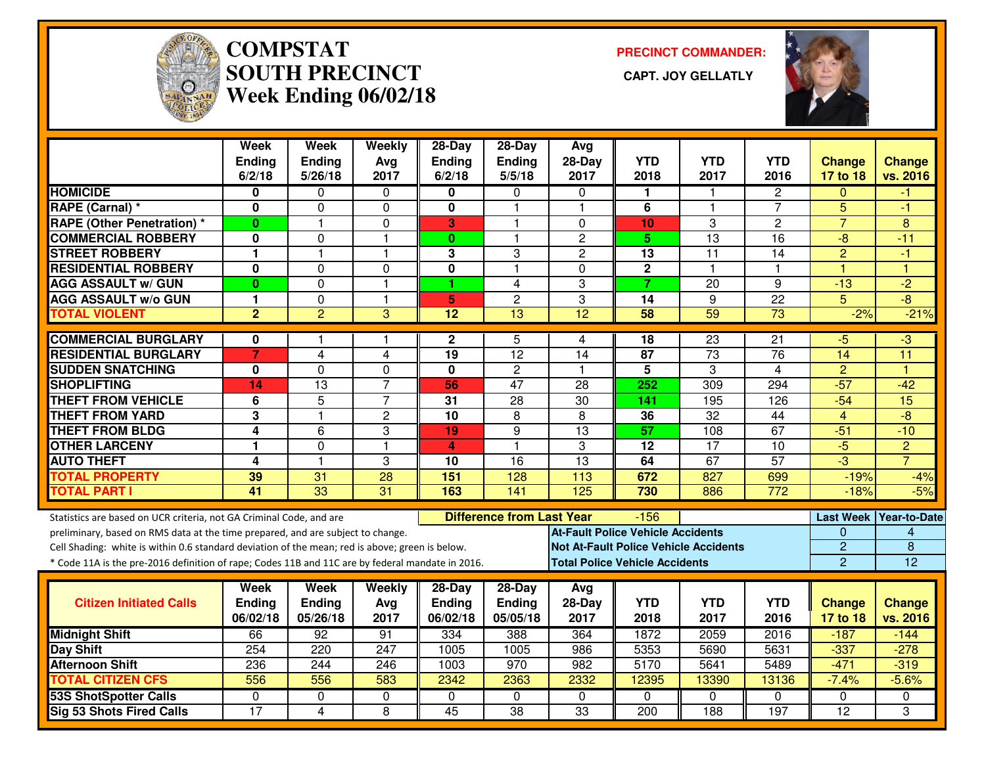

# **COMPSTAT PRECINCT COMMANDER: SOUTH PRECINCT CAPT. JOY GELLATLYWeek Ending 06/02/18**



|                                                                                                  | Week<br>Ending<br>6/2/18 | Week<br>Ending<br>5/26/18 | Weekly<br>Avg<br>2017 | 28-Day<br>Ending<br>6/2/18 | $28-Day$<br><b>Ending</b><br>5/5/18 | Avg<br>28-Day<br>2017 | <b>YTD</b><br>2018                       | <b>YTD</b><br>2017                           | <b>YTD</b><br>2016 | <b>Change</b><br>17 to 18 | <b>Change</b><br>vs. 2016 |
|--------------------------------------------------------------------------------------------------|--------------------------|---------------------------|-----------------------|----------------------------|-------------------------------------|-----------------------|------------------------------------------|----------------------------------------------|--------------------|---------------------------|---------------------------|
| <b>HOMICIDE</b>                                                                                  | 0                        | 0                         | 0                     | 0                          | $\Omega$                            | $\mathbf 0$           | 1                                        | $\mathbf{1}$                                 | 2                  | $\Omega$                  | -1                        |
| RAPE (Carnal) *                                                                                  | 0                        | 0                         | $\Omega$              | 0                          | 1                                   | $\overline{1}$        | 6                                        | $\mathbf{1}$                                 | 7                  | 5                         | -1                        |
| <b>RAPE (Other Penetration)*</b>                                                                 | $\bf{0}$                 | $\overline{\mathbf{1}}$   | 0                     | 3                          | 1                                   | $\Omega$              | 10                                       | 3                                            | $\overline{2}$     | $\overline{7}$            | 8                         |
| <b>COMMERCIAL ROBBERY</b>                                                                        | 0                        | 0                         | -1                    | $\mathbf{0}$               | 1                                   | $\overline{c}$        | 5                                        | 13                                           | $\overline{16}$    | $-8$                      | $-11$                     |
| <b>STREET ROBBERY</b>                                                                            | 1                        | $\overline{1}$            | $\mathbf{1}$          | 3                          | 3                                   | 2                     | 13                                       | 11                                           | 14                 | $\overline{2}$            | $-1$                      |
| <b>RESIDENTIAL ROBBERY</b>                                                                       | 0                        | $\Omega$                  | $\Omega$              | 0                          | 1                                   | $\Omega$              | $\mathbf{2}$                             | $\mathbf{1}$                                 | 1                  | $\mathbf{1}$              | 1                         |
| <b>AGG ASSAULT w/ GUN</b>                                                                        | $\bf{0}$                 | $\Omega$                  | $\mathbf{1}$          | 1                          | 4                                   | 3                     | $\overline{7}$                           | 20                                           | 9                  | $-13$                     | $-2$                      |
| <b>AGG ASSAULT w/o GUN</b>                                                                       | 1                        | 0                         | $\mathbf{1}$          | 5                          | $\overline{c}$                      | 3                     | 14                                       | 9                                            | $\overline{22}$    | $\overline{5}$            | $-8$                      |
| <b>TOTAL VIOLENT</b>                                                                             | $\overline{2}$           | $\overline{2}$            | 3                     | $\overline{12}$            | $\overline{13}$                     | $\overline{12}$       | $\overline{58}$                          | 59                                           | $\overline{73}$    | $-2%$                     | $-21%$                    |
| <b>COMMERCIAL BURGLARY</b>                                                                       | 0                        | 1                         | 1                     | $\mathbf{2}$               | 5                                   | 4                     | 18                                       | 23                                           | 21                 | $-5$                      | $-3$                      |
| <b>RESIDENTIAL BURGLARY</b>                                                                      | 7                        | 4                         | $\overline{4}$        | 19                         | 12                                  | 14                    | 87                                       | $\overline{73}$                              | 76                 | 14                        | 11                        |
| <b>SUDDEN SNATCHING</b>                                                                          | $\bf{0}$                 | $\mathbf{0}$              | $\mathbf 0$           | $\mathbf 0$                | $\overline{c}$                      | -1                    | $\overline{5}$                           | 3                                            | $\overline{4}$     | $\overline{2}$            | H                         |
| <b>SHOPLIFTING</b>                                                                               | 14                       | $\overline{13}$           | $\overline{7}$        | 56                         | $\overline{47}$                     | 28                    | 252                                      | 309                                          | 294                | $-57$                     | $-42$                     |
| <b>THEFT FROM VEHICLE</b>                                                                        | 6                        | $\overline{5}$            | $\overline{7}$        | 31                         | 28                                  | $\overline{30}$       | 141                                      | 195                                          | 126                | $-54$                     | $\overline{15}$           |
| <b>THEFT FROM YARD</b>                                                                           | 3                        | $\overline{1}$            | $\overline{c}$        | $\overline{10}$            | 8                                   | 8                     | 36                                       | $\overline{32}$                              | 44                 | $\overline{4}$            | $\overline{-8}$           |
| <b>THEFT FROM BLDG</b>                                                                           | 4                        | 6                         | $\boldsymbol{3}$      | 19                         | 9                                   | 13                    | 57                                       | 108                                          | 67                 | $-51$                     | $-10$                     |
| <b>OTHER LARCENY</b>                                                                             | 1                        | 0                         | $\mathbf 1$           | 4                          | 1                                   | 3                     | $\overline{12}$                          | 17                                           | $\overline{10}$    | $-5$                      | $\overline{2}$            |
| <b>AUTO THEFT</b>                                                                                | 4                        | 1                         | 3                     | 10                         | $\overline{16}$                     | $\overline{13}$       | 64                                       | 67                                           | 57                 | $-3$                      | $\overline{7}$            |
| <b>TOTAL PROPERTY</b>                                                                            | 39                       | 31                        | 28                    | 151                        | 128                                 | 113                   | 672                                      | 827                                          | 699                | $-19%$                    | $-4%$                     |
| <b>TOTAL PART I</b>                                                                              | $\overline{41}$          | $\overline{33}$           | $\overline{31}$       | 163                        | 141                                 | 125                   | 730                                      | 886                                          | 772                | $-18%$                    | $-5%$                     |
| Statistics are based on UCR criteria, not GA Criminal Code, and are                              |                          |                           |                       |                            | <b>Difference from Last Year</b>    |                       | -156                                     |                                              |                    | <b>Last Week</b>          | Year-to-Date              |
| preliminary, based on RMS data at the time prepared, and are subject to change.                  |                          |                           |                       |                            |                                     |                       | <b>At-Fault Police Vehicle Accidents</b> |                                              |                    | 0                         | 4                         |
| Cell Shading: white is within 0.6 standard deviation of the mean; red is above; green is below.  |                          |                           |                       |                            |                                     |                       |                                          | <b>Not At-Fault Police Vehicle Accidents</b> |                    | $\overline{2}$            | 8                         |
| * Code 11A is the pre-2016 definition of rape; Codes 11B and 11C are by federal mandate in 2016. |                          |                           |                       |                            |                                     |                       | <b>Total Police Vehicle Accidents</b>    |                                              |                    | 2                         | 12                        |
|                                                                                                  | Week                     | Week                      | Weekly                | 28-Day                     | $28-Day$                            | Avg                   |                                          |                                              |                    |                           |                           |
| <b>Citizen Initiated Calls</b>                                                                   | <b>Ending</b>            | <b>Ending</b>             | Avg                   | <b>Ending</b>              | Ending                              | 28-Day                | <b>YTD</b>                               | <b>YTD</b>                                   | <b>YTD</b>         | <b>Change</b>             | <b>Change</b>             |
|                                                                                                  | 06/02/18                 | 05/26/18                  | 2017                  | 06/02/18                   | 05/05/18                            | 2017                  | 2018                                     | 2017                                         | 2016               | 17 to 18                  | vs. 2016                  |
| <b>Midnight Shift</b>                                                                            | 66                       | $\overline{92}$           | 91                    | 334                        | 388                                 | 364                   | 1872                                     | 2059                                         | 2016               | $-187$                    | $-144$                    |
| <b>Day Shift</b>                                                                                 | 254                      | 220                       | 247                   | 1005                       | 1005                                | 986                   | 5353                                     | 5690                                         | 5631               | $-337$                    | $-278$                    |
| <b>Afternoon Shift</b>                                                                           | 236                      | 244                       | 246                   | 1003                       | 970                                 | 982                   | 5170                                     | 5641                                         | 5489               | $-471$                    | $-319$                    |
| <b>TOTAL CITIZEN CFS</b>                                                                         | 556                      | 556                       | 583                   | 2342                       | 2363                                | 2332                  | 12395                                    | 13390                                        | 13136              | $-7.4%$                   | $-5.6%$                   |
| <b>53S ShotSpotter Calls</b>                                                                     | $\mathbf 0$              | 0                         | 0                     | $\mathbf 0$                | $\mathbf 0$                         | $\mathbf 0$           | $\mathbf 0$                              | $\mathbf 0$                                  | 0                  | $\mathbf 0$               | 0                         |
| Sig 53 Shots Fired Calls                                                                         | 17                       | 4                         | 8                     | 45                         | 38                                  | $\overline{33}$       | 200                                      | 188                                          | 197                | $\overline{12}$           | 3                         |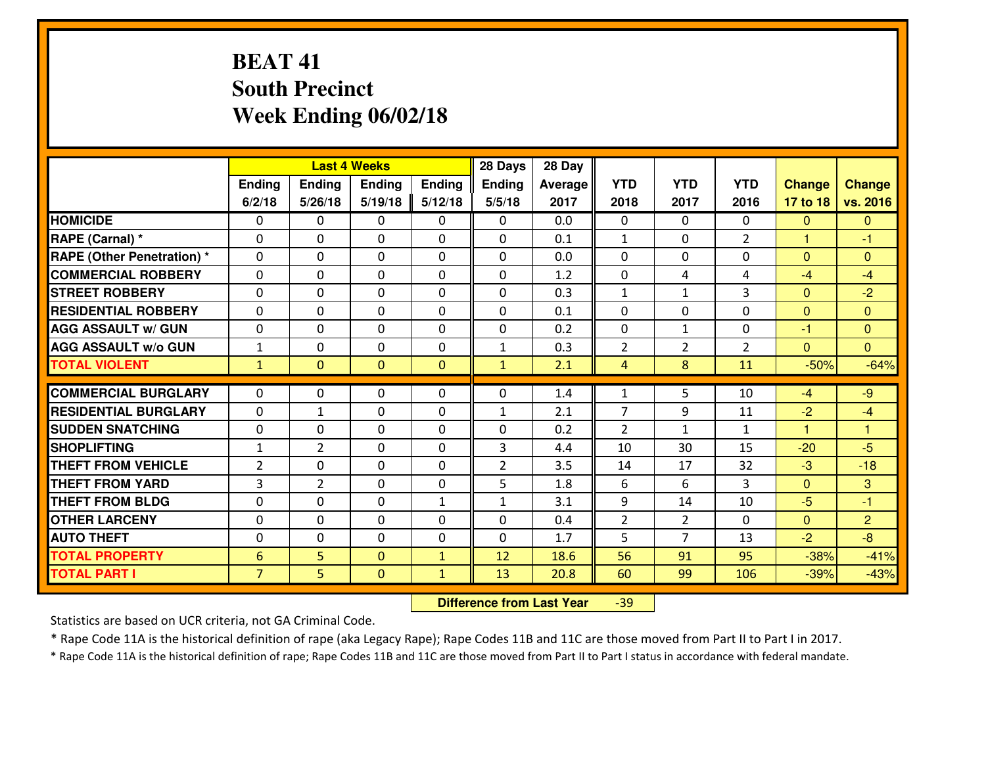# **BEAT 41 South PrecinctWeek Ending 06/02/18**

|                                              |                                   |                | <b>Last 4 Weeks</b>       |                              | 28 Days        | 28 Day       |                |                                  |                |                  |                  |
|----------------------------------------------|-----------------------------------|----------------|---------------------------|------------------------------|----------------|--------------|----------------|----------------------------------|----------------|------------------|------------------|
|                                              | Ending                            | Ending         | <b>Ending</b>             | Ending                       | Ending         | Average      | <b>YTD</b>     | <b>YTD</b>                       | <b>YTD</b>     | <b>Change</b>    | <b>Change</b>    |
|                                              | 6/2/18                            | 5/26/18        | 5/19/18                   | 5/12/18                      | 5/5/18         | 2017         | 2018           | 2017                             | 2016           | 17 to 18         | vs. 2016         |
| <b>HOMICIDE</b>                              | $\Omega$                          | 0              | $\Omega$                  | $\mathbf{0}$                 | 0              | 0.0          | $\Omega$       | $\Omega$                         | $\Omega$       | $\mathbf{0}$     | $\Omega$         |
| RAPE (Carnal) *                              | $\Omega$                          | 0              | $\mathbf 0$               | $\Omega$                     | 0              | 0.1          | $\mathbf{1}$   | $\Omega$                         | $\overline{2}$ | $\mathbf{1}$     | $-1$             |
| <b>RAPE (Other Penetration)*</b>             | $\Omega$                          | $\Omega$       | $\Omega$                  | $\Omega$                     | $\Omega$       | 0.0          | $\Omega$       | $\Omega$                         | $\Omega$       | $\Omega$         | $\Omega$         |
| <b>COMMERCIAL ROBBERY</b>                    | $\Omega$                          | $\Omega$       | $\mathbf 0$               | $\Omega$                     | $\Omega$       | 1.2          | $\mathbf 0$    | 4                                | 4              | $-4$             | $-4$             |
| <b>ISTREET ROBBERY</b>                       | $\mathbf{0}$                      | 0              | $\mathbf{0}$              | 0                            | $\Omega$       | 0.3          | $\mathbf{1}$   | $\mathbf{1}$                     | 3              | $\mathbf{0}$     | $-2$             |
| <b>RESIDENTIAL ROBBERY</b>                   | 0                                 | 0              | $\mathbf 0$               | 0                            | 0              | 0.1          | $\mathbf 0$    | $\Omega$                         | 0              | $\mathbf{0}$     | $\mathbf{0}$     |
| <b>AGG ASSAULT w/ GUN</b>                    | 0                                 | 0              | $\mathbf 0$               | 0                            | 0              | 0.2          | $\mathbf 0$    | $\mathbf{1}$                     | 0              | $-1$             | $\overline{0}$   |
| <b>AGG ASSAULT W/o GUN</b>                   | $\mathbf{1}$                      | 0              | 0                         | 0                            | $\mathbf{1}$   | 0.3          | $\overline{2}$ | $\overline{2}$                   | $\overline{2}$ | $\mathbf{0}$     | $\overline{0}$   |
| <b>TOTAL VIOLENT</b>                         | $\mathbf{1}$                      | $\overline{0}$ | $\mathbf{0}$              | $\overline{0}$               | $\mathbf{1}$   | 2.1          | $\overline{4}$ | 8                                | 11             | $-50%$           | $-64%$           |
| <b>COMMERCIAL BURGLARY</b>                   | $\Omega$                          | 0              | $\mathbf{0}$              | $\Omega$                     | 0              | 1.4          | 1              | 5                                | 10             | $-4$             | $-9$             |
| <b>RESIDENTIAL BURGLARY</b>                  | $\Omega$                          | $\mathbf{1}$   | $\mathbf 0$               | 0                            | $\mathbf{1}$   | 2.1          | 7              | 9                                | 11             | $-2$             | $-4$             |
| <b>SUDDEN SNATCHING</b>                      | 0                                 | 0              | $\mathbf 0$               | 0                            | 0              | 0.2          | $\overline{2}$ | $\mathbf{1}$                     | $\mathbf{1}$   | $\mathbf{1}$     | $\mathbf{1}$     |
| <b>SHOPLIFTING</b>                           | $\mathbf{1}$                      |                |                           |                              |                |              |                |                                  |                |                  |                  |
|                                              |                                   |                |                           |                              |                |              |                |                                  |                |                  |                  |
|                                              |                                   | $\overline{2}$ | $\mathbf 0$               | 0                            | 3              | 4.4          | 10             | 30                               | 15             | $-20$            | $-5$             |
| <b>THEFT FROM VEHICLE</b>                    | $\overline{2}$                    | 0              | $\mathbf 0$               | 0                            | $\overline{2}$ | 3.5          | 14             | 17                               | 32             | $-3$             | $-18$            |
| <b>THEFT FROM YARD</b>                       | 3                                 | $\overline{2}$ | 0                         | 0                            | 5              | 1.8          | 6              | 6                                | 3              | $\mathbf{0}$     | 3                |
| <b>THEFT FROM BLDG</b>                       | $\mathbf{0}$                      | 0              | $\mathbf{0}$              | $\mathbf{1}$                 | $\mathbf{1}$   | 3.1          | 9              | 14                               | 10             | $-5$             | $-1$             |
| <b>OTHER LARCENY</b>                         | 0                                 | 0              | 0                         | 0                            | 0              | 0.4          | $\overline{2}$ | $\overline{2}$<br>$\overline{7}$ | 0              | $\mathbf{0}$     | $\overline{2}$   |
| <b>AUTO THEFT</b>                            | $\mathbf{0}$                      | 0              | 0                         | 0                            | 0              | 1.7          | 5              |                                  | 13             | $-2$             | $-8$             |
| <b>TOTAL PROPERTY</b><br><b>TOTAL PART I</b> | $6\phantom{1}6$<br>$\overline{7}$ | 5<br>5         | $\mathbf{0}$<br>$\pmb{0}$ | $\mathbf{1}$<br>$\mathbf{1}$ | 12<br>13       | 18.6<br>20.8 | 56<br>60       | 91<br>99                         | 95<br>106      | $-38%$<br>$-39%$ | $-41%$<br>$-43%$ |

 **Difference from Last Year**-39

Statistics are based on UCR criteria, not GA Criminal Code.

\* Rape Code 11A is the historical definition of rape (aka Legacy Rape); Rape Codes 11B and 11C are those moved from Part II to Part I in 2017.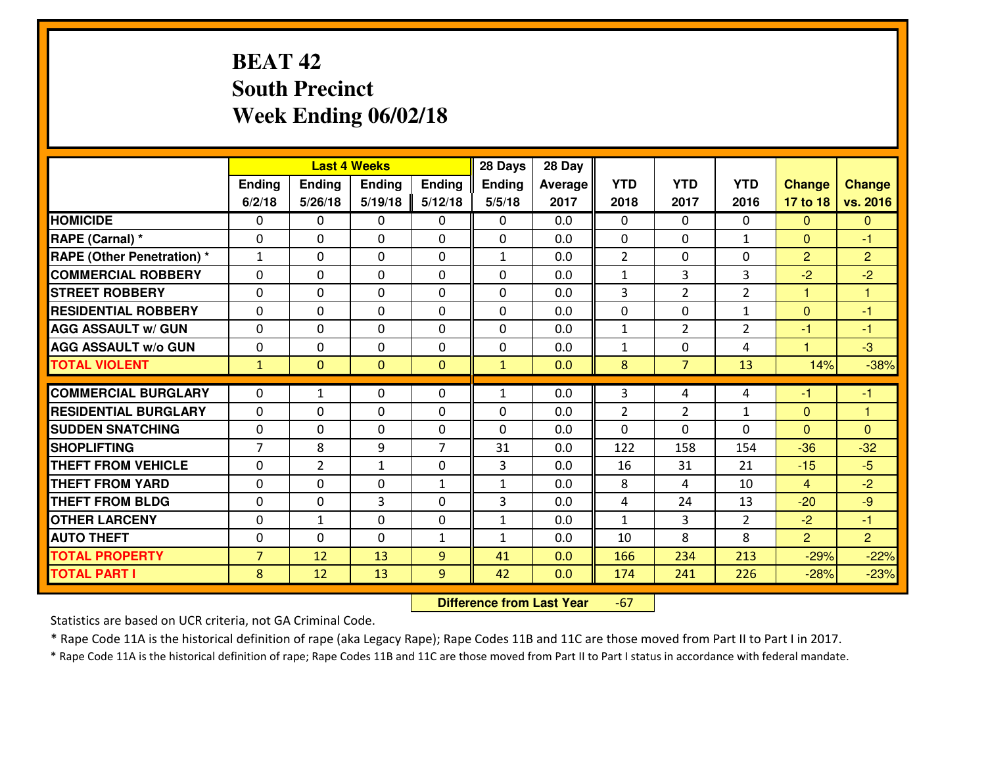# **BEAT 42 South PrecinctWeek Ending 06/02/18**

|                                              |                     |                | <b>Last 4 Weeks</b> |                | 28 Days       | 28 Day     |                |                |                |                  |                  |
|----------------------------------------------|---------------------|----------------|---------------------|----------------|---------------|------------|----------------|----------------|----------------|------------------|------------------|
|                                              | Ending              | Ending         | <b>Ending</b>       | Ending         | <b>Ending</b> | Average    | <b>YTD</b>     | <b>YTD</b>     | <b>YTD</b>     | <b>Change</b>    | <b>Change</b>    |
|                                              | 6/2/18              | 5/26/18        | 5/19/18             | 5/12/18        | 5/5/18        | 2017       | 2018           | 2017           | 2016           | 17 to 18         | vs. 2016         |
| <b>HOMICIDE</b>                              | $\Omega$            | 0              | $\Omega$            | 0              | $\Omega$      | 0.0        | 0              | $\Omega$       | 0              | $\Omega$         | $\Omega$         |
| RAPE (Carnal) *                              | $\mathbf{0}$        | 0              | $\mathbf{0}$        | 0              | $\Omega$      | 0.0        | $\mathbf{0}$   | 0              | $\mathbf{1}$   | $\Omega$         | $-1$             |
| <b>RAPE (Other Penetration) *</b>            | $\mathbf{1}$        | 0              | $\mathbf{0}$        | $\Omega$       | $\mathbf{1}$  | 0.0        | $\overline{2}$ | 0              | 0              | $\overline{2}$   | $\overline{2}$   |
| <b>COMMERCIAL ROBBERY</b>                    | 0                   | 0              | 0                   | 0              | $\Omega$      | 0.0        | $\mathbf{1}$   | 3              | 3              | $-2$             | $-2$             |
| <b>STREET ROBBERY</b>                        | 0                   | 0              | $\mathbf 0$         | 0              | 0             | 0.0        | $\overline{3}$ | $\overline{2}$ | $\overline{2}$ | 1                | 1                |
| <b>RESIDENTIAL ROBBERY</b>                   | $\Omega$            | $\Omega$       | $\mathbf 0$         | $\Omega$       | 0             | 0.0        | 0              | $\Omega$       | $\mathbf{1}$   | $\mathbf{0}$     | $-1$             |
| <b>AGG ASSAULT w/ GUN</b>                    | $\Omega$            | 0              | $\mathbf 0$         | $\Omega$       | 0             | 0.0        | $\mathbf 1$    | $\overline{2}$ | $\overline{2}$ | $-1$             | $-1$             |
| <b>AGG ASSAULT W/o GUN</b>                   | 0                   | 0              | $\mathbf 0$         | $\mathbf 0$    | 0             | 0.0        | $\mathbf{1}$   | 0              | 4              | $\mathbf{1}$     | $-3$             |
| <b>TOTAL VIOLENT</b>                         | $\mathbf{1}$        | $\overline{0}$ | $\mathbf{O}$        | $\mathbf{0}$   | $\mathbf{1}$  | 0.0        | 8              | $\overline{7}$ | 13             | 14%              | $-38%$           |
| <b>COMMERCIAL BURGLARY</b>                   | $\Omega$            | $\mathbf{1}$   | $\mathbf{0}$        | $\Omega$       | $\mathbf{1}$  | 0.0        | 3              | 4              | 4              | $-1$             | $-1$             |
| <b>RESIDENTIAL BURGLARY</b>                  | 0                   | 0              | 0                   | 0              | 0             | 0.0        | $\overline{2}$ | $\overline{2}$ | $\mathbf{1}$   | $\Omega$         | $\overline{1}$   |
|                                              |                     |                |                     |                |               |            |                |                |                |                  |                  |
|                                              |                     |                |                     |                |               |            |                |                |                |                  |                  |
| <b>SUDDEN SNATCHING</b>                      | 0                   | 0              | 0                   | 0              | 0             | 0.0        | 0              | 0              | 0              | $\overline{0}$   | $\mathbf{0}$     |
| <b>SHOPLIFTING</b>                           | $\overline{7}$      | 8              | 9                   | $\overline{7}$ | 31            | 0.0        | 122            | 158            | 154            | $-36$            | $-32$            |
| <b>THEFT FROM VEHICLE</b>                    | 0                   | $\overline{2}$ | 1                   | 0              | 3             | 0.0        | 16             | 31             | 21             | $-15$            | $-5$             |
| <b>THEFT FROM YARD</b>                       | 0                   | 0              | $\mathbf 0$         | $\mathbf{1}$   | $\mathbf{1}$  | 0.0        | 8              | 4              | 10             | $\overline{4}$   | $-2$             |
| <b>THEFT FROM BLDG</b>                       | 0                   | 0              | 3                   | 0              | 3             | 0.0        | 4              | 24             | 13             | $-20$            | $-9$             |
| <b>OTHER LARCENY</b>                         | 0                   | $\mathbf{1}$   | $\mathbf 0$         | 0              | $\mathbf{1}$  | 0.0        | $\mathbf{1}$   | 3              | $\overline{2}$ | $-2$             | $-1$             |
| <b>AUTO THEFT</b>                            | $\mathbf{0}$        | 0              | $\mathbf{0}$        | $\mathbf{1}$   | $\mathbf{1}$  | 0.0        | 10             | 8              | 8              | $\overline{2}$   | $\overline{2}$   |
| <b>TOTAL PROPERTY</b><br><b>TOTAL PART I</b> | $\overline{7}$<br>8 | 12<br>12       | 13<br>13            | 9<br>9         | 41<br>42      | 0.0<br>0.0 | 166<br>174     | 234<br>241     | 213<br>226     | $-29%$<br>$-28%$ | $-22%$<br>$-23%$ |

 **Difference from Last Year**-67

Statistics are based on UCR criteria, not GA Criminal Code.

\* Rape Code 11A is the historical definition of rape (aka Legacy Rape); Rape Codes 11B and 11C are those moved from Part II to Part I in 2017.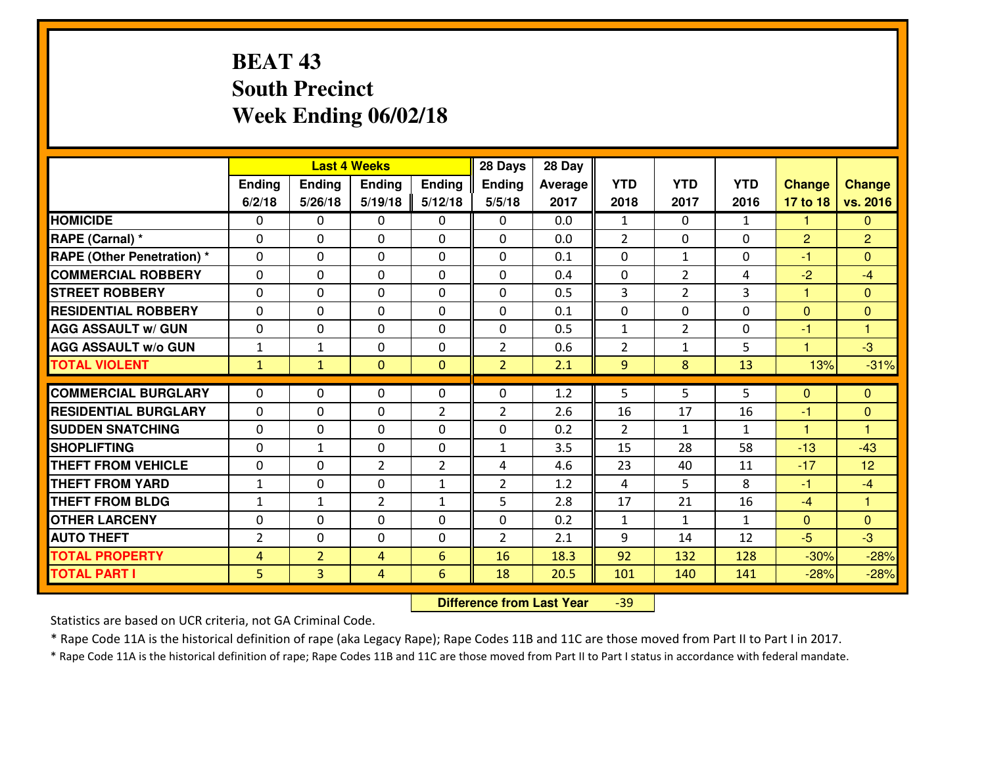# **BEAT 43 South PrecinctWeek Ending 06/02/18**

|                                  |                |                | <b>Last 4 Weeks</b> |                | 28 Days        | 28 Day  |                |                |              |                |                         |
|----------------------------------|----------------|----------------|---------------------|----------------|----------------|---------|----------------|----------------|--------------|----------------|-------------------------|
|                                  | Ending         | Ending         | <b>Ending</b>       | <b>Ending</b>  | <b>Ending</b>  | Average | <b>YTD</b>     | <b>YTD</b>     | <b>YTD</b>   | <b>Change</b>  | <b>Change</b>           |
|                                  | 6/2/18         | 5/26/18        | 5/19/18             | 5/12/18        | 5/5/18         | 2017    | 2018           | 2017           | 2016         | 17 to 18       | vs. 2016                |
| <b>HOMICIDE</b>                  | $\Omega$       | 0              | 0                   | 0              | $\Omega$       | 0.0     | 1              | $\Omega$       | $\mathbf{1}$ | 1              | $\mathbf{0}$            |
| RAPE (Carnal) *                  | $\Omega$       | 0              | $\mathbf{0}$        | $\Omega$       | $\Omega$       | 0.0     | 2              | $\Omega$       | 0            | $\overline{2}$ | $\overline{2}$          |
| <b>RAPE (Other Penetration)*</b> | $\Omega$       | $\Omega$       | $\mathbf 0$         | $\Omega$       | $\Omega$       | 0.1     | $\Omega$       | $\mathbf{1}$   | 0            | $-1$           | $\Omega$                |
| <b>COMMERCIAL ROBBERY</b>        | $\Omega$       | 0              | $\mathbf 0$         | $\Omega$       | 0              | 0.4     | 0              | $\overline{2}$ | 4            | $-2$           | $-4$                    |
| <b>STREET ROBBERY</b>            | $\Omega$       | $\Omega$       | $\mathbf 0$         | $\Omega$       | $\Omega$       | 0.5     | 3              | $\overline{2}$ | 3            | $\mathbf{1}$   | $\overline{0}$          |
| <b>RESIDENTIAL ROBBERY</b>       | $\Omega$       | $\Omega$       | $\mathbf 0$         | $\Omega$       | 0              | 0.1     | 0              | $\Omega$       | 0            | $\mathbf{0}$   | $\mathbf{0}$            |
| <b>AGG ASSAULT w/ GUN</b>        | 0              | 0              | $\mathbf 0$         | $\Omega$       | $\Omega$       | 0.5     | $\mathbf 1$    | $\overline{2}$ | $\Omega$     | $-1$           | $\overline{1}$          |
| <b>AGG ASSAULT w/o GUN</b>       | $\mathbf{1}$   | $\mathbf{1}$   | $\mathbf 0$         | $\Omega$       | $\overline{2}$ | 0.6     | $\overline{2}$ | $\mathbf{1}$   | 5            | $\overline{1}$ | $-3$                    |
| <b>TOTAL VIOLENT</b>             | $\mathbf{1}$   | $\mathbf{1}$   | $\mathbf{0}$        | $\mathbf{0}$   | $\overline{2}$ | 2.1     | 9              | 8              | 13           | 13%            | $-31%$                  |
| <b>COMMERCIAL BURGLARY</b>       | $\Omega$       | 0              | 0                   | 0              | 0              | 1.2     | 5              | 5              | 5            | $\Omega$       | $\mathbf{0}$            |
| <b>RESIDENTIAL BURGLARY</b>      | 0              | 0              | $\mathbf 0$         | $\overline{2}$ | $\overline{2}$ | 2.6     | 16             | 17             | 16           | $-1$           | $\overline{0}$          |
| <b>SUDDEN SNATCHING</b>          | 0              | 0              | $\mathbf 0$         | $\Omega$       | 0              | 0.2     | $\overline{2}$ | $\mathbf{1}$   | $\mathbf{1}$ | $\overline{1}$ | $\overline{\mathbf{1}}$ |
| <b>SHOPLIFTING</b>               | 0              | $\mathbf{1}$   | $\mathbf 0$         | 0              | $\mathbf{1}$   | 3.5     | 15             | 28             | 58           | $-13$          | $-43$                   |
| <b>THEFT FROM VEHICLE</b>        | 0              | 0              | $\overline{2}$      | $\overline{2}$ | 4              | 4.6     | 23             | 40             | 11           | $-17$          | 12                      |
| <b>THEFT FROM YARD</b>           | $\mathbf{1}$   | 0              | $\mathbf 0$         | $\mathbf{1}$   | $\overline{2}$ | 1.2     | $\overline{4}$ | 5              | 8            | $-1$           | $-4$                    |
| <b>THEFT FROM BLDG</b>           | $\mathbf{1}$   | 1              | $\overline{2}$      | $\mathbf{1}$   | 5              | 2.8     | 17             | 21             | 16           | $-4$           | $\overline{1}$          |
| <b>OTHER LARCENY</b>             | 0              | 0              | $\mathbf 0$         | 0              | 0              | 0.2     | $\mathbf{1}$   | $\mathbf{1}$   | $\mathbf{1}$ | $\overline{0}$ | $\overline{0}$          |
| <b>AUTO THEFT</b>                | $\overline{2}$ | 0              | $\mathbf 0$         | 0              | $\overline{2}$ | 2.1     | 9              | 14             | 12           | $-5$           | $-3$                    |
| <b>TOTAL PROPERTY</b>            | $\overline{4}$ | $\overline{2}$ | 4                   | 6              | 16             | 18.3    | 92             | 132            | 128          | $-30%$         | $-28%$                  |
| <b>TOTAL PART I</b>              | 5              | 3              | $\overline{4}$      | 6              | 18             | 20.5    | 101            | 140            | 141          | $-28%$         | $-28%$                  |
|                                  |                |                |                     |                |                |         |                |                |              |                |                         |

 **Difference from Last Year**-39

Statistics are based on UCR criteria, not GA Criminal Code.

\* Rape Code 11A is the historical definition of rape (aka Legacy Rape); Rape Codes 11B and 11C are those moved from Part II to Part I in 2017.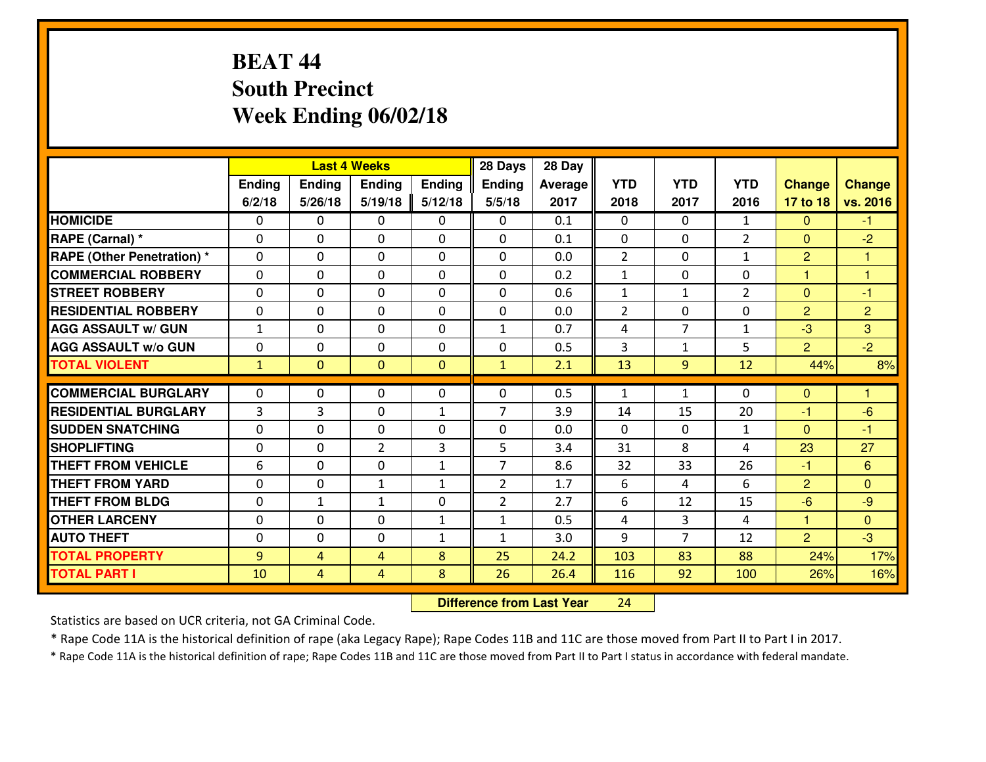# **BEAT 44 South PrecinctWeek Ending 06/02/18**

|                                               |              |                | <b>Last 4 Weeks</b> |               | 28 Days        | 28 Day  |                |                |                   |                      |                |
|-----------------------------------------------|--------------|----------------|---------------------|---------------|----------------|---------|----------------|----------------|-------------------|----------------------|----------------|
|                                               | Ending       | Ending         | Ending              | <b>Ending</b> | <b>Ending</b>  | Average | <b>YTD</b>     | <b>YTD</b>     | <b>YTD</b>        | <b>Change</b>        | <b>Change</b>  |
|                                               | 6/2/18       | 5/26/18        | 5/19/18             | 5/12/18       | 5/5/18         | 2017    | 2018           | 2017           | 2016              | 17 to 18             | vs. 2016       |
| <b>HOMICIDE</b>                               | 0            | 0              | 0                   | 0             | 0              | 0.1     | 0              | $\Omega$       | $\mathbf{1}$      | $\Omega$             | -1.            |
| RAPE (Carnal) *                               | $\mathbf{0}$ | 0              | 0                   | $\Omega$      | 0              | 0.1     | 0              | $\Omega$       | $\overline{2}$    | $\Omega$             | $-2$           |
| <b>RAPE (Other Penetration)*</b>              | $\Omega$     | $\Omega$       | $\mathbf 0$         | $\Omega$      | $\Omega$       | 0.0     | $\overline{2}$ | $\Omega$       | $\mathbf{1}$      | $\overline{2}$       | 1              |
| <b>COMMERCIAL ROBBERY</b>                     | $\Omega$     | $\Omega$       | $\mathbf 0$         | $\Omega$      | $\Omega$       | 0.2     | $\mathbf{1}$   | 0              | $\Omega$          | $\mathbf{1}$         | $\overline{1}$ |
| <b>ISTREET ROBBERY</b>                        | $\mathbf{0}$ | 0              | $\mathbf{0}$        | 0             | $\Omega$       | 0.6     | $\mathbf{1}$   | $\mathbf{1}$   | $\overline{2}$    | $\Omega$             | $-1$           |
| <b>RESIDENTIAL ROBBERY</b>                    | 0            | 0              | $\mathbf 0$         | 0             | 0              | 0.0     | $\overline{2}$ | $\mathbf{0}$   | 0                 | $\overline{2}$       | $\overline{2}$ |
| <b>AGG ASSAULT W/ GUN</b>                     | $\mathbf{1}$ | 0              | $\mathbf 0$         | 0             | $\mathbf{1}$   | 0.7     | 4              | $\overline{7}$ | $\mathbf{1}$      | $-3$                 | 3              |
| <b>AGG ASSAULT W/o GUN</b>                    | 0            | 0              | $\mathbf 0$         | 0             | 0              | 0.5     | 3              | $\mathbf{1}$   | 5                 | $\overline{2}$       | $-2$           |
| <b>TOTAL VIOLENT</b>                          | $\mathbf{1}$ | $\overline{0}$ | $\mathbf{O}$        | $\mathbf{0}$  | $\mathbf{1}$   | 2.1     | 13             | 9              | 12                | 44%                  | 8%             |
| <b>COMMERCIAL BURGLARY</b>                    | $\Omega$     | 0              | $\mathbf{0}$        | $\Omega$      | 0              | 0.5     | $\mathbf{1}$   | $\mathbf{1}$   | 0                 |                      | 1              |
| <b>RESIDENTIAL BURGLARY</b>                   | $\mathbf{3}$ | 3              |                     |               | $\overline{7}$ | 3.9     |                | 15             | 20                | $\mathbf{0}$<br>$-1$ | $-6$           |
|                                               |              |                | $\mathbf 0$         | $\mathbf{1}$  |                |         | 14             |                |                   |                      |                |
| <b>SUDDEN SNATCHING</b><br><b>SHOPLIFTING</b> | $\Omega$     | $\Omega$       | $\mathbf 0$         | 0             | 0<br>5         | 0.0     | $\Omega$<br>31 | $\Omega$       | $\mathbf{1}$<br>4 | $\mathbf{0}$         | $-1$<br>27     |
| <b>THEFT FROM VEHICLE</b>                     | 0            | 0              | $\overline{2}$      | 3             | $\overline{7}$ | 3.4     | 32             | 8              | 26                | 23                   |                |
|                                               | 6            | 0              | $\mathbf 0$         | $\mathbf{1}$  |                | 8.6     |                | 33             |                   | $-1$                 | 6              |
| <b>THEFT FROM YARD</b>                        | 0            | 0              | $\mathbf{1}$        | $\mathbf{1}$  | $\overline{2}$ | 1.7     | 6              | 4              | 6                 | $\overline{2}$       | $\overline{0}$ |
| <b>THEFT FROM BLDG</b>                        | $\mathbf{0}$ | $\mathbf{1}$   | 1                   | 0             | $\overline{2}$ | 2.7     | 6              | 12             | 15                | $-6$                 | $-9$           |
| <b>OTHER LARCENY</b>                          | 0            | 0              | $\mathbf 0$         | $\mathbf{1}$  | $\mathbf{1}$   | 0.5     | 4              | 3              | 4                 | 1                    | $\overline{0}$ |
| <b>AUTO THEFT</b>                             | $\mathbf{0}$ | 0              | 0                   | $\mathbf{1}$  | 1              | 3.0     | 9              | $\overline{7}$ | 12                | $\overline{2}$       | $-3$           |
| <b>TOTAL PROPERTY</b>                         | 9            | 4              | 4                   | 8             | 25             | 24.2    | 103            | 83             | 88                | 24%                  | 17%            |
| <b>TOTAL PART I</b>                           | 10           | $\overline{4}$ | $\overline{4}$      | 8             | 26             | 26.4    | 116            | 92             | 100               | 26%                  | 16%            |

 **Difference from Last Year**<sup>24</sup>

Statistics are based on UCR criteria, not GA Criminal Code.

\* Rape Code 11A is the historical definition of rape (aka Legacy Rape); Rape Codes 11B and 11C are those moved from Part II to Part I in 2017.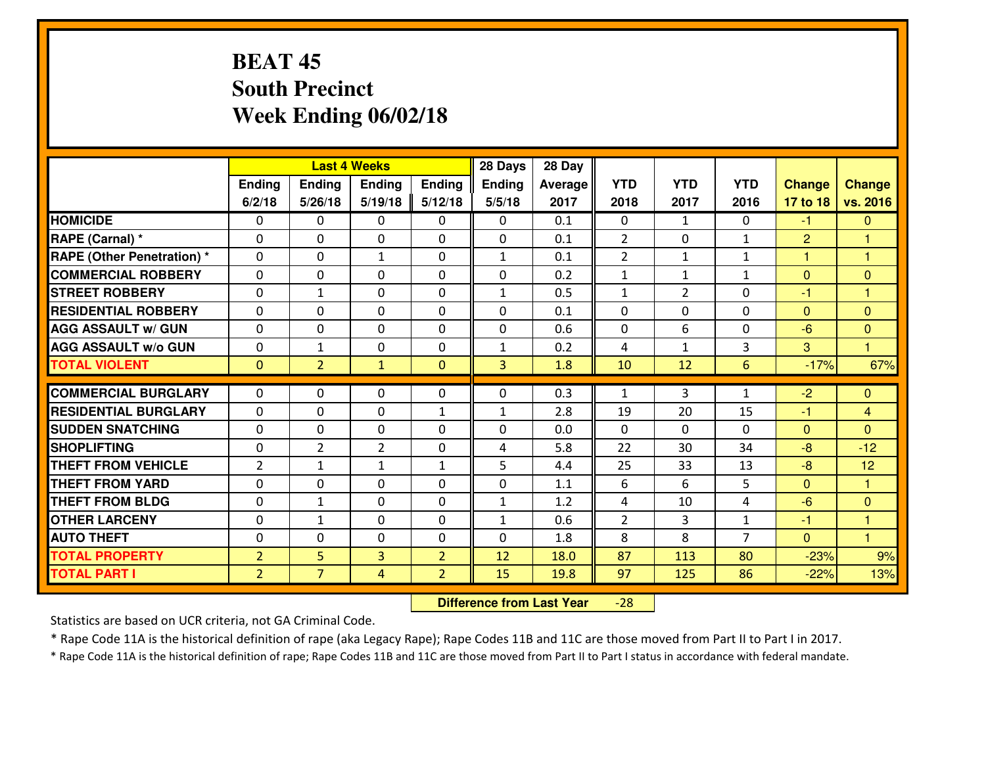# **BEAT 45 South PrecinctWeek Ending 06/02/18**

|                                  |                |                | <b>Last 4 Weeks</b> |                | 28 Days        | 28 Day  |                |                |                |                |                         |
|----------------------------------|----------------|----------------|---------------------|----------------|----------------|---------|----------------|----------------|----------------|----------------|-------------------------|
|                                  | Ending         | Ending         | Ending              | <b>Ending</b>  | <b>Ending</b>  | Average | <b>YTD</b>     | <b>YTD</b>     | <b>YTD</b>     | <b>Change</b>  | <b>Change</b>           |
|                                  | 6/2/18         | 5/26/18        | 5/19/18             | 5/12/18        | 5/5/18         | 2017    | 2018           | 2017           | 2016           | 17 to 18       | vs. 2016                |
| <b>HOMICIDE</b>                  | 0              | 0              | 0                   | 0              | 0              | 0.1     | 0              | $\mathbf{1}$   | 0              | $-1$           | $\mathbf{0}$            |
| RAPE (Carnal) *                  | $\mathbf{0}$   | 0              | 0                   | $\Omega$       | 0              | 0.1     | $\overline{2}$ | $\mathbf{0}$   | $\mathbf{1}$   | $\overline{2}$ | 1                       |
| <b>RAPE (Other Penetration)*</b> | $\Omega$       | $\Omega$       | $\mathbf{1}$        | $\Omega$       | $\mathbf{1}$   | 0.1     | $\overline{2}$ | $\mathbf{1}$   | $\mathbf{1}$   | 1              | $\overline{\mathbf{1}}$ |
| <b>COMMERCIAL ROBBERY</b>        | $\Omega$       | $\Omega$       | $\mathbf 0$         | $\Omega$       | 0              | 0.2     | 1              | $\mathbf{1}$   | $\mathbf{1}$   | $\mathbf{0}$   | $\mathbf{0}$            |
| <b>ISTREET ROBBERY</b>           | $\mathbf{0}$   | $\mathbf{1}$   | $\mathbf{0}$        | 0              | $\mathbf{1}$   | 0.5     | $\mathbf{1}$   | $\overline{2}$ | 0              | $-1$           | 1                       |
| <b>RESIDENTIAL ROBBERY</b>       | 0              | 0              | $\mathbf 0$         | 0              | 0              | 0.1     | 0              | 0              | 0              | $\mathbf{0}$   | $\overline{0}$          |
| <b>AGG ASSAULT W/ GUN</b>        | 0              | 0              | $\mathbf 0$         | 0              | 0              | 0.6     | 0              | 6              | 0              | $-6$           | $\overline{0}$          |
| <b>AGG ASSAULT W/o GUN</b>       | 0              | $\mathbf{1}$   | $\mathbf 0$         | $\mathbf{0}$   | $\mathbf{1}$   | 0.2     | 4              | $\mathbf{1}$   | 3              | 3              | $\overline{1}$          |
| <b>TOTAL VIOLENT</b>             | $\mathbf{0}$   | $\overline{2}$ | $\mathbf{1}$        | $\mathbf{0}$   | $\overline{3}$ | 1.8     | 10             | 12             | 6              | $-17%$         | 67%                     |
| <b>COMMERCIAL BURGLARY</b>       | $\Omega$       | 0              | $\mathbf{0}$        | 0              | $\Omega$       | 0.3     | $\mathbf{1}$   | 3              | $\mathbf{1}$   | $-2$           | $\mathbf{0}$            |
| <b>RESIDENTIAL BURGLARY</b>      | $\Omega$       | 0              | $\mathbf 0$         | $\mathbf{1}$   | 1              | 2.8     | 19             | 20             | 15             | $-1$           | $\overline{4}$          |
| <b>SUDDEN SNATCHING</b>          | 0              | 0              | $\mathbf 0$         | $\Omega$       | 0              | 0.0     | $\Omega$       | $\Omega$       | $\Omega$       | $\mathbf{0}$   | $\Omega$                |
| <b>SHOPLIFTING</b>               | 0              | $\overline{2}$ | $\overline{2}$      | 0              | 4              | 5.8     | 22             | 30             | 34             | $-8$           | $-12$                   |
| <b>THEFT FROM VEHICLE</b>        | 2              | $\mathbf{1}$   | $\mathbf{1}$        | $\mathbf{1}$   | 5              | 4.4     | 25             | 33             | 13             | $-8$           | 12                      |
| <b>THEFT FROM YARD</b>           | 0              | 0              | $\mathbf 0$         | 0              | 0              | 1.1     | 6              | 6              | 5              | $\mathbf{0}$   | $\overline{1}$          |
| <b>THEFT FROM BLDG</b>           | $\mathbf{0}$   | $\mathbf{1}$   | 0                   | $\mathbf{0}$   | $\mathbf{1}$   | 1.2     | 4              | 10             | 4              | $-6$           | $\mathbf{0}$            |
| <b>OTHER LARCENY</b>             | 0              | 1              | $\mathbf 0$         | 0              | $\mathbf{1}$   | 0.6     | $\overline{2}$ | 3              | $\mathbf{1}$   | $-1$           | $\overline{1}$          |
| <b>AUTO THEFT</b>                | 0              | 0              | 0                   | 0              | 0              | 1.8     | 8              | 8              | $\overline{7}$ | $\mathbf{0}$   | $\overline{1}$          |
| <b>TOTAL PROPERTY</b>            | $\overline{2}$ | 5              | 3                   | $\overline{2}$ | 12             | 18.0    | 87             | 113            | 80             | $-23%$         | 9%                      |
| <b>TOTAL PART I</b>              | $\overline{2}$ | $\overline{7}$ | 4                   | $\overline{2}$ | 15             | 19.8    | 97             | 125            | 86             | $-22%$         | 13%                     |

 **Difference from Last Year**-28

Statistics are based on UCR criteria, not GA Criminal Code.

\* Rape Code 11A is the historical definition of rape (aka Legacy Rape); Rape Codes 11B and 11C are those moved from Part II to Part I in 2017.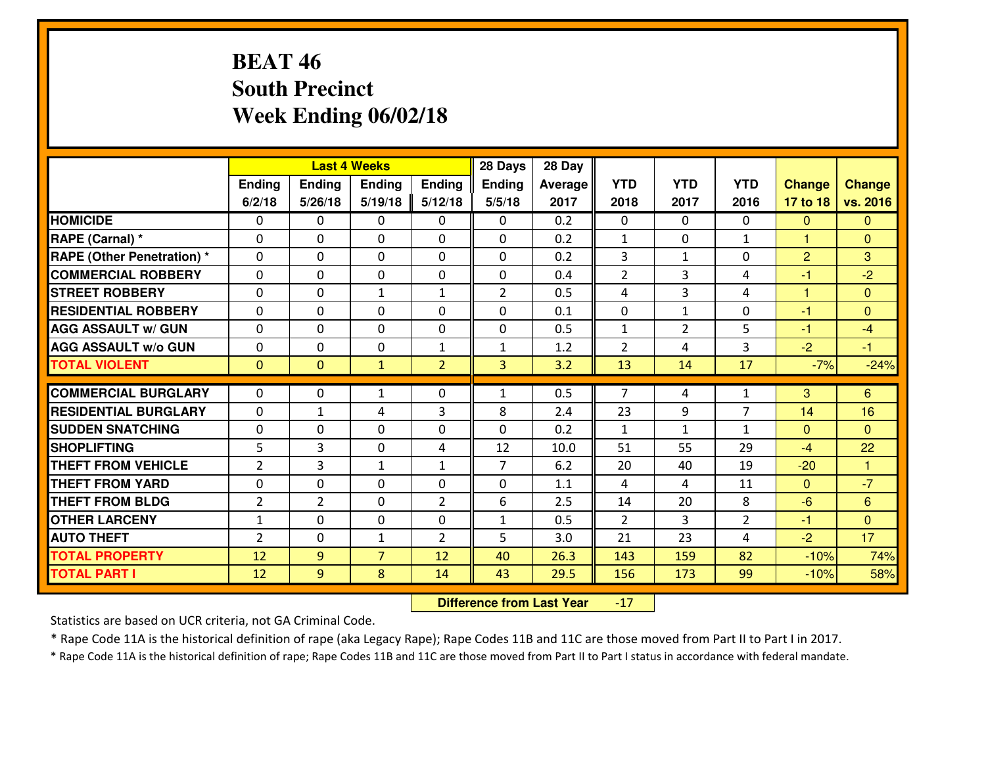# **BEAT 46 South PrecinctWeek Ending 06/02/18**

|                                   |                |                | <b>Last 4 Weeks</b> |                | 28 Days        | 28 Day  |                |                |                |                |                |
|-----------------------------------|----------------|----------------|---------------------|----------------|----------------|---------|----------------|----------------|----------------|----------------|----------------|
|                                   | Ending         | Ending         | Ending              | Ending         | <b>Ending</b>  | Average | <b>YTD</b>     | <b>YTD</b>     | <b>YTD</b>     | <b>Change</b>  | Change         |
|                                   | 6/2/18         | 5/26/18        | 5/19/18             | 5/12/18        | 5/5/18         | 2017    | 2018           | 2017           | 2016           | 17 to 18       | vs. 2016       |
| <b>HOMICIDE</b>                   | 0              | $\Omega$       | 0                   | 0              | $\mathbf{0}$   | 0.2     | $\Omega$       | $\Omega$       | 0              | $\mathbf{0}$   | $\mathbf{0}$   |
| RAPE (Carnal) *                   | $\Omega$       | 0              | $\mathbf{0}$        | $\Omega$       | 0              | 0.2     | $\mathbf{1}$   | 0              | $\mathbf{1}$   | 1              | $\Omega$       |
| <b>RAPE (Other Penetration) *</b> | $\Omega$       | 0              | $\mathbf{0}$        | $\Omega$       | 0              | 0.2     | 3              | $\mathbf{1}$   | $\Omega$       | $\overline{2}$ | 3              |
| <b>COMMERCIAL ROBBERY</b>         | $\Omega$       | 0              | $\mathbf{0}$        | $\Omega$       | 0              | 0.4     | $\overline{2}$ | 3              | 4              | $-1$           | $-2$           |
| <b>STREET ROBBERY</b>             | $\Omega$       | $\Omega$       | $\mathbf{1}$        | $\mathbf{1}$   | $\overline{2}$ | 0.5     | 4              | 3              | 4              | 1              | $\Omega$       |
| <b>RESIDENTIAL ROBBERY</b>        | $\Omega$       | $\Omega$       | $\mathbf 0$         | $\Omega$       | 0              | 0.1     | $\mathbf 0$    | $\mathbf{1}$   | 0              | $-1$           | $\mathbf{0}$   |
| <b>AGG ASSAULT W/ GUN</b>         | 0              | $\mathbf 0$    | $\mathbf 0$         | 0              | $\mathbf 0$    | 0.5     | $\mathbf{1}$   | $\overline{2}$ | 5              | $-1$           | $-4$           |
| <b>AGG ASSAULT W/o GUN</b>        | 0              | 0              | $\mathbf 0$         | $\mathbf{1}$   | $\mathbf{1}$   | 1.2     | $\overline{2}$ | 4              | 3              | $-2$           | $-1$           |
| <b>TOTAL VIOLENT</b>              | $\mathbf{0}$   | $\overline{0}$ | $\mathbf{1}$        | $\overline{2}$ | 3              | 3.2     | 13             | 14             | 17             | $-7%$          | $-24%$         |
| <b>COMMERCIAL BURGLARY</b>        | $\Omega$       | 0              | 1                   | 0              | 1              | 0.5     | $\overline{7}$ | 4              | 1              | 3              | 6              |
| <b>RESIDENTIAL BURGLARY</b>       | $\Omega$       | 1              | 4                   | 3              | 8              | 2.4     | 23             | 9              | $\overline{7}$ | 14             | 16             |
| <b>SUDDEN SNATCHING</b>           | $\Omega$       | 0              | $\mathbf 0$         | 0              | $\Omega$       | 0.2     | $\mathbf{1}$   | $\mathbf{1}$   | $\mathbf{1}$   | $\mathbf{0}$   | $\Omega$       |
| <b>SHOPLIFTING</b>                | 5              | $\overline{3}$ | $\mathbf 0$         | 4              | 12             | 10.0    | 51             | 55             | 29             | $-4$           | 22             |
| <b>THEFT FROM VEHICLE</b>         | $\overline{2}$ | 3              | $\mathbf{1}$        | $\mathbf{1}$   | $\overline{7}$ | 6.2     | 20             | 40             | 19             | $-20$          | $\overline{1}$ |
| <b>THEFT FROM YARD</b>            | 0              | $\Omega$       | $\mathbf 0$         | 0              | 0              | 1.1     | 4              | 4              | 11             | $\overline{0}$ | $-7$           |
| <b>THEFT FROM BLDG</b>            | $\overline{2}$ | $\overline{2}$ | 0                   | $\overline{2}$ | 6              | 2.5     | 14             | 20             | 8              | $-6$           | $6\phantom{1}$ |
| <b>OTHER LARCENY</b>              | $\mathbf{1}$   | $\mathbf 0$    | 0                   | $\Omega$       | $\mathbf{1}$   | 0.5     | $\overline{2}$ | $\overline{3}$ | $\overline{2}$ | $-1$           | $\overline{0}$ |
| <b>AUTO THEFT</b>                 | $\overline{2}$ | 0              | 1                   | $\overline{2}$ | 5              | 3.0     | 21             | 23             | 4              | $-2$           | 17             |
| <b>TOTAL PROPERTY</b>             | 12             | 9              | $\overline{7}$      | 12             | 40             | 26.3    | 143            | 159            | 82             | $-10%$         | 74%            |
| <b>TOTAL PART I</b>               | 12             | 9              | 8                   | 14             | 43             | 29.5    | 156            | 173            | 99             | $-10%$         | 58%            |

 **Difference from Last Year**-17

Statistics are based on UCR criteria, not GA Criminal Code.

\* Rape Code 11A is the historical definition of rape (aka Legacy Rape); Rape Codes 11B and 11C are those moved from Part II to Part I in 2017.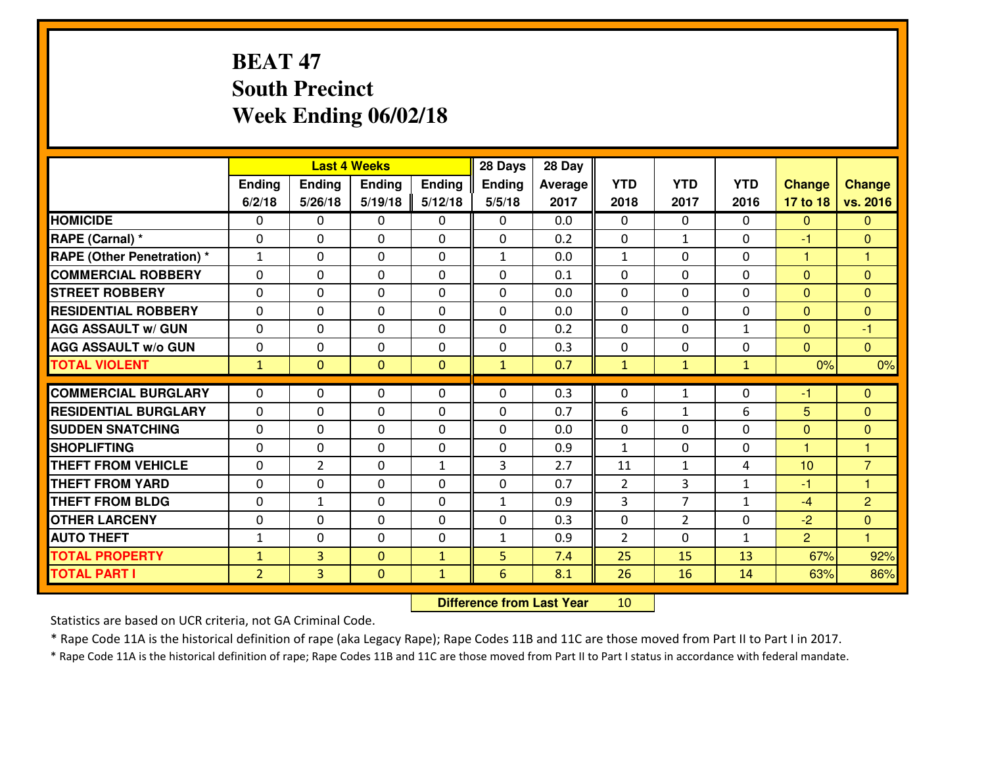# **BEAT 47 South PrecinctWeek Ending 06/02/18**

|                                              |                                |                                  | <b>Last 4 Weeks</b>          |                              | 28 Days       | 28 Day     |                |                |              |                |                         |
|----------------------------------------------|--------------------------------|----------------------------------|------------------------------|------------------------------|---------------|------------|----------------|----------------|--------------|----------------|-------------------------|
|                                              | Ending                         | Ending                           | Ending                       | <b>Ending</b>                | <b>Ending</b> | Average    | <b>YTD</b>     | <b>YTD</b>     | <b>YTD</b>   | <b>Change</b>  | <b>Change</b>           |
|                                              | 6/2/18                         | 5/26/18                          | 5/19/18                      | 5/12/18                      | 5/5/18        | 2017       | 2018           | 2017           | 2016         | 17 to 18       | vs. 2016                |
| <b>HOMICIDE</b>                              | $\Omega$                       | 0                                | 0                            | 0                            | 0             | 0.0        | $\Omega$       | $\Omega$       | $\Omega$     | $\Omega$       | $\mathbf{0}$            |
| RAPE (Carnal) *                              | $\mathbf{0}$                   | 0                                | $\mathbf 0$                  | 0                            | 0             | 0.2        | $\mathbf{0}$   | $\mathbf{1}$   | 0            | $-1$           | $\mathbf{0}$            |
| <b>RAPE (Other Penetration) *</b>            | $\mathbf{1}$                   | 0                                | $\mathbf{0}$                 | 0                            | $\mathbf{1}$  | 0.0        | $\mathbf{1}$   | 0              | 0            | $\mathbf{1}$   | 1                       |
| <b>COMMERCIAL ROBBERY</b>                    | $\mathbf{0}$                   | 0                                | 0                            | 0                            | $\Omega$      | 0.1        | $\mathbf{0}$   | 0              | 0            | $\mathbf{0}$   | $\mathbf{0}$            |
| <b>STREET ROBBERY</b>                        | $\mathbf{0}$                   | 0                                | $\mathbf 0$                  | 0                            | 0             | 0.0        | $\mathbf{0}$   | 0              | 0            | $\mathbf{0}$   | $\mathbf{0}$            |
| <b>RESIDENTIAL ROBBERY</b>                   | $\Omega$                       | 0                                | $\mathbf 0$                  | 0                            | 0             | 0.0        | 0              | 0              | 0            | $\overline{0}$ | $\overline{0}$          |
| <b>AGG ASSAULT W/ GUN</b>                    | 0                              | 0                                | $\mathbf 0$                  | 0                            | 0             | 0.2        | 0              | $\Omega$       | $\mathbf{1}$ | $\mathbf{0}$   | $-1$                    |
| <b>AGG ASSAULT W/o GUN</b>                   | 0                              | 0                                | $\mathbf 0$                  | 0                            | 0             | 0.3        | 0              | 0              | 0            | $\mathbf{0}$   | $\overline{0}$          |
| <b>TOTAL VIOLENT</b>                         | $\mathbf{1}$                   | $\overline{0}$                   | $\mathbf{0}$                 | $\mathbf{0}$                 | $\mathbf{1}$  | 0.7        | $\mathbf{1}$   | $\mathbf{1}$   | $\mathbf{1}$ | 0%             | 0%                      |
| <b>COMMERCIAL BURGLARY</b>                   | $\mathbf{0}$                   | 0                                | 0                            | 0                            | $\Omega$      | 0.3        | $\Omega$       | $\mathbf{1}$   | 0            | -1             | $\mathbf{0}$            |
| <b>RESIDENTIAL BURGLARY</b>                  | $\Omega$                       | 0                                | $\mathbf 0$                  | $\Omega$                     | $\Omega$      | 0.7        | 6              | $\mathbf{1}$   | 6            | 5              | $\mathbf{0}$            |
| <b>SUDDEN SNATCHING</b>                      | $\mathbf{0}$                   | 0                                | $\mathbf 0$                  | 0                            | 0             | 0.0        | 0              | 0              | 0            | $\mathbf{0}$   | $\mathbf{0}$            |
| <b>SHOPLIFTING</b>                           | $\Omega$                       | 0                                | $\mathbf 0$                  | $\Omega$                     | 0             |            |                |                |              |                | 1                       |
|                                              |                                |                                  |                              |                              |               |            |                |                |              |                |                         |
|                                              |                                |                                  |                              |                              |               | 0.9        | $\mathbf{1}$   | 0              | 0            | $\mathbf{1}$   |                         |
| <b>THEFT FROM VEHICLE</b>                    | $\Omega$                       | $\overline{2}$                   | $\mathbf 0$                  | $\mathbf{1}$                 | 3             | 2.7        | 11             | $\mathbf{1}$   | 4            | 10             | $\overline{7}$          |
| <b>THEFT FROM YARD</b>                       | 0                              | 0                                | $\mathbf 0$                  | 0                            | 0             | 0.7        | $\overline{2}$ | 3              | $\mathbf{1}$ | $-1$           | $\mathbf{1}$            |
| <b>THEFT FROM BLDG</b>                       | 0                              | $\mathbf{1}$                     | $\mathbf 0$                  | 0                            | $\mathbf{1}$  | 0.9        | 3              | 7              | $\mathbf{1}$ | $-4$           | $\overline{2}$          |
| <b>OTHER LARCENY</b>                         | 0                              | 0                                | $\mathbf 0$                  | 0                            | 0             | 0.3        | 0              | $\overline{2}$ | 0            | $-2$           | $\overline{0}$          |
| <b>AUTO THEFT</b>                            | $\mathbf{1}$                   | 0                                | 0                            | 0                            | $\mathbf{1}$  | 0.9        | $\overline{2}$ | 0              | $\mathbf{1}$ | $\overline{2}$ | $\overline{\mathbf{1}}$ |
| <b>TOTAL PROPERTY</b><br><b>TOTAL PART I</b> | $\mathbf{1}$<br>$\overline{2}$ | $\overline{3}$<br>$\overline{3}$ | $\mathbf{0}$<br>$\mathbf{0}$ | $\mathbf{1}$<br>$\mathbf{1}$ | 5<br>6        | 7.4<br>8.1 | 25<br>26       | 15<br>16       | 13<br>14     | 67%<br>63%     | 92%<br>86%              |

 **Difference from Last Year**<sup>10</sup>

Statistics are based on UCR criteria, not GA Criminal Code.

\* Rape Code 11A is the historical definition of rape (aka Legacy Rape); Rape Codes 11B and 11C are those moved from Part II to Part I in 2017.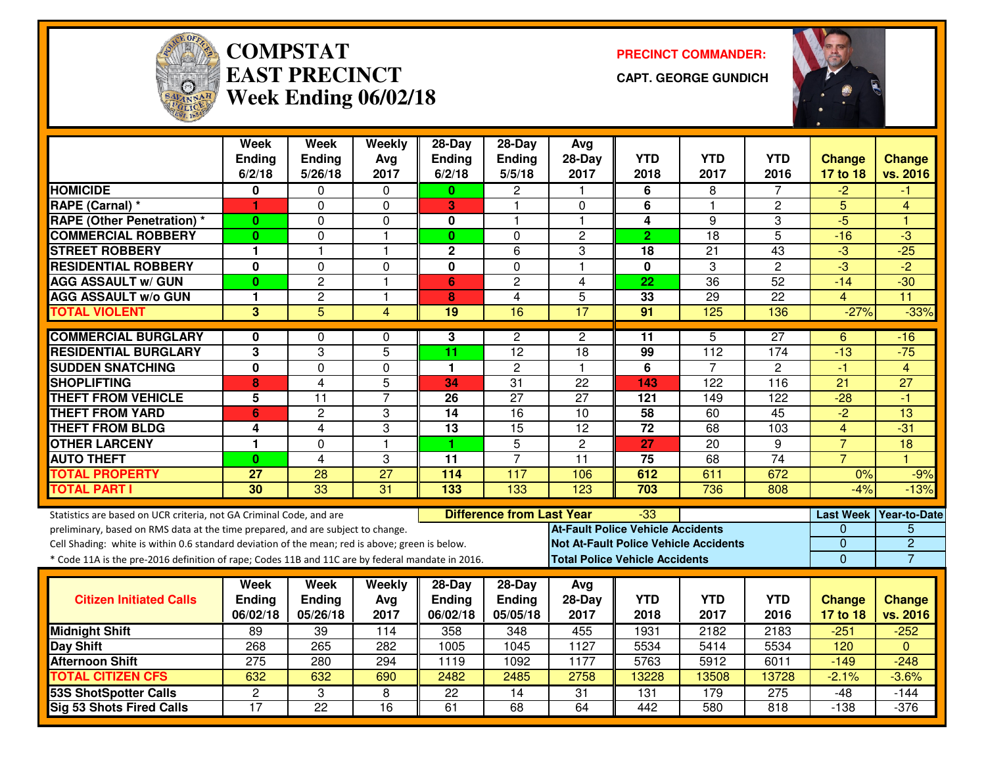

#### **COMPSTATEAST PRECINCTWeek Ending 06/02/18**

**PRECINCT COMMANDER:**

**CAPT. GEORGE GUNDICH**



|                                                                                                  | <b>Week</b><br>Ending | <b>Week</b><br><b>Ending</b> | Weekly<br>Avg   | 28-Day<br><b>Ending</b> | 28-Day<br>Ending                 | Avg<br>$28-Day$                              | <b>YTD</b>       | <b>YTD</b>      | <b>YTD</b>      | <b>Change</b>   | <b>Change</b>          |
|--------------------------------------------------------------------------------------------------|-----------------------|------------------------------|-----------------|-------------------------|----------------------------------|----------------------------------------------|------------------|-----------------|-----------------|-----------------|------------------------|
|                                                                                                  | 6/2/18                | 5/26/18                      | 2017            | 6/2/18                  | 5/5/18                           | 2017                                         | 2018             | 2017            | 2016            | 17 to 18        | vs. 2016               |
| <b>HOMICIDE</b>                                                                                  | 0                     | 0                            | $\Omega$        | $\bf{0}$                | $\mathbf{2}$                     | -1                                           | 6                | 8               | 7               | $\overline{2}$  | -1                     |
| RAPE (Carnal) *                                                                                  | 1                     | 0                            | $\Omega$        | 3                       | 1                                | $\Omega$                                     | 6                | $\mathbf{1}$    | 2               | 5               | $\overline{4}$         |
| <b>RAPE (Other Penetration) *</b>                                                                | $\bf{0}$              | 0                            | 0               | 0                       | 1                                | $\mathbf{1}$                                 | 4                | 9               | 3               | $-5$            | 1                      |
| <b>COMMERCIAL ROBBERY</b>                                                                        | $\bf{0}$              | 0                            | $\mathbf{1}$    | $\mathbf{0}$            | $\Omega$                         | $\overline{c}$                               | $\overline{2}$   | $\overline{18}$ | $\overline{5}$  | $-16$           | $\overline{3}$         |
| <b>ISTREET ROBBERY</b>                                                                           | 1                     | $\mathbf{1}$                 | $\mathbf{1}$    | $\mathbf 2$             | 6                                | 3                                            | 18               | 21              | 43              | $-3$            | $-25$                  |
| <b>RESIDENTIAL ROBBERY</b>                                                                       | 0                     | $\Omega$                     | $\Omega$        | 0                       | $\Omega$                         | $\overline{1}$                               | $\mathbf{0}$     | 3               | $\overline{c}$  | $\overline{3}$  | $\overline{-2}$        |
| <b>AGG ASSAULT w/ GUN</b>                                                                        | $\bf{0}$              | $\overline{2}$               | $\overline{1}$  | 6                       | $\overline{c}$                   | $\overline{4}$                               | 22               | 36              | $\overline{52}$ | $-14$           | $-30$                  |
| <b>AGG ASSAULT w/o GUN</b>                                                                       | 1                     | $\overline{2}$               | $\mathbf{1}$    | 8                       | $\overline{4}$                   | 5                                            | 33               | $\overline{29}$ | $\overline{22}$ | $\overline{4}$  | $\overline{11}$        |
| <b>TOTAL VIOLENT</b>                                                                             | 3                     | $\overline{5}$               | $\overline{4}$  | 19                      | 16                               | 17                                           | 91               | 125             | 136             | $-27%$          | $-33%$                 |
| <b>COMMERCIAL BURGLARY</b>                                                                       | 0                     | 0                            | $\Omega$        | 3                       | $\overline{2}$                   | 2                                            | 11               | 5               | $\overline{27}$ | 6               | -16                    |
| <b>RESIDENTIAL BURGLARY</b>                                                                      | 3                     | 3                            | $\overline{5}$  | 11                      | $\overline{12}$                  | $\overline{18}$                              | 99               | 112             | 174             | $-13$           | $-75$                  |
| <b>SUDDEN SNATCHING</b>                                                                          | $\bf{0}$              | 0                            | 0               | 1                       | $\overline{c}$                   | $\overline{1}$                               | $\overline{6}$   | $\overline{7}$  | $\overline{c}$  | $-1$            | $\overline{4}$         |
| <b>SHOPLIFTING</b>                                                                               | 8                     | 4                            | 5               | 34                      | 31                               | 22                                           | 143              | 122             | 116             | $\overline{21}$ | $\overline{27}$        |
| <b>THEFT FROM VEHICLE</b>                                                                        | 5                     | $\overline{11}$              | $\overline{7}$  | $\overline{26}$         | $\overline{27}$                  | $\overline{27}$                              | $\overline{121}$ | 149             | 122             | $-28$           | $-1$                   |
| <b>THEFT FROM YARD</b>                                                                           | 6                     | $\overline{2}$               | 3               | $\overline{14}$         | $\overline{16}$                  | $\overline{10}$                              | $\overline{58}$  | 60              | 45              | $-2$            | $\overline{13}$        |
| <b>THEFT FROM BLDG</b>                                                                           | 4                     | 4                            | 3               | $\overline{13}$         | $\overline{15}$                  | $\overline{12}$                              | $\overline{72}$  | 68              | 103             | $\overline{4}$  | $-31$                  |
| <b>OTHER LARCENY</b>                                                                             | $\mathbf{1}$          | 0                            | $\overline{1}$  | 1                       | $\overline{5}$                   | $\overline{2}$                               | $\overline{27}$  | $\overline{20}$ | 9               | $\overline{7}$  | $\overline{18}$        |
| <b>AUTO THEFT</b>                                                                                | $\bf{0}$              | 4                            | 3               | 11                      | $\overline{7}$                   | 11                                           | 75               | 68              | $\overline{74}$ | $\overline{7}$  | ٠                      |
| <b>TOTAL PROPERTY</b>                                                                            | 27                    | 28                           | $\overline{27}$ | 114                     | 117                              | 106                                          | 612              | 611             | 672             | 0%              | $-9%$                  |
| <b>TOTAL PART I</b>                                                                              | $\overline{30}$       | $\overline{33}$              | $\overline{31}$ | $\overline{133}$        | 133                              | 123                                          | 703              | 736             | 808             | $-4%$           | $-13%$                 |
| Statistics are based on UCR criteria, not GA Criminal Code, and are                              |                       |                              |                 |                         | <b>Difference from Last Year</b> |                                              | -33              |                 |                 |                 | Last Week Year-to-Date |
| preliminary, based on RMS data at the time prepared, and are subject to change.                  |                       |                              |                 |                         |                                  | <b>At-Fault Police Vehicle Accidents</b>     |                  |                 |                 | 0               | 5                      |
| Cell Shading: white is within 0.6 standard deviation of the mean; red is above; green is below.  |                       |                              |                 |                         |                                  | <b>Not At-Fault Police Vehicle Accidents</b> |                  |                 |                 | 0               | $\overline{2}$         |
| * Code 11A is the pre-2016 definition of rape; Codes 11B and 11C are by federal mandate in 2016. |                       |                              |                 |                         |                                  | <b>Total Police Vehicle Accidents</b>        |                  |                 |                 | $\overline{0}$  | $\overline{7}$         |
|                                                                                                  | Week                  | Week                         | Weekly          | 28-Day                  | $28-Day$                         | Avg                                          |                  |                 |                 |                 |                        |
| <b>Citizen Initiated Calls</b>                                                                   | <b>Ending</b>         | <b>Ending</b>                | Avg             | <b>Ending</b>           | Ending                           | 28-Day                                       | <b>YTD</b>       | <b>YTD</b>      | <b>YTD</b>      | <b>Change</b>   | <b>Change</b>          |
|                                                                                                  | 06/02/18              | 05/26/18                     | 2017            | 06/02/18                | 05/05/18                         | 2017                                         | 2018             | 2017            | 2016            | 17 to 18        | vs. 2016               |
| <b>Midnight Shift</b>                                                                            | 89                    | 39                           | 114             | 358                     | 348                              | 455                                          | 1931             | 2182            | 2183            | $-251$          | $-252$                 |
| <b>Day Shift</b>                                                                                 | 268                   | 265                          | 282             | 1005                    | 1045                             | 1127                                         | 5534             | 5414            | 5534            | 120             | $\Omega$               |
| <b>Afternoon Shift</b>                                                                           | 275                   | 280                          | 294             | 1119                    | 1092                             | 1177                                         | 5763             | 5912            | 6011            | $-149$          | $-248$                 |
| <b>TOTAL CITIZEN CFS</b>                                                                         | 632                   | 632                          | 690             | 2482                    | 2485                             | 2758                                         | 13228            | 13508           | 13728           | $-2.1%$         | $-3.6%$                |
| <b>53S ShotSpotter Calls</b>                                                                     | $\overline{c}$        | 3                            | 8               | $\overline{22}$         | 14                               | $\overline{31}$                              | 131              | 179             | 275             | $-48$           | $-144$                 |
| Sig 53 Shots Fired Calls                                                                         | 17                    | 22                           | 16              | 61                      | 68                               | 64                                           | 442              | 580             | 818             | $-138$          | $-376$                 |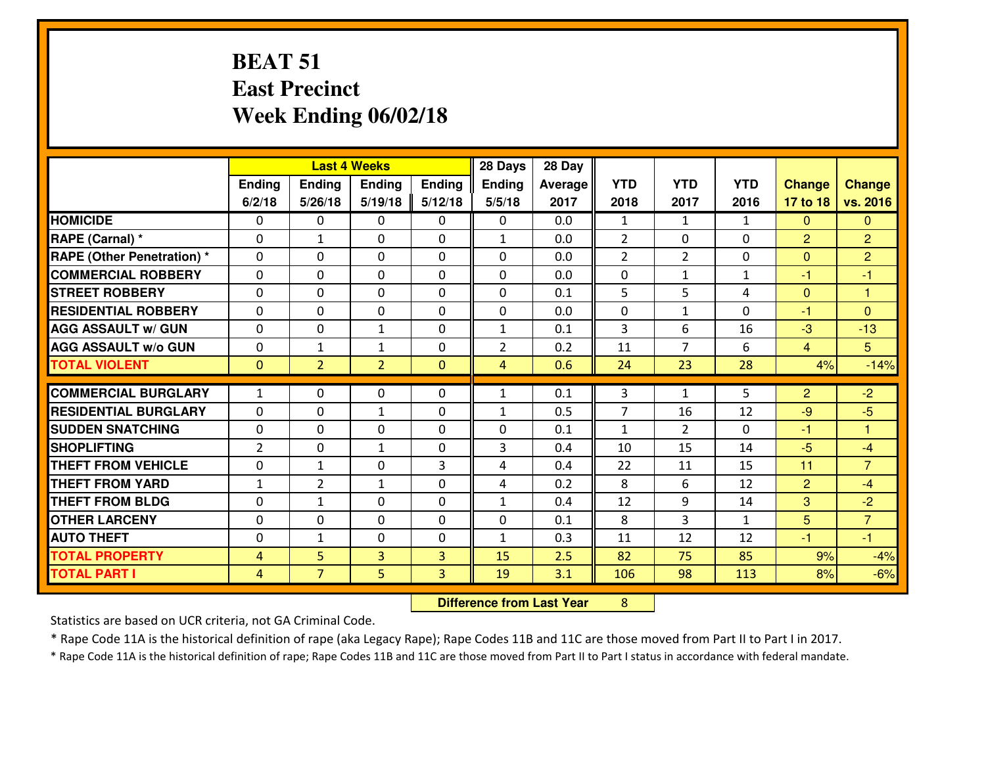### **BEAT 51 East PrecinctWeek Ending 06/02/18**

|                                              |                     |                     | <b>Last 4 Weeks</b> |               | 28 Days        | 28 Day     |                |                |              |                |                 |
|----------------------------------------------|---------------------|---------------------|---------------------|---------------|----------------|------------|----------------|----------------|--------------|----------------|-----------------|
|                                              | <b>Ending</b>       | Ending              | Ending              | <b>Ending</b> | <b>Ending</b>  | Average    | <b>YTD</b>     | <b>YTD</b>     | <b>YTD</b>   | <b>Change</b>  | <b>Change</b>   |
|                                              | 6/2/18              | 5/26/18             | 5/19/18             | 5/12/18       | 5/5/18         | 2017       | 2018           | 2017           | 2016         | 17 to 18       | vs. 2016        |
| <b>HOMICIDE</b>                              | $\Omega$            | 0                   | 0                   | 0             | 0              | 0.0        | $\mathbf{1}$   | $\mathbf{1}$   | $\mathbf{1}$ | $\Omega$       | $\mathbf{0}$    |
| RAPE (Carnal) *                              | $\mathbf{0}$        | $\mathbf{1}$        | $\mathbf{0}$        | 0             | $\mathbf{1}$   | 0.0        | $\overline{2}$ | $\mathbf{0}$   | 0            | 2              | $\overline{2}$  |
| <b>RAPE (Other Penetration) *</b>            | $\mathbf{0}$        | 0                   | $\mathbf{0}$        | 0             | $\Omega$       | 0.0        | 2              | $\overline{2}$ | 0            | $\mathbf{0}$   | $\overline{2}$  |
| <b>COMMERCIAL ROBBERY</b>                    | $\mathbf{0}$        | 0                   | 0                   | $\Omega$      | $\Omega$       | 0.0        | $\mathbf{0}$   | $\mathbf{1}$   | $\mathbf{1}$ | $-1$           | $-1$            |
| <b>STREET ROBBERY</b>                        | $\mathbf{0}$        | 0                   | $\mathbf 0$         | 0             | 0              | 0.1        | 5              | 5              | 4            | $\mathbf{0}$   | $\overline{1}$  |
| <b>RESIDENTIAL ROBBERY</b>                   | $\Omega$            | 0                   | $\mathbf 0$         | 0             | 0              | 0.0        | 0              | $\mathbf{1}$   | 0            | $-1$           | $\Omega$        |
| <b>AGG ASSAULT W/ GUN</b>                    | 0                   | 0                   | 1                   | 0             | $\mathbf{1}$   | 0.1        | $\overline{3}$ | 6              | 16           | $-3$           | $-13$           |
| <b>AGG ASSAULT W/o GUN</b>                   | 0                   | $\mathbf{1}$        | $\mathbf{1}$        | 0             | $\overline{2}$ | 0.2        | 11             | 7              | 6            | $\overline{4}$ | $5\overline{)}$ |
| <b>TOTAL VIOLENT</b>                         | $\mathbf{0}$        | $\overline{2}$      | $\overline{2}$      | $\mathbf{0}$  | $\overline{4}$ | 0.6        | 24             | 23             | 28           | 4%             | $-14%$          |
| <b>COMMERCIAL BURGLARY</b>                   | $\mathbf{1}$        | 0                   | 0                   | 0             | 1              | 0.1        | 3              | $\mathbf{1}$   | 5            | $\overline{2}$ | $-2$            |
|                                              |                     |                     |                     |               |                |            |                |                |              |                |                 |
|                                              |                     |                     |                     |               |                |            |                |                |              |                |                 |
| <b>RESIDENTIAL BURGLARY</b>                  | $\Omega$            | 0                   | 1                   | $\Omega$      | 1              | 0.5        | 7              | 16             | 12           | $-9$           | $-5$            |
| <b>SUDDEN SNATCHING</b>                      | $\mathbf{0}$        | 0                   | $\mathbf 0$         | 0             | 0              | 0.1        | $\mathbf{1}$   | $\overline{2}$ | 0            | -1             | -1              |
| <b>SHOPLIFTING</b>                           | $\overline{2}$      | 0                   | 1                   | 0             | 3              | 0.4        | 10             | 15             | 14           | $-5$           | $-4$            |
| <b>THEFT FROM VEHICLE</b>                    | $\Omega$            | $\mathbf{1}$        | $\mathbf 0$         | 3             | 4              | 0.4        | 22             | 11             | 15           | 11             | $\overline{7}$  |
| <b>THEFT FROM YARD</b>                       | $1\,$               | $\overline{2}$      | $\mathbf{1}$        | 0             | 4              | 0.2        | 8              | 6              | 12           | $\overline{2}$ | $-4$            |
| <b>THEFT FROM BLDG</b>                       | 0                   | $\mathbf{1}$        | $\mathbf 0$         | 0             | $\mathbf{1}$   | 0.4        | 12             | 9              | 14           | 3              | $-2$            |
| <b>OTHER LARCENY</b>                         | 0                   | 0                   | $\mathbf 0$         | 0             | 0              | 0.1        | 8              | 3              | $\mathbf{1}$ | 5              | $\overline{7}$  |
| <b>AUTO THEFT</b>                            | 0                   | $\mathbf{1}$        | 0                   | 0             | $\mathbf{1}$   | 0.3        | 11             | 12             | 12           | $-1$           | $-1$            |
| <b>TOTAL PROPERTY</b><br><b>TOTAL PART I</b> | 4<br>$\overline{4}$ | 5<br>$\overline{7}$ | 3<br>5              | 3<br>3        | 15<br>19       | 2.5<br>3.1 | 82<br>106      | 75<br>98       | 85<br>113    | 9%<br>8%       | $-4%$<br>$-6%$  |

 **Difference from Last Year**<sup>8</sup>

Statistics are based on UCR criteria, not GA Criminal Code.

\* Rape Code 11A is the historical definition of rape (aka Legacy Rape); Rape Codes 11B and 11C are those moved from Part II to Part I in 2017.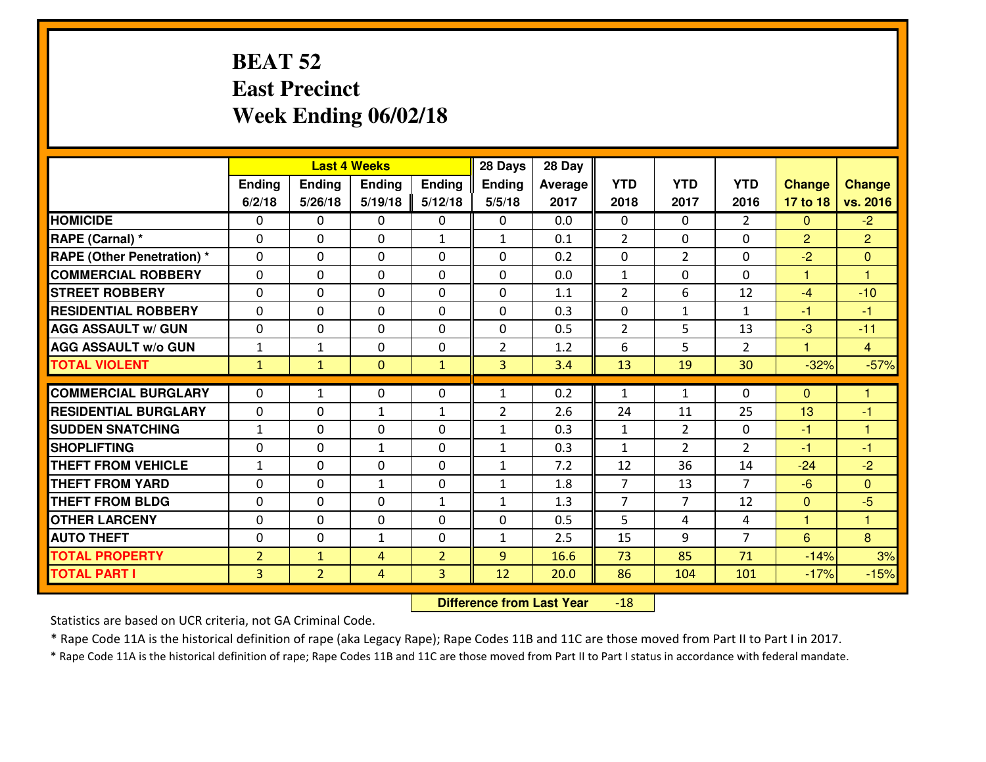### **BEAT 52 East PrecinctWeek Ending 06/02/18**

|                                              |                                  |                                | <b>Last 4 Weeks</b> |                     | 28 Days        | 28 Day       |                |                |                |                  |                |
|----------------------------------------------|----------------------------------|--------------------------------|---------------------|---------------------|----------------|--------------|----------------|----------------|----------------|------------------|----------------|
|                                              | <b>Ending</b>                    | Ending                         | Ending              | <b>Ending</b>       | <b>Ending</b>  | Average      | <b>YTD</b>     | <b>YTD</b>     | <b>YTD</b>     | <b>Change</b>    | <b>Change</b>  |
|                                              | 6/2/18                           | 5/26/18                        | 5/19/18             | 5/12/18             | 5/5/18         | 2017         | 2018           | 2017           | 2016           | 17 to 18         | vs. 2016       |
| <b>HOMICIDE</b>                              | $\Omega$                         | 0                              | 0                   | 0                   | 0              | 0.0          | $\Omega$       | $\Omega$       | $\mathfrak{D}$ | $\Omega$         | $-2$           |
| RAPE (Carnal) *                              | $\mathbf{0}$                     | 0                              | $\mathbf 0$         | $\mathbf{1}$        | $\mathbf{1}$   | 0.1          | $\overline{2}$ | $\mathbf{0}$   | 0              | 2                | $\overline{2}$ |
| <b>RAPE (Other Penetration) *</b>            | $\mathbf{0}$                     | 0                              | $\mathbf{0}$        | 0                   | $\Omega$       | 0.2          | $\mathbf{0}$   | $\overline{2}$ | 0              | $-2$             | $\mathbf{0}$   |
| <b>COMMERCIAL ROBBERY</b>                    | $\mathbf{0}$                     | 0                              | 0                   | $\Omega$            | $\Omega$       | 0.0          | 1              | 0              | 0              | $\mathbf{1}$     | 1              |
| <b>STREET ROBBERY</b>                        | $\mathbf{0}$                     | 0                              | $\mathbf 0$         | 0                   | $\Omega$       | 1.1          | $\overline{2}$ | 6              | 12             | $-4$             | $-10$          |
| <b>RESIDENTIAL ROBBERY</b>                   | $\Omega$                         | 0                              | $\mathbf 0$         | 0                   | 0              | 0.3          | 0              | $\mathbf{1}$   | $\mathbf{1}$   | $-1$             | $-1$           |
| <b>AGG ASSAULT W/ GUN</b>                    | 0                                | 0                              | $\mathbf 0$         | 0                   | 0              | 0.5          | $\overline{2}$ | 5              | 13             | $-3$             | $-11$          |
| <b>AGG ASSAULT W/o GUN</b>                   | $1\,$                            | $\mathbf{1}$                   | $\mathbf 0$         | 0                   | $\overline{2}$ | 1.2          | 6              | 5              | $\overline{2}$ | $\mathbf{1}$     | $\overline{4}$ |
| <b>TOTAL VIOLENT</b>                         | $\mathbf{1}$                     | $\mathbf{1}$                   | $\mathbf{0}$        | $\mathbf{1}$        | 3              | 3.4          | 13             | 19             | 30             | $-32%$           | $-57%$         |
| <b>COMMERCIAL BURGLARY</b>                   | $\mathbf{0}$                     | $\mathbf{1}$                   | 0                   | 0                   | 1              | 0.2          | 1              | $\mathbf{1}$   | 0              | $\mathbf{0}$     | 1              |
| <b>RESIDENTIAL BURGLARY</b>                  | $\Omega$                         | 0                              | 1                   | $\mathbf{1}$        | $\overline{2}$ | 2.6          | 24             | 11             | 25             | 13               | -1             |
| <b>SUDDEN SNATCHING</b>                      | 1                                | 0                              | $\mathbf 0$         | 0                   | $\mathbf{1}$   |              | $\mathbf{1}$   | $\overline{2}$ | 0              |                  | $\overline{1}$ |
|                                              |                                  |                                |                     |                     |                |              |                |                |                |                  |                |
|                                              |                                  |                                |                     |                     |                | 0.3          |                |                |                | -1               |                |
| <b>SHOPLIFTING</b>                           | 0                                | 0                              | $\mathbf{1}$        | 0                   | $\mathbf{1}$   | 0.3          | $\mathbf{1}$   | $\overline{2}$ | $\overline{2}$ | $-1$             | $-1$           |
| <b>THEFT FROM VEHICLE</b>                    | $\mathbf{1}$                     | 0                              | $\mathbf 0$         | $\Omega$            | $\mathbf{1}$   | 7.2          | 12             | 36             | 14             | $-24$            | $-2$           |
| <b>THEFT FROM YARD</b>                       | 0                                | 0                              | $\mathbf{1}$        | 0                   | $\mathbf{1}$   | 1.8          | $\overline{7}$ | 13             | $\overline{7}$ | $-6$             | $\overline{0}$ |
| <b>THEFT FROM BLDG</b>                       | 0                                | 0                              | $\mathbf 0$         | $\mathbf{1}$        | $\mathbf{1}$   | 1.3          | $\overline{7}$ | $\overline{7}$ | 12             | $\mathbf{0}$     | $-5$           |
| <b>OTHER LARCENY</b>                         | 0                                | 0                              | $\mathbf 0$         | 0                   | 0              | 0.5          | 5              | 4              | 4              | $\mathbf{1}$     | 1              |
| <b>AUTO THEFT</b>                            | 0                                | 0                              | 1                   | 0                   | $\mathbf{1}$   | 2.5          | 15             | 9              | $\overline{7}$ | $6\phantom{1}$   | 8              |
| <b>TOTAL PROPERTY</b><br><b>TOTAL PART I</b> | $\overline{2}$<br>$\overline{3}$ | $\mathbf{1}$<br>$\overline{2}$ | 4<br>4              | $\overline{2}$<br>3 | 9<br>12        | 16.6<br>20.0 | 73<br>86       | 85<br>104      | 71<br>101      | $-14%$<br>$-17%$ | 3%<br>$-15%$   |

 **Difference from Last Year**-18

Statistics are based on UCR criteria, not GA Criminal Code.

\* Rape Code 11A is the historical definition of rape (aka Legacy Rape); Rape Codes 11B and 11C are those moved from Part II to Part I in 2017.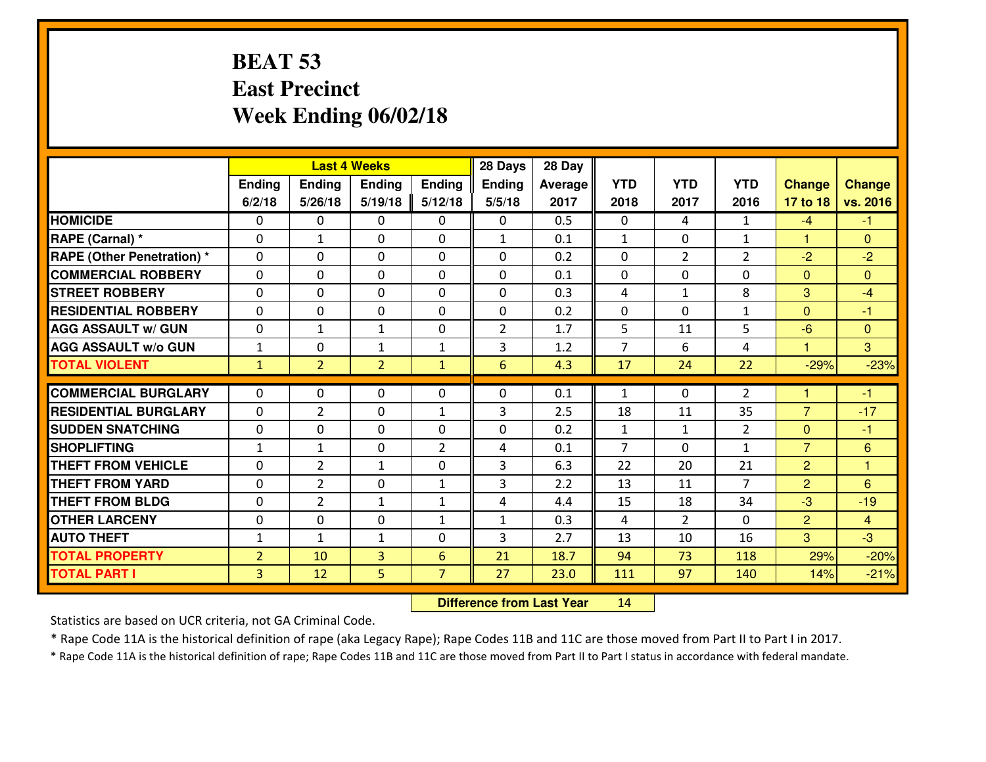#### **BEAT 53 East PrecinctWeek Ending 06/02/18**

|                                              |                                  |                | <b>Last 4 Weeks</b> |                     | 28 Days        | 28 Day       |                |                |                |                |                  |
|----------------------------------------------|----------------------------------|----------------|---------------------|---------------------|----------------|--------------|----------------|----------------|----------------|----------------|------------------|
|                                              | <b>Ending</b>                    | Ending         | Ending              | <b>Ending</b>       | <b>Ending</b>  | Average      | <b>YTD</b>     | <b>YTD</b>     | <b>YTD</b>     | <b>Change</b>  | <b>Change</b>    |
|                                              | 6/2/18                           | 5/26/18        | 5/19/18             | 5/12/18             | 5/5/18         | 2017         | 2018           | 2017           | 2016           | 17 to 18       | vs. 2016         |
| <b>HOMICIDE</b>                              | $\Omega$                         | 0              | 0                   | 0                   | 0              | 0.5          | $\Omega$       | 4              | $\mathbf{1}$   | $-4$           | $-1$             |
| RAPE (Carnal) *                              | $\mathbf{0}$                     | $\mathbf{1}$   | $\mathbf{0}$        | 0                   | $\mathbf{1}$   | 0.1          | $\mathbf{1}$   | $\mathbf{0}$   | $\mathbf{1}$   | 1              | $\mathbf{0}$     |
| <b>RAPE (Other Penetration) *</b>            | $\mathbf{0}$                     | 0              | $\mathbf{0}$        | 0                   | $\Omega$       | 0.2          | $\mathbf{0}$   | $\overline{2}$ | $\overline{2}$ | $-2$           | $-2$             |
| <b>COMMERCIAL ROBBERY</b>                    | $\mathbf{0}$                     | 0              | 0                   | $\Omega$            | $\Omega$       | 0.1          | $\mathbf{0}$   | 0              | 0              | $\mathbf{0}$   | $\Omega$         |
| <b>STREET ROBBERY</b>                        | $\mathbf{0}$                     | 0              | $\mathbf 0$         | 0                   | $\Omega$       | 0.3          | 4              | $\mathbf{1}$   | 8              | 3              | $-4$             |
| <b>RESIDENTIAL ROBBERY</b>                   | $\Omega$                         | 0              | $\mathbf 0$         | 0                   | 0              | 0.2          | 0              | 0              | $\mathbf{1}$   | $\overline{0}$ | $-1$             |
| <b>AGG ASSAULT W/ GUN</b>                    | 0                                | $\mathbf{1}$   | 1                   | 0                   | $\overline{2}$ | 1.7          | 5              | 11             | 5              | $-6$           | $\overline{0}$   |
| <b>AGG ASSAULT W/o GUN</b>                   | $1\,$                            | 0              | $\mathbf{1}$        | $\mathbf{1}$        | 3              | 1.2          | $\overline{7}$ | 6              | 4              | $\mathbf{1}$   | $\mathbf{3}$     |
| <b>TOTAL VIOLENT</b>                         | $\mathbf{1}$                     | $\overline{2}$ | $\overline{2}$      | $\mathbf{1}$        | 6              | 4.3          | 17             | 24             | 22             | $-29%$         | $-23%$           |
| <b>COMMERCIAL BURGLARY</b>                   | $\mathbf{0}$                     | 0              | 0                   | 0                   | $\Omega$       | 0.1          | 1              | $\Omega$       | $\overline{2}$ | 1              | -1               |
|                                              |                                  |                |                     |                     |                |              |                |                |                |                |                  |
|                                              |                                  |                |                     |                     |                |              |                |                |                |                |                  |
| <b>RESIDENTIAL BURGLARY</b>                  | $\Omega$                         | $\overline{2}$ | $\mathbf{0}$        | $\mathbf{1}$        | 3              | 2.5          | 18             | 11             | 35             | $\overline{7}$ | $-17$            |
| <b>SUDDEN SNATCHING</b>                      | $\mathbf{0}$                     | 0              | 0                   | 0                   | 0              | 0.2          | $\mathbf{1}$   | $\mathbf{1}$   | $\overline{2}$ | $\mathbf{0}$   | $-1$             |
| <b>SHOPLIFTING</b>                           | $\mathbf{1}$                     | $\mathbf{1}$   | $\mathbf 0$         | $\overline{2}$      | 4              | 0.1          | $\overline{7}$ | $\Omega$       | $\mathbf{1}$   | $\overline{7}$ | $6\phantom{1}6$  |
| <b>THEFT FROM VEHICLE</b>                    | $\Omega$                         | $\overline{2}$ | $\mathbf{1}$        | $\Omega$            | 3              | 6.3          | 22             | 20             | 21             | $\overline{2}$ | $\overline{1}$   |
| <b>THEFT FROM YARD</b>                       | 0                                | $\overline{2}$ | $\mathbf 0$         | $\mathbf{1}$        | 3              | 2.2          | 13             | 11             | $\overline{7}$ | $\overline{2}$ | 6                |
| <b>THEFT FROM BLDG</b>                       | $\mathbf{0}$                     | $\overline{2}$ | 1                   | $\mathbf{1}$        | 4              | 4.4          | 15             | 18             | 34             | $-3$           | $-19$            |
| <b>OTHER LARCENY</b>                         | 0                                | 0              | $\mathbf 0$         | $\mathbf{1}$        | $\mathbf{1}$   | 0.3          | 4              | $\overline{2}$ | 0              | $\overline{2}$ | $\overline{4}$   |
| <b>AUTO THEFT</b>                            | $\mathbf{1}$                     | $\mathbf{1}$   | 1                   | 0                   | 3              | 2.7          | 13             | 10             | 16             | 3              | $-3$             |
| <b>TOTAL PROPERTY</b><br><b>TOTAL PART I</b> | $\overline{2}$<br>$\overline{3}$ | 10<br>12       | $\overline{3}$<br>5 | 6<br>$\overline{7}$ | 21<br>27       | 18.7<br>23.0 | 94<br>111      | 73<br>97       | 118<br>140     | 29%<br>14%     | $-20%$<br>$-21%$ |

 **Difference from Last Year**<sup>14</sup>

Statistics are based on UCR criteria, not GA Criminal Code.

\* Rape Code 11A is the historical definition of rape (aka Legacy Rape); Rape Codes 11B and 11C are those moved from Part II to Part I in 2017.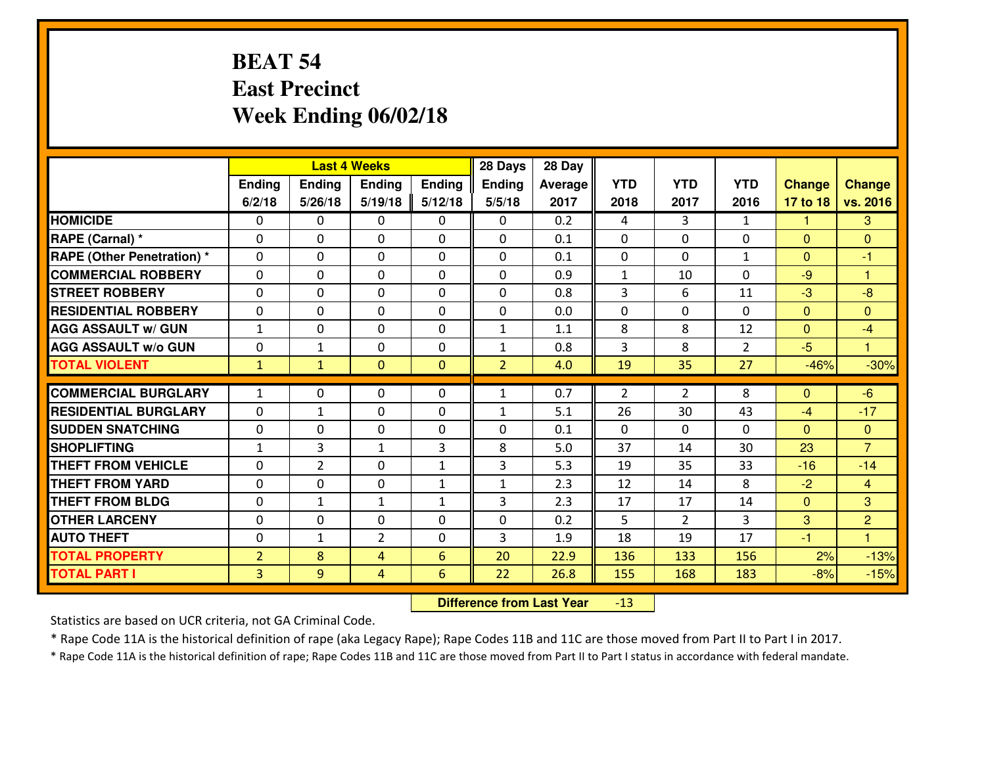### **BEAT 54 East PrecinctWeek Ending 06/02/18**

|                                  |                |                | <b>Last 4 Weeks</b> |              | 28 Days           | 28 Day  |              |                |                |                |                |
|----------------------------------|----------------|----------------|---------------------|--------------|-------------------|---------|--------------|----------------|----------------|----------------|----------------|
|                                  | Ending         | Ending         | <b>Ending</b>       | Ending       | <b>Ending</b>     | Average | <b>YTD</b>   | <b>YTD</b>     | <b>YTD</b>     | <b>Change</b>  | <b>Change</b>  |
|                                  | 6/2/18         | 5/26/18        | 5/19/18             | 5/12/18      | 5/5/18            | 2017    | 2018         | 2017           | 2016           | 17 to 18       | vs. 2016       |
| <b>HOMICIDE</b>                  | $\Omega$       | 0              | $\Omega$            | 0            | $\Omega$          | 0.2     | 4            | 3              | $\mathbf{1}$   | -1             | 3              |
| RAPE (Carnal) *                  | $\Omega$       | 0              | $\mathbf{0}$        | $\Omega$     | $\Omega$          | 0.1     | $\Omega$     | 0              | 0              | $\Omega$       | $\Omega$       |
| <b>RAPE (Other Penetration)*</b> | 0              | 0              | $\mathbf 0$         | 0            | 0                 | 0.1     | 0            | 0              | $\mathbf{1}$   | $\overline{0}$ | $-1$           |
| <b>COMMERCIAL ROBBERY</b>        | 0              | 0              | $\mathbf 0$         | 0            | 0                 | 0.9     | $\mathbf{1}$ | 10             | 0              | $-9$           | $\overline{1}$ |
| <b>STREET ROBBERY</b>            | 0              | 0              | $\mathbf 0$         | 0            | 0                 | 0.8     | 3            | 6              | 11             | $-3$           | $-8$           |
| <b>RESIDENTIAL ROBBERY</b>       | 0              | 0              | $\mathbf 0$         | $\mathbf{0}$ | 0                 | 0.0     | 0            | 0              | 0              | $\Omega$       | $\mathbf{0}$   |
| <b>AGG ASSAULT W/ GUN</b>        | $1\,$          | 0              | $\mathbf 0$         | 0            | $\mathbf{1}$      | 1.1     | 8            | 8              | 12             | $\mathbf{0}$   | $-4$           |
| <b>AGG ASSAULT W/o GUN</b>       | 0              | 1              | 0                   | 0            | $\mathbf{1}$      | 0.8     | 3            | 8              | $\overline{2}$ | $-5$           | 1              |
| <b>TOTAL VIOLENT</b>             | $\mathbf{1}$   | $\mathbf{1}$   | $\overline{0}$      | $\mathbf{0}$ | $\overline{2}$    | 4.0     | 19           | 35             | 27             | $-46%$         | $-30%$         |
| <b>COMMERCIAL BURGLARY</b>       | $\mathbf{1}$   | 0              | $\mathbf{0}$        | 0            | $\mathbf{1}$      | 0.7     | 2            | $\overline{2}$ | 8              | $\Omega$       | $-6$           |
| <b>RESIDENTIAL BURGLARY</b>      | 0              |                |                     | 0            |                   | 5.1     | 26           | 30             | 43             | $-4$           | $-17$          |
| <b>SUDDEN SNATCHING</b>          | 0              | 1<br>0         | 0<br>$\mathbf 0$    | 0            | $\mathbf{1}$<br>0 | 0.1     | $\mathbf{0}$ | $\Omega$       | 0              | $\Omega$       | $\mathbf{0}$   |
| <b>SHOPLIFTING</b>               | $\mathbf{1}$   | 3              | 1                   | 3            | 8                 | 5.0     | 37           | 14             | 30             | 23             | $\overline{7}$ |
| <b>THEFT FROM VEHICLE</b>        | 0              | $\overline{2}$ | $\mathbf 0$         | $\mathbf{1}$ | 3                 | 5.3     | 19           | 35             | 33             | $-16$          | $-14$          |
| <b>THEFT FROM YARD</b>           | 0              | 0              | $\mathbf 0$         | $\mathbf{1}$ | $\mathbf{1}$      | 2.3     | 12           | 14             | 8              | $-2$           | $\overline{4}$ |
| <b>THEFT FROM BLDG</b>           | 0              | $\mathbf{1}$   | $\mathbf{1}$        | $\mathbf{1}$ | 3                 | 2.3     | 17           | 17             | 14             | $\Omega$       | 3              |
| <b>OTHER LARCENY</b>             | 0              | 0              | $\mathbf 0$         | 0            | 0                 | 0.2     | 5            | $\overline{2}$ | 3              | 3              | $\overline{2}$ |
| <b>AUTO THEFT</b>                | 0              | $\mathbf{1}$   | $\overline{2}$      | 0            | 3                 | 1.9     | 18           | 19             | 17             | $-1$           | $\overline{1}$ |
| <b>TOTAL PROPERTY</b>            | $\overline{2}$ | 8              | 4                   | 6            | 20                | 22.9    | 136          | 133            | 156            | 2%             | $-13%$         |
| <b>TOTAL PART I</b>              | $\overline{3}$ | 9              |                     | 6            | 22                | 26.8    |              |                |                |                |                |
|                                  |                |                | $\overline{4}$      |              |                   |         | 155          | 168            | 183            | $-8%$          | $-15%$         |

 **Difference from Last Year**-13

Statistics are based on UCR criteria, not GA Criminal Code.

\* Rape Code 11A is the historical definition of rape (aka Legacy Rape); Rape Codes 11B and 11C are those moved from Part II to Part I in 2017.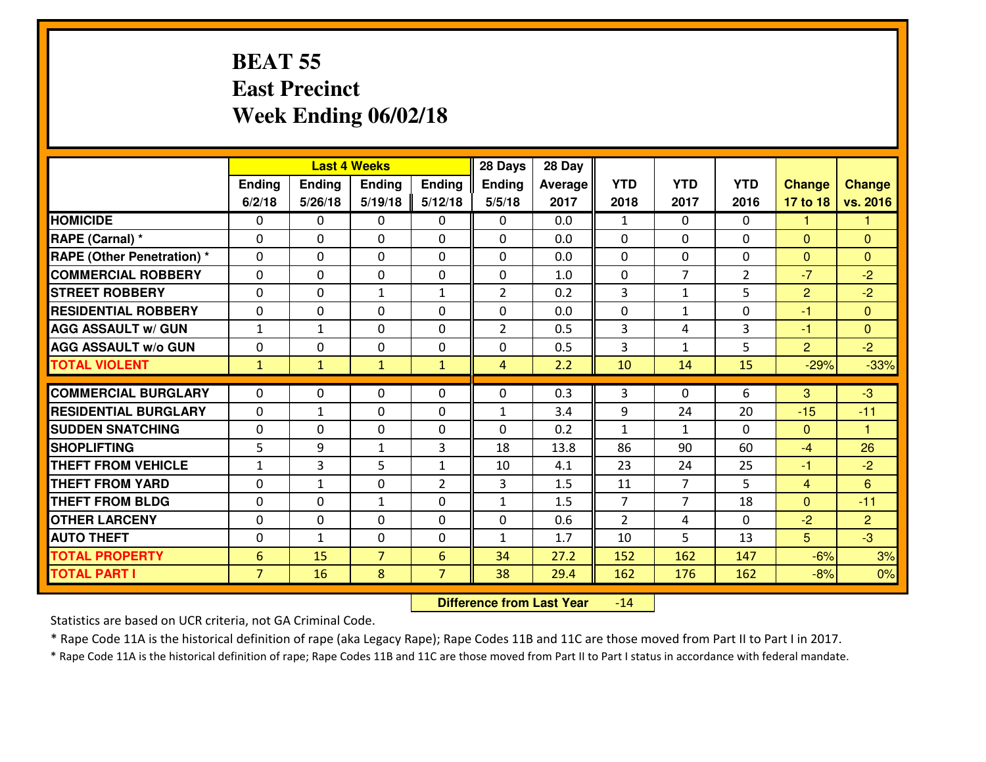#### **BEAT 55 East PrecinctWeek Ending 06/02/18**

|                                  |                 |              | <b>Last 4 Weeks</b> |                | 28 Days        | 28 Day  |                |                |                |                |                      |
|----------------------------------|-----------------|--------------|---------------------|----------------|----------------|---------|----------------|----------------|----------------|----------------|----------------------|
|                                  | Ending          | Ending       | Ending              | <b>Ending</b>  | <b>Ending</b>  | Average | <b>YTD</b>     | <b>YTD</b>     | <b>YTD</b>     | <b>Change</b>  | <b>Change</b>        |
|                                  | 6/2/18          | 5/26/18      | 5/19/18             | 5/12/18        | 5/5/18         | 2017    | 2018           | 2017           | 2016           | 17 to 18       | vs. 2016             |
| <b>HOMICIDE</b>                  | 0               | 0            | 0                   | 0              | 0              | 0.0     | $\mathbf{1}$   | $\Omega$       | 0              | 1              | 1                    |
| RAPE (Carnal) *                  | $\mathbf{0}$    | 0            | 0                   | $\Omega$       | 0              | 0.0     | 0              | $\Omega$       | 0              | $\Omega$       | $\overline{0}$       |
| <b>RAPE (Other Penetration)*</b> | $\Omega$        | $\Omega$     | $\mathbf 0$         | $\Omega$       | $\Omega$       | 0.0     | $\Omega$       | $\Omega$       | $\Omega$       | $\Omega$       | $\Omega$             |
| <b>COMMERCIAL ROBBERY</b>        | $\Omega$        | $\Omega$     | $\mathbf 0$         | $\Omega$       | 0              | 1.0     | $\Omega$       | $\overline{7}$ | $\overline{2}$ | $-7$           | $-2$                 |
| <b>ISTREET ROBBERY</b>           | $\mathbf{0}$    | 0            | $\mathbf{1}$        | $\mathbf{1}$   | $\overline{2}$ | 0.2     | 3              | $\mathbf{1}$   | 5              | $\overline{2}$ | $-2$                 |
| <b>RESIDENTIAL ROBBERY</b>       | 0               | 0            | $\mathbf 0$         | 0              | 0              | 0.0     | 0              | $\mathbf{1}$   | 0              | $-1$           | $\overline{0}$       |
| <b>AGG ASSAULT W/ GUN</b>        | $\mathbf{1}$    | $\mathbf{1}$ | $\mathbf 0$         | 0              | $\overline{2}$ | 0.5     | $\overline{3}$ | 4              | 3              | $-1$           | $\overline{0}$       |
| <b>AGG ASSAULT W/o GUN</b>       | 0               | 0            | $\mathbf 0$         | $\mathbf{0}$   | 0              | 0.5     | 3              | $\mathbf{1}$   | 5              | $\overline{2}$ | $-2$                 |
| <b>TOTAL VIOLENT</b>             | $\mathbf{1}$    | $\mathbf{1}$ | $\mathbf{1}$        | $\mathbf{1}$   | $\overline{4}$ | 2.2     | 10             | 14             | 15             | $-29%$         | $-33%$               |
| <b>COMMERCIAL BURGLARY</b>       | $\Omega$        | 0            | $\mathbf{0}$        | $\Omega$       | $\Omega$       | 0.3     | 3              | $\Omega$       | 6              | 3              | $-3$                 |
|                                  |                 |              |                     |                |                |         |                |                |                |                |                      |
| <b>RESIDENTIAL BURGLARY</b>      | $\Omega$        | $\mathbf{1}$ | $\mathbf 0$         | 0              | 1              | 3.4     | 9              | 24             | 20             | $-15$          | $-11$                |
| <b>SUDDEN SNATCHING</b>          | 0               | $\Omega$     | $\mathbf 0$         | 0              | 0              | 0.2     | $\mathbf{1}$   | $\mathbf{1}$   | $\Omega$       | $\Omega$       | $\blacktriangleleft$ |
| <b>SHOPLIFTING</b>               | 5               | 9            | $\mathbf{1}$        | 3              | 18             | 13.8    | 86             | 90             | 60             | $-4$           | 26                   |
| <b>THEFT FROM VEHICLE</b>        | $\mathbf{1}$    | 3            | 5                   | $\mathbf{1}$   | 10             | 4.1     | 23             | 24             | 25             | $-1$           | $-2$                 |
| <b>THEFT FROM YARD</b>           | 0               | $\mathbf{1}$ | $\mathbf 0$         | $\overline{2}$ | 3              | 1.5     | 11             | $\overline{7}$ | 5              | $\overline{4}$ | 6                    |
| <b>THEFT FROM BLDG</b>           | $\mathbf{0}$    | 0            | 1                   | 0              | $\mathbf{1}$   | 1.5     | $\overline{7}$ | $\overline{7}$ | 18             | $\mathbf{0}$   | $-11$                |
| <b>OTHER LARCENY</b>             | 0               | 0            | $\mathbf 0$         | 0              | 0              | 0.6     | $\overline{2}$ | 4              | 0              | $-2$           | $\overline{2}$       |
| <b>AUTO THEFT</b>                | 0               | $\mathbf{1}$ | 0                   | 0              | 1              | 1.7     | 10             | 5              | 13             | 5 <sup>5</sup> | $-3$                 |
| <b>TOTAL PROPERTY</b>            | $6\phantom{1}6$ | 15           | $\overline{7}$      | 6              | 34             | 27.2    | 152            | 162            | 147            | $-6%$          | 3%                   |
| <b>TOTAL PART I</b>              | $\overline{7}$  | 16           | 8                   | $\overline{7}$ | 38             | 29.4    | 162            | 176            | 162            | $-8%$          | 0%                   |

 **Difference from Last Year**-14

Statistics are based on UCR criteria, not GA Criminal Code.

\* Rape Code 11A is the historical definition of rape (aka Legacy Rape); Rape Codes 11B and 11C are those moved from Part II to Part I in 2017.